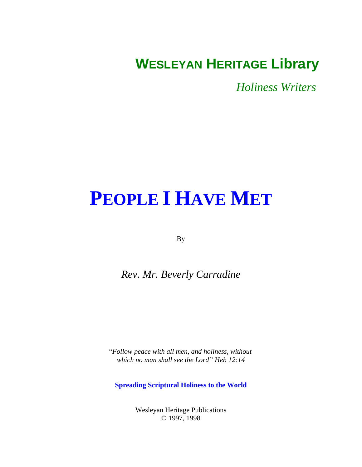# <span id="page-0-0"></span>**WESLEYAN HERITAGE Library**

*Holiness Writers* 

# **PEOPLE I [HAVE MET](#page-1-0)**

By

### *Rev. Mr. Beverly Carradine*

*"Follow peace with all men, and holiness, without which no man shall see the Lord" Heb 12:14*

**Spreading Scriptural Holiness to the World**

Wesleyan Heritage Publications © 1997, 1998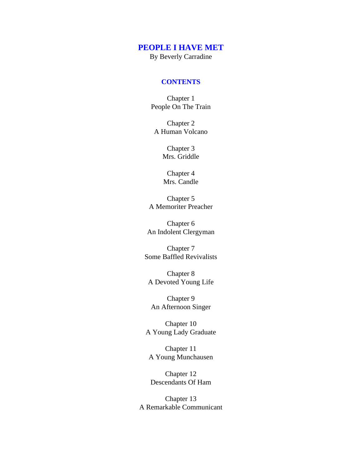## <span id="page-1-0"></span>**[PEOPLE I HAVE MET](#page-0-0)**

By Beverly Carradine

#### **CONTENTS**

Chapter 1 [People On The Train](#page-9-0)

Chapter 2 [A Human Volcano](#page-14-0)

> Chapter 3 [Mrs. Griddle](#page-18-0)

Chapter 4 [Mrs. Candle](#page-23-0)

Chapter 5 [A Memoriter Preacher](#page-27-0)

Chapter 6 [An Indolent Clergyman](#page-31-0)

Chapter 7 [Some Baffled Revivalists](#page-34-0)

Chapter 8 [A Devoted Young Life](#page-39-0)

Chapter 9 [An Afternoon Singer](#page-42-0)

Chapter 10 [A Young Lady Graduate](#page-44-0)

Chapter 11 [A Young Munchausen](#page-46-0)

Chapter 12 [Descendants Of Ham](#page-48-0)

Chapter 13 [A Remarkable Communicant](#page-52-0)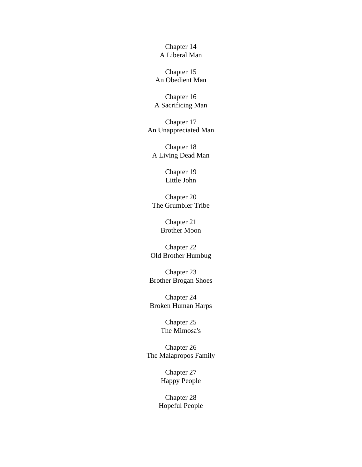Chapter 14 [A Liberal Man](#page-54-0)

Chapter 15 [An Obedient Man](#page-57-0)

Chapter 16 [A Sacrificing Man](#page-59-0)

Chapter 17 [An Unappreciated Man](#page-61-0)

Chapter 18 [A Living Dead Man](#page-63-0)

> [Chapter 19](#page-66-0) Little John

Chapter 20 [The Grumbler Tribe](#page-69-0)

> Chapter 21 [Brother Moon](#page-72-0)

Chapter 22 [Old Brother Humbug](#page-74-0)

Chapter 23 [Brother Brogan Shoes](#page-76-0)

Chapter 24 [Broken Human Harps](#page-80-0)

> Chapter 25 [The Mimosa's](#page-82-0)

Chapter 26 [The Malapropos Family](#page-86-0)

> Chapter 27 [Happy People](#page-91-0)

Chapter 28 [Hopeful People](#page-93-0)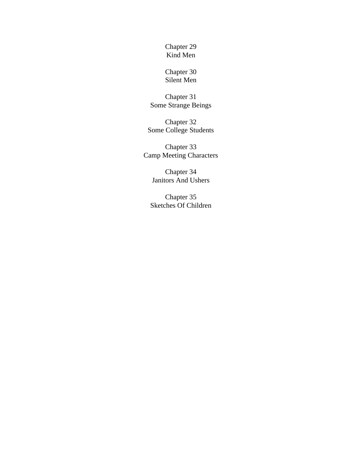Chapter 29 [Kind Men](#page-97-0)

[Chapter 30](#page-100-0) Silent Men

Chapter 31 [Some Strange Beings](#page-103-0)

Chapter 32 [Some College Students](#page-109-0)

Chapter 33 [Camp Meeting Characters](#page-114-0)

> Chapter 34 [Janitors And Ushers](#page-117-0)

Chapter 35 [Sketches Of Children](#page-122-0)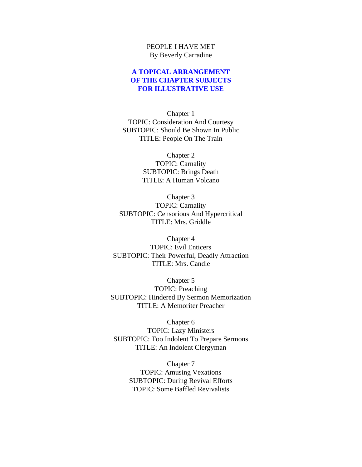#### **A TOPICAL ARRANGEMENT OF THE CHAPTER SUBJECTS FOR ILLUSTRATIVE USE**

Chapter 1 TOPIC: Consideration And Courtesy [SUBTOPIC: Should Be Shown In Public](#page-9-0) TITLE: People On The Train

> Chapter 2 TOPIC: Carnality SUBTOPIC: Brings Death [TITLE: A Human Volcano](#page-14-0)

Chapter 3 TOPIC: Carnality [SUBTOPIC: Censorious And Hypercritical](#page-18-0) TITLE: Mrs. Griddle

Chapter 4 TOPIC: Evil Enticers [SUBTOPIC: Their Powerful, Deadly Attraction](#page-23-0) TITLE: Mrs. Candle

Chapter 5 TOPIC: Preaching [SUBTOPIC: Hindered By Sermon Memorization](#page-27-0) TITLE: A Memoriter Preacher

Chapter 6 TOPIC: Lazy Ministers [SUBTOPIC: Too Indolent To Prepare Sermons](#page-31-0) TITLE: An Indolent Clergyman

> Chapter 7 TOPIC: Amusing Vexations [SUBTOPIC: During Revival Efforts](#page-34-0) TOPIC: Some Baffled Revivalists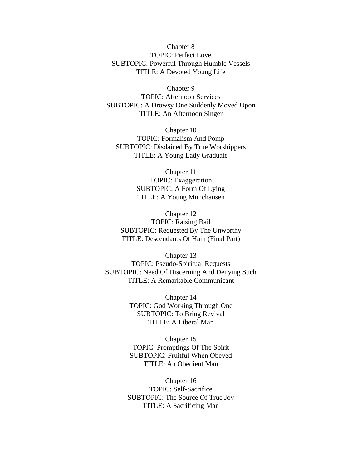Chapter 8 TOPIC: Perfect Love [SUBTOPIC: Powerful Through Humble Vessels](#page-39-0) TITLE: A Devoted Young Life

Chapter 9 TOPIC: Afternoon Services [SUBTOPIC: A Drowsy One Suddenly Moved Upon](#page-42-0) TITLE: An Afternoon Singer

Chapter 10 TOPIC: Formalism And Pomp [SUBTOPIC: Disdained By True Worshippers](#page-44-0) TITLE: A Young Lady Graduate

> Chapter 11 TOPIC: Exaggeration [SUBTOPIC: A Form Of Lying](#page-46-0) TITLE: A Young Munchausen

Chapter 12 TOPIC: Raising Bail [SUBTOPIC: Requested By The Unworthy](#page-48-0) TITLE: Descendants Of Ham (Final Part)

Chapter 13 TOPIC: Pseudo-Spiritual Requests [SUBTOPIC: Need Of Discerning And Denying Such](#page-52-0) TITLE: A Remarkable Communicant

> Chapter 14 [TOPIC: God Working Through One](#page-54-0) SUBTOPIC: To Bring Revival TITLE: A Liberal Man

> Chapter 15 TOPIC: Promptings Of The Spirit [SUBTOPIC: Fruitful When Obeyed](#page-57-0) TITLE: An Obedient Man

Chapter 16 TOPIC: Self-Sacrifice [SUBTOPIC: The Source Of True Joy](#page-59-0) TITLE: A Sacrificing Man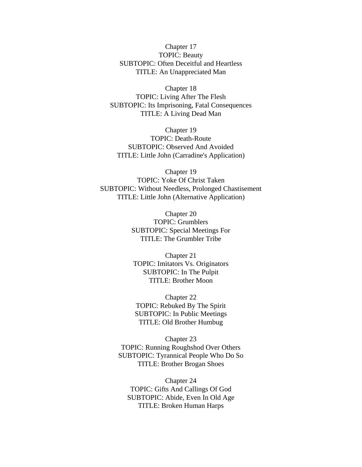Chapter 17 TOPIC: Beauty [SUBTOPIC: Often Deceitful and Heartless](#page-61-0) TITLE: An Unappreciated Man

Chapter 18 TOPIC: Living After The Flesh [SUBTOPIC: Its Imprisoning, Fatal Consequences](#page-63-0) TITLE: A Living Dead Man

Chapter 19 TOPIC: Death-Route SUBTOPIC: Observed And Avoided [TITLE: Little John \(Carradine's Application\)](#page-66-0)

Chapter 19 TOPIC: Yoke Of Christ Taken [SUBTOPIC: Without Needless, Prolonged Chastisement](#page-66-0) TITLE: Little John (Alternative Application)

> Chapter 20 TOPIC: Grumblers [SUBTOPIC: Special Meetings For](#page-69-0) TITLE: The Grumbler Tribe

Chapter 21 [TOPIC: Imitators Vs. Originators](#page-72-0) SUBTOPIC: In The Pulpit TITLE: Brother Moon

Chapter 22 TOPIC: Rebuked By The Spirit [SUBTOPIC: In Public Meetings](#page-74-0) TITLE: Old Brother Humbug

Chapter 23 TOPIC: Running Roughshod Over Others [SUBTOPIC: Tyrannical People Who Do So](#page-76-0) TITLE: Brother Brogan Shoes

Chapter 24 TOPIC: Gifts And Callings Of God [SUBTOPIC: Abide, Even In Old Age](#page-80-0) TITLE: Broken Human Harps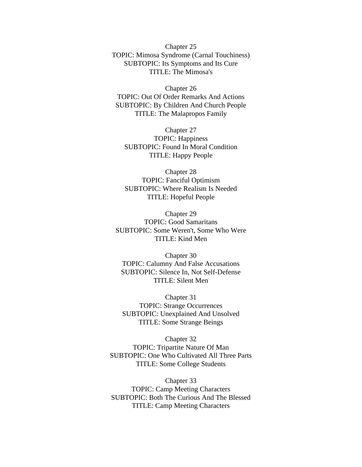Chapter 25 [TOPIC: Mimosa Syndrome \(Carnal Touchiness\)](#page-82-0) SUBTOPIC: Its Symptoms and Its Cure TITLE: The Mimosa's

Chapter 26 TOPIC: Out Of Order Remarks And Actions [SUBTOPIC: By Children And Church People](#page-86-0) TITLE: The Malapropos Family

Chapter 27 TOPIC: Happiness [SUBTOPIC: Found In Moral Condition](#page-91-0) TITLE: Happy People

Chapter 28 TOPIC: Fanciful Optimism [SUBTOPIC: Where Realism Is Needed](#page-93-0) TITLE: Hopeful People

Chapter 29 TOPIC: Good Samaritans [SUBTOPIC: Some Weren't, Some Who Were](#page-97-0) TITLE: Kind Men

Chapter 30 TOPIC: Calumny And False Accusations [SUBTOPIC: Silence In, Not Self-Defense](#page-100-0) TITLE: Silent Men

Chapter 31 TOPIC: Strange Occurrences [SUBTOPIC: Unexplained And Unsolved](#page-103-0) TITLE: Some Strange Beings

Chapter 32 TOPIC: Tripartite Nature Of Man [SUBTOPIC: One Who Cultivated All Three Parts](#page-109-0) TITLE: Some College Students

Chapter 33

TOPIC: Camp Meeting Characters [SUBTOPIC: Both The Curious And The Blessed](#page-114-0) TITLE: Camp Meeting Characters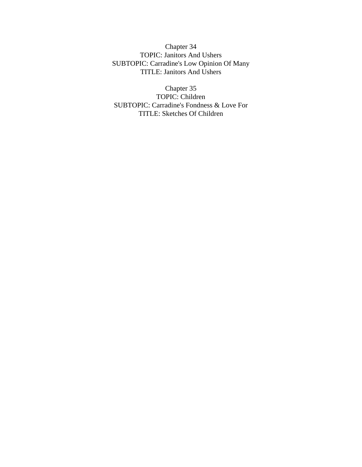Chapter 34 TOPIC: Janitors And Ushers [SUBTOPIC: Carradine's Low Opinion Of Many](#page-117-0) TITLE: Janitors And Ushers

Chapter 35 TOPIC: Children [SUBTOPIC: Carradine's Fondness & Love For](#page-122-0) TITLE: Sketches Of Children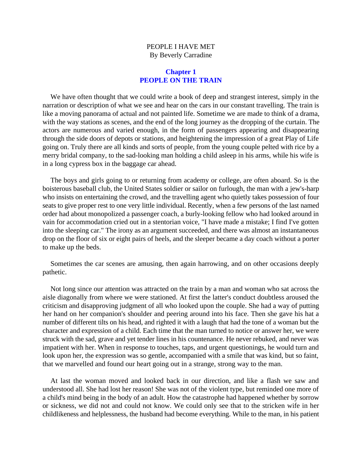#### **Chapter 1 PEOPLE ON THE TRAIN**

<span id="page-9-0"></span>We have often thought that we could write a book of deep and strangest interest, simply in the narration or description of what we see and hear on the cars in our constant travelling. The train is like a moving panorama of actual and not painted life. Sometime we are made to think of a drama, with the way stations as scenes, and the end of the long journey as the dropping of the curtain. The actors are numerous and varied enough, in the form of passengers appearing and disappearing through the side doors of depots or stations, and heightening the impression of a great Play of Life going on. Truly there are all kinds and sorts of people, from the young couple pelted with rice by a merry bridal company, to the sad-looking man holding a child asleep in his arms, while his wife is in a long cypress box in the baggage car ahead.

The boys and girls going to or returning from academy or college, are often aboard. So is the boisterous baseball club, the United States soldier or sailor on furlough, the man with a jew's-harp who insists on entertaining the crowd, and the travelling agent who quietly takes possession of four seats to give proper rest to one very little individual. Recently, when a few persons of the last named order had about monopolized a passenger coach, a burly-looking fellow who had looked around in vain for accommodation cried out in a stentorian voice, "I have made a mistake; I find I've gotten into the sleeping car." The irony as an argument succeeded, and there was almost an instantaneous drop on the floor of six or eight pairs of heels, and the sleeper became a day coach without a porter to make up the beds.

Sometimes the car scenes are amusing, then again harrowing, and on other occasions deeply pathetic.

Not long since our attention was attracted on the train by a man and woman who sat across the aisle diagonally from where we were stationed. At first the latter's conduct doubtless aroused the criticism and disapproving judgment of all who looked upon the couple. She had a way of putting her hand on her companion's shoulder and peering around into his face. Then she gave his hat a number of different tilts on his head, and righted it with a laugh that had the tone of a woman but the character and expression of a child. Each time that the man turned to notice or answer her, we were struck with the sad, grave and yet tender lines in his countenance. He never rebuked, and never was impatient with her. When in response to touches, taps, and urgent questionings, he would turn and look upon her, the expression was so gentle, accompanied with a smile that was kind, but so faint, that we marvelled and found our heart going out in a strange, strong way to the man.

At last the woman moved and looked back in our direction, and like a flash we saw and understood all. She had lost her reason! She was not of the violent type, but reminded one more of a child's mind being in the body of an adult. How the catastrophe had happened whether by sorrow or sickness, we did not and could not know. We could only see that to the stricken wife in her childlikeness and helplessness, the husband had become everything. While to the man, in his patient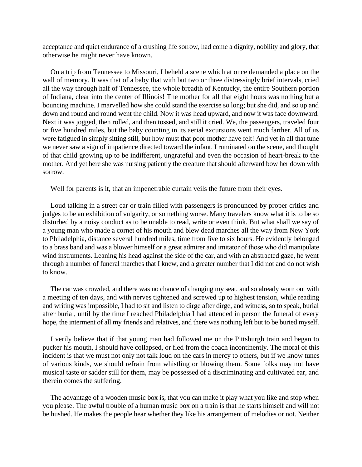acceptance and quiet endurance of a crushing life sorrow, had come a dignity, nobility and glory, that otherwise he might never have known.

On a trip from Tennessee to Missouri, I beheld a scene which at once demanded a place on the wall of memory. It was that of a baby that with but two or three distressingly brief intervals, cried all the way through half of Tennessee, the whole breadth of Kentucky, the entire Southern portion of Indiana, clear into the center of Illinois! The mother for all that eight hours was nothing but a bouncing machine. I marvelled how she could stand the exercise so long; but she did, and so up and down and round and round went the child. Now it was head upward, and now it was face downward. Next it was jogged, then rolled, and then tossed, and still it cried. We, the passengers, traveled four or five hundred miles, but the baby counting in its aerial excursions went much farther. All of us were fatigued in simply sitting still, but how must that poor mother have felt! And yet in all that tune we never saw a sign of impatience directed toward the infant. I ruminated on the scene, and thought of that child growing up to be indifferent, ungrateful and even the occasion of heart-break to the mother. And yet here she was nursing patiently the creature that should afterward bow her down with sorrow.

Well for parents is it, that an impenetrable curtain veils the future from their eyes.

Loud talking in a street car or train filled with passengers is pronounced by proper critics and judges to be an exhibition of vulgarity, or something worse. Many travelers know what it is to be so disturbed by a noisy conduct as to be unable to read, write or even think. But what shall we say of a young man who made a cornet of his mouth and blew dead marches all the way from New York to Philadelphia, distance several hundred miles, time from five to six hours. He evidently belonged to a brass band and was a blower himself or a great admirer and imitator of those who did manipulate wind instruments. Leaning his head against the side of the car, and with an abstracted gaze, he went through a number of funeral marches that I knew, and a greater number that I did not and do not wish to know.

The car was crowded, and there was no chance of changing my seat, and so already worn out with a meeting of ten days, and with nerves tightened and screwed up to highest tension, while reading and writing was impossible, I had to sit and listen to dirge after dirge, and witness, so to speak, burial after burial, until by the time I reached Philadelphia I had attended in person the funeral of every hope, the interment of all my friends and relatives, and there was nothing left but to be buried myself.

I verily believe that if that young man had followed me on the Pittsburgh train and began to pucker his mouth, I should have collapsed, or fled from the coach incontinently. The moral of this incident is that we must not only not talk loud on the cars in mercy to others, but if we know tunes of various kinds, we should refrain from whistling or blowing them. Some folks may not have musical taste or sadder still for them, may be possessed of a discriminating and cultivated ear, and therein comes the suffering.

The advantage of a wooden music box is, that you can make it play what you like and stop when you please. The awful trouble of a human music box on a train is that he starts himself and will not be hushed. He makes the people hear whether they like his arrangement of melodies or not. Neither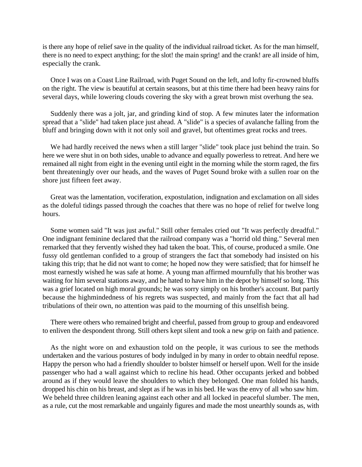is there any hope of relief save in the quality of the individual railroad ticket. As for the man himself, there is no need to expect anything; for the slot! the main spring! and the crank! are all inside of him, especially the crank.

Once I was on a Coast Line Railroad, with Puget Sound on the left, and lofty fir-crowned bluffs on the right. The view is beautiful at certain seasons, but at this time there had been heavy rains for several days, while lowering clouds covering the sky with a great brown mist overhung the sea.

Suddenly there was a jolt, jar, and grinding kind of stop. A few minutes later the information spread that a "slide" had taken place just ahead. A "slide" is a species of avalanche falling from the bluff and bringing down with it not only soil and gravel, but oftentimes great rocks and trees.

We had hardly received the news when a still larger "slide" took place just behind the train. So here we were shut in on both sides, unable to advance and equally powerless to retreat. And here we remained all night from eight in the evening until eight in the morning while the storm raged, the firs bent threateningly over our heads, and the waves of Puget Sound broke with a sullen roar on the shore just fifteen feet away.

Great was the lamentation, vociferation, expostulation, indignation and exclamation on all sides as the doleful tidings passed through the coaches that there was no hope of relief for twelve long hours.

Some women said "It was just awful." Still other females cried out "It was perfectly dreadful." One indignant feminine declared that the railroad company was a "horrid old thing." Several men remarked that they fervently wished they had taken the boat. This, of course, produced a smile. One fussy old gentleman confided to a group of strangers the fact that somebody had insisted on his taking this trip; that he did not want to come; he hoped now they were satisfied; that for himself he most earnestly wished he was safe at home. A young man affirmed mournfully that his brother was waiting for him several stations away, and he hated to have him in the depot by himself so long. This was a grief located on high moral grounds; he was sorry simply on his brother's account. But partly because the highmindedness of his regrets was suspected, and mainly from the fact that all had tribulations of their own, no attention was paid to the mourning of this unselfish being.

There were others who remained bright and cheerful, passed from group to group and endeavored to enliven the despondent throng. Still others kept silent and took a new grip on faith and patience.

As the night wore on and exhaustion told on the people, it was curious to see the methods undertaken and the various postures of body indulged in by many in order to obtain needful repose. Happy the person who had a friendly shoulder to bolster himself or herself upon. Well for the inside passenger who had a wall against which to recline his head. Other occupants jerked and bobbed around as if they would leave the shoulders to which they belonged. One man folded his hands, dropped his chin on his breast, and slept as if he was in his bed. He was the envy of all who saw him. We beheld three children leaning against each other and all locked in peaceful slumber. The men, as a rule, cut the most remarkable and ungainly figures and made the most unearthly sounds as, with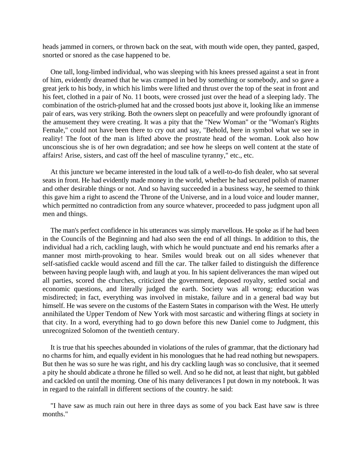heads jammed in corners, or thrown back on the seat, with mouth wide open, they panted, gasped, snorted or snored as the case happened to be.

One tall, long-limbed individual, who was sleeping with his knees pressed against a seat in front of him, evidently dreamed that he was cramped in bed by something or somebody, and so gave a great jerk to his body, in which his limbs were lifted and thrust over the top of the seat in front and his feet, clothed in a pair of No. 11 boots, were crossed just over the head of a sleeping lady. The combination of the ostrich-plumed hat and the crossed boots just above it, looking like an immense pair of ears, was very striking. Both the owners slept on peacefully and were profoundly ignorant of the amusement they were creating. It was a pity that the "New Woman" or the "Woman's Rights Female," could not have been there to cry out and say, "Behold, here in symbol what we see in reality! The foot of the man is lifted above the prostrate head of the woman. Look also how unconscious she is of her own degradation; and see how he sleeps on well content at the state of affairs! Arise, sisters, and cast off the heel of masculine tyranny," etc., etc.

At this juncture we became interested in the loud talk of a well-to-do fish dealer, who sat several seats in front. He had evidently made money in the world, whether he had secured polish of manner and other desirable things or not. And so having succeeded in a business way, he seemed to think this gave him a right to ascend the Throne of the Universe, and in a loud voice and louder manner, which permitted no contradiction from any source whatever, proceeded to pass judgment upon all men and things.

The man's perfect confidence in his utterances was simply marvellous. He spoke as if he had been in the Councils of the Beginning and had also seen the end of all things. In addition to this, the individual had a rich, cackling laugh, with which he would punctuate and end his remarks after a manner most mirth-provoking to hear. Smiles would break out on all sides whenever that self-satisfied cackle would ascend and fill the car. The talker failed to distinguish the difference between having people laugh with, and laugh at you. In his sapient deliverances the man wiped out all parties, scored the churches, criticized the government, deposed royalty, settled social and economic questions, and literally judged the earth. Society was all wrong; education was misdirected; in fact, everything was involved in mistake, failure and in a general bad way but himself. He was severe on the customs of the Eastern States in comparison with the West. He utterly annihilated the Upper Tendom of New York with most sarcastic and withering flings at society in that city. In a word, everything had to go down before this new Daniel come to Judgment, this unrecognized Solomon of the twentieth century.

It is true that his speeches abounded in violations of the rules of grammar, that the dictionary had no charms for him, and equally evident in his monologues that he had read nothing but newspapers. But then he was so sure he was right, and his dry cackling laugh was so conclusive, that it seemed a pity he should abdicate a throne he filled so well. And so he did not, at least that night, but gabbled and cackled on until the morning. One of his many deliverances I put down in my notebook. It was in regard to the rainfall in different sections of the country. he said:

"I have saw as much rain out here in three days as some of you back East have saw is three months."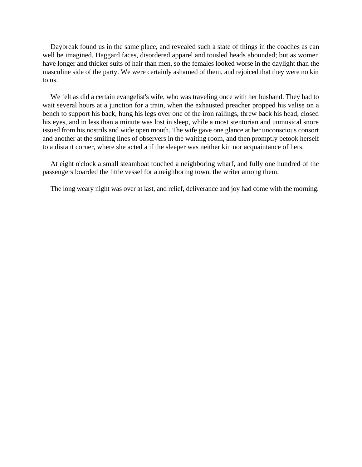Daybreak found us in the same place, and revealed such a state of things in the coaches as can well be imagined. Haggard faces, disordered apparel and tousled heads abounded; but as women have longer and thicker suits of hair than men, so the females looked worse in the daylight than the masculine side of the party. We were certainly ashamed of them, and rejoiced that they were no kin to us.

We felt as did a certain evangelist's wife, who was traveling once with her husband. They had to wait several hours at a junction for a train, when the exhausted preacher propped his valise on a bench to support his back, hung his legs over one of the iron railings, threw back his head, closed his eyes, and in less than a minute was lost in sleep, while a most stentorian and unmusical snore issued from his nostrils and wide open mouth. The wife gave one glance at her unconscious consort and another at the smiling lines of observers in the waiting room, and then promptly betook herself to a distant corner, where she acted a if the sleeper was neither kin nor acquaintance of hers.

At eight o'clock a small steamboat touched a neighboring wharf, and fully one hundred of the passengers boarded the little vessel for a neighboring town, the writer among them.

The long weary night was over at last, and relief, deliverance and joy had come with the morning.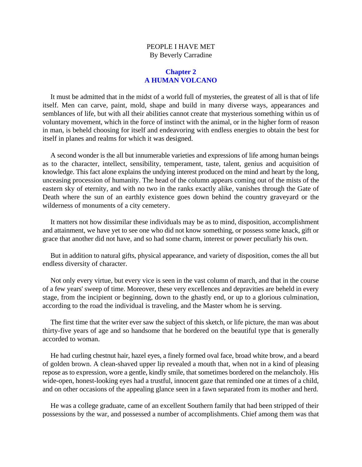#### **Chapter 2 A HUMAN VOLCANO**

<span id="page-14-0"></span>It must be admitted that in the midst of a world full of mysteries, the greatest of all is that of life itself. Men can carve, paint, mold, shape and build in many diverse ways, appearances and semblances of life, but with all their abilities cannot create that mysterious something within us of voluntary movement, which in the force of instinct with the animal, or in the higher form of reason in man, is beheld choosing for itself and endeavoring with endless energies to obtain the best for itself in planes and realms for which it was designed.

A second wonder is the all but innumerable varieties and expressions of life among human beings as to the character, intellect, sensibility, temperament, taste, talent, genius and acquisition of knowledge. This fact alone explains the undying interest produced on the mind and heart by the long, unceasing procession of humanity. The head of the column appears coming out of the mists of the eastern sky of eternity, and with no two in the ranks exactly alike, vanishes through the Gate of Death where the sun of an earthly existence goes down behind the country graveyard or the wilderness of monuments of a city cemetery.

It matters not how dissimilar these individuals may be as to mind, disposition, accomplishment and attainment, we have yet to see one who did not know something, or possess some knack, gift or grace that another did not have, and so had some charm, interest or power peculiarly his own.

But in addition to natural gifts, physical appearance, and variety of disposition, comes the all but endless diversity of character.

Not only every virtue, but every vice is seen in the vast column of march, and that in the course of a few years' sweep of time. Moreover, these very excellences and depravities are beheld in every stage, from the incipient or beginning, down to the ghastly end, or up to a glorious culmination, according to the road the individual is traveling, and the Master whom he is serving.

The first time that the writer ever saw the subject of this sketch, or life picture, the man was about thirty-five years of age and so handsome that he bordered on the beautiful type that is generally accorded to woman.

He had curling chestnut hair, hazel eyes, a finely formed oval face, broad white brow, and a beard of golden brown. A clean-shaved upper lip revealed a mouth that, when not in a kind of pleasing repose as to expression, wore a gentle, kindly smile, that sometimes bordered on the melancholy. His wide-open, honest-looking eyes had a trustful, innocent gaze that reminded one at times of a child, and on other occasions of the appealing glance seen in a fawn separated from its mother and herd.

He was a college graduate, came of an excellent Southern family that had been stripped of their possessions by the war, and possessed a number of accomplishments. Chief among them was that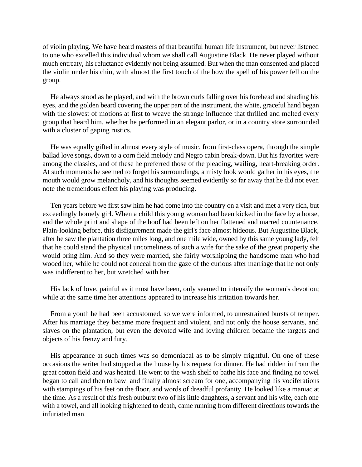of violin playing. We have heard masters of that beautiful human life instrument, but never listened to one who excelled this individual whom we shall call Augustine Black. He never played without much entreaty, his reluctance evidently not being assumed. But when the man consented and placed the violin under his chin, with almost the first touch of the bow the spell of his power fell on the group.

He always stood as he played, and with the brown curls falling over his forehead and shading his eyes, and the golden beard covering the upper part of the instrument, the white, graceful hand began with the slowest of motions at first to weave the strange influence that thrilled and melted every group that heard him, whether he performed in an elegant parlor, or in a country store surrounded with a cluster of gaping rustics.

He was equally gifted in almost every style of music, from first-class opera, through the simple ballad love songs, down to a corn field melody and Negro cabin break-down. But his favorites were among the classics, and of these he preferred those of the pleading, wailing, heart-breaking order. At such moments he seemed to forget his surroundings, a misty look would gather in his eyes, the mouth would grow melancholy, and his thoughts seemed evidently so far away that he did not even note the tremendous effect his playing was producing.

Ten years before we first saw him he had come into the country on a visit and met a very rich, but exceedingly homely girl. When a child this young woman had been kicked in the face by a horse, and the whole print and shape of the hoof had been left on her flattened and marred countenance. Plain-looking before, this disfigurement made the girl's face almost hideous. But Augustine Black, after he saw the plantation three miles long, and one mile wide, owned by this same young lady, felt that he could stand the physical uncomeliness of such a wife for the sake of the great property she would bring him. And so they were married, she fairly worshipping the handsome man who had wooed her, while he could not conceal from the gaze of the curious after marriage that he not only was indifferent to her, but wretched with her.

His lack of love, painful as it must have been, only seemed to intensify the woman's devotion; while at the same time her attentions appeared to increase his irritation towards her.

From a youth he had been accustomed, so we were informed, to unrestrained bursts of temper. After his marriage they became more frequent and violent, and not only the house servants, and slaves on the plantation, but even the devoted wife and loving children became the targets and objects of his frenzy and fury.

His appearance at such times was so demoniacal as to be simply frightful. On one of these occasions the writer had stopped at the house by his request for dinner. He had ridden in from the great cotton field and was heated. He went to the wash shelf to bathe his face and finding no towel began to call and then to bawl and finally almost scream for one, accompanying his vociferations with stampings of his feet on the floor, and words of dreadful profanity. He looked like a maniac at the time. As a result of this fresh outburst two of his little daughters, a servant and his wife, each one with a towel, and all looking frightened to death, came running from different directions towards the infuriated man.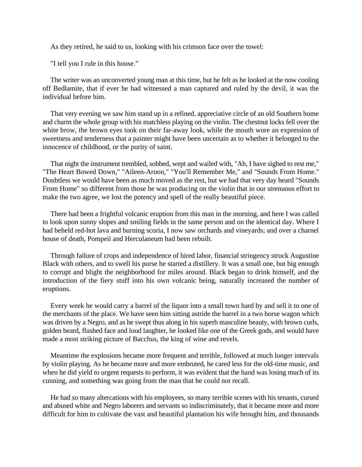As they retired, he said to us, looking with his crimson face over the towel:

"I tell you I rule in this house."

The writer was an unconverted young man at this time, but he felt as he looked at the now cooling off Bedlamite, that if ever he had witnessed a man captured and ruled by the devil, it was the individual before him.

That very evening we saw him stand up in a refined, appreciative circle of an old Southern home and charm the whole group with his matchless playing on the violin. The chestnut locks fell over the white brow, the brown eyes took on their far-away look, while the mouth wore an expression of sweetness and tenderness that a painter might have been uncertain as to whether it belonged to the innocence of childhood, or the purity of saint.

That night the instrument trembled, sobbed, wept and wailed with, "Ah, I have sighed to rest me," "The Heart Bowed Down," "Aileen-Aroon," "You'll Remember Me," and "Sounds From Home." Doubtless we would have been as much moved as the rest, but we had that very day heard "Sounds From Home" so different from those he was producing on the violin that in our strenuous effort to make the two agree, we lost the potency and spell of the really beautiful piece.

There had been a frightful volcanic eruption from this man in the morning, and here I was called to look upon sunny slopes and smiling fields in the same person and on the identical day. Where I had beheld red-hot lava and burning scoria, I now saw orchards and vineyards; and over a charnel house of death, Pompeii and Herculaneum had been rebuilt.

Through failure of crops and independence of hired labor, financial stringency struck Augustine Black with others, and to swell his purse he started a distillery. It was a small one, but big enough to corrupt and blight the neighborhood for miles around. Black began to drink himself, and the introduction of the fiery stuff into his own volcanic being, naturally increased the number of eruptions.

Every week he would carry a barrel of the liquor into a small town hard by and sell it to one of the merchants of the place. We have seen him sitting astride the barrel in a two horse wagon which was driven by a Negro, and as he swept thus along in his superb masculine beauty, with brown curls, golden beard, flushed face and loud laughter, he looked like one of the Greek gods, and would have made a most striking picture of Bacchus, the king of wine and revels.

Meantime the explosions became more frequent and terrible, followed at much longer intervals by violin playing. As he became more and more embruted, he cared less for the old-time music, and when he did yield to urgent requests to perform, it was evident that the hand was losing much of its cunning, and something was going from the man that he could not recall.

He had so many altercations with his employees, so many terrible scenes with his tenants, cursed and abused white and Negro laborers and servants so indiscriminately, that it became more and more difficult for him to cultivate the vast and beautiful plantation his wife brought him, and thousands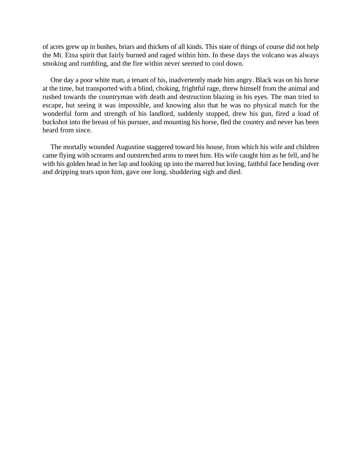of acres grew up in bushes, briars and thickets of all kinds. This state of things of course did not help the Mt. Etna spirit that fairly burned and raged within him. In these days the volcano was always smoking and rumbling, and the fire within never seemed to cool down.

One day a poor white man, a tenant of his, inadvertently made him angry. Black was on his horse at the time, but transported with a blind, choking, frightful rage, threw himself from the animal and rushed towards the countryman with death and destruction blazing in his eyes. The man tried to escape, but seeing it was impossible, and knowing also that he was no physical match for the wonderful form and strength of his landlord, suddenly stopped, drew his gun, fired a load of buckshot into the breast of his pursuer, and mounting his horse, fled the country and never has been heard from since.

The mortally wounded Augustine staggered toward his house, from which his wife and children came flying with screams and outstretched arms to meet him. His wife caught him as he fell, and he with his golden head in her lap and looking up into the marred but loving, faithful face bending over and dripping tears upon him, gave one long, shuddering sigh and died.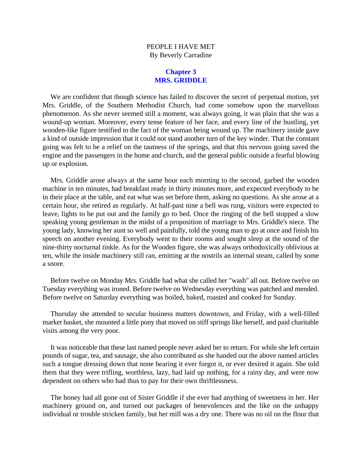#### **Chapter 3 MRS. GRIDDLE**

<span id="page-18-0"></span>We are confident that though science has failed to discover the secret of perpetual motion, yet Mrs. Griddle, of the Southern Methodist Church, had come somehow upon the marvellous phenomenon. As she never seemed still a moment, was always going, it was plain that she was a wound-up woman. Moreover, every tense feature of her face, and every line of the bustling, yet wooden-like figure testified to the fact of the woman being wound up. The machinery inside gave a kind of outside impression that it could not stand another turn of the key winder. That the constant going was felt to be a relief on the tautness of the springs, and that this nervous going saved the engine and the passengers in the home and church, and the general public outside a fearful blowing up or explosion.

Mrs. Griddle arose always at the same hour each morning to the second, garbed the wooden machine in ten minutes, had breakfast ready in thirty minutes more, and expected everybody to be in their place at the table, and eat what was set before them, asking no questions. As she arose at a certain hour, she retired as regularly. At half-past nine a bell was rung, visitors were expected to leave, lights to be put out and the family go to bed. Once the ringing of the bell stopped a slow speaking young gentleman in the midst of a proposition of marriage to Mrs. Griddle's niece. The young lady, knowing her aunt so well and painfully, told the young man to go at once and finish his speech on another evening. Everybody went to their rooms and sought sleep at the sound of the nine-thirty nocturnal tinkle. As for the Wooden figure, she was always orthodoxically oblivious at ten, while the inside machinery still ran, emitting at the nostrils an internal steam, called by some a snore.

Before twelve on Monday Mrs. Griddle had what she called her "wash" all out. Before twelve on Tuesday everything was ironed. Before twelve on Wednesday everything was patched and mended. Before twelve on Saturday everything was boiled, baked, roasted and cooked for Sunday.

Thursday she attended to secular business matters downtown, and Friday, with a well-filled market basket, she mounted a little pony that moved on stiff springs like herself, and paid charitable visits among the very poor.

It was noticeable that these last named people never asked her to return. For while she left certain pounds of sugar, tea, and sausage, she also contributed as she handed out the above named articles such a tongue dressing down that none hearing it ever forgot it, or ever desired it again. She told them that they were trifling, worthless, lazy, had laid up nothing, for a rainy day, and were now dependent on others who had thus to pay for their own thriftlessness.

The honey had all gone out of Sister Griddle if she ever had anything of sweetness in her. Her machinery ground on, and turned out packages of benevolences and the like on the unhappy individual or trouble stricken family, but her mill was a dry one. There was no oil on the flour that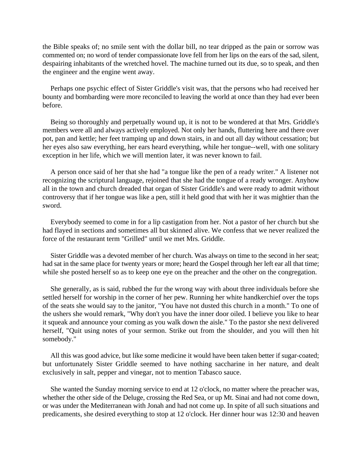the Bible speaks of; no smile sent with the dollar bill, no tear dripped as the pain or sorrow was commented on; no word of tender compassionate love fell from her lips on the ears of the sad, silent, despairing inhabitants of the wretched hovel. The machine turned out its due, so to speak, and then the engineer and the engine went away.

Perhaps one psychic effect of Sister Griddle's visit was, that the persons who had received her bounty and bombarding were more reconciled to leaving the world at once than they had ever been before.

Being so thoroughly and perpetually wound up, it is not to be wondered at that Mrs. Griddle's members were all and always actively employed. Not only her hands, fluttering here and there over pot, pan and kettle; her feet tramping up and down stairs, in and out all day without cessation; but her eyes also saw everything, her ears heard everything, while her tongue--well, with one solitary exception in her life, which we will mention later, it was never known to fail.

A person once said of her that she had "a tongue like the pen of a ready writer." A listener not recognizing the scriptural language, rejoined that she had the tongue of a ready wronger. Anyhow all in the town and church dreaded that organ of Sister Griddle's and were ready to admit without controversy that if her tongue was like a pen, still it held good that with her it was mightier than the sword.

Everybody seemed to come in for a lip castigation from her. Not a pastor of her church but she had flayed in sections and sometimes all but skinned alive. We confess that we never realized the force of the restaurant term "Grilled" until we met Mrs. Griddle.

Sister Griddle was a devoted member of her church. Was always on time to the second in her seat; had sat in the same place for twenty years or more; heard the Gospel through her left ear all that time; while she posted herself so as to keep one eye on the preacher and the other on the congregation.

She generally, as is said, rubbed the fur the wrong way with about three individuals before she settled herself for worship in the corner of her pew. Running her white handkerchief over the tops of the seats she would say to the janitor, "You have not dusted this church in a month." To one of the ushers she would remark, "Why don't you have the inner door oiled. I believe you like to hear it squeak and announce your coming as you walk down the aisle." To the pastor she next delivered herself, "Quit using notes of your sermon. Strike out from the shoulder, and you will then hit somebody."

All this was good advice, but like some medicine it would have been taken better if sugar-coated; but unfortunately Sister Griddle seemed to have nothing saccharine in her nature, and dealt exclusively in salt, pepper and vinegar, not to mention Tabasco sauce.

She wanted the Sunday morning service to end at 12 o'clock, no matter where the preacher was, whether the other side of the Deluge, crossing the Red Sea, or up Mt. Sinai and had not come down, or was under the Mediterranean with Jonah and had not come up. In spite of all such situations and predicaments, she desired everything to stop at 12 o'clock. Her dinner hour was 12:30 and heaven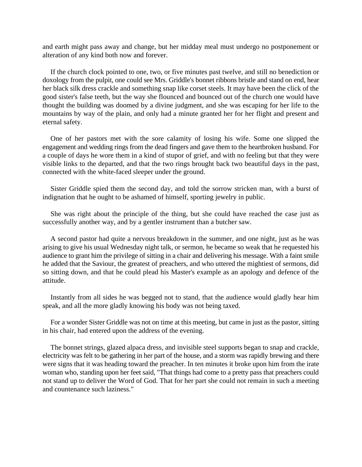and earth might pass away and change, but her midday meal must undergo no postponement or alteration of any kind both now and forever.

If the church clock pointed to one, two, or five minutes past twelve, and still no benediction or doxology from the pulpit, one could see Mrs. Griddle's bonnet ribbons bristle and stand on end, hear her black silk dress crackle and something snap like corset steels. It may have been the click of the good sister's false teeth, but the way she flounced and bounced out of the church one would have thought the building was doomed by a divine judgment, and she was escaping for her life to the mountains by way of the plain, and only had a minute granted her for her flight and present and eternal safety.

One of her pastors met with the sore calamity of losing his wife. Some one slipped the engagement and wedding rings from the dead fingers and gave them to the heartbroken husband. For a couple of days he wore them in a kind of stupor of grief, and with no feeling but that they were visible links to the departed, and that the two rings brought back two beautiful days in the past, connected with the white-faced sleeper under the ground.

Sister Griddle spied them the second day, and told the sorrow stricken man, with a burst of indignation that he ought to be ashamed of himself, sporting jewelry in public.

She was right about the principle of the thing, but she could have reached the case just as successfully another way, and by a gentler instrument than a butcher saw.

A second pastor had quite a nervous breakdown in the summer, and one night, just as he was arising to give his usual Wednesday night talk, or sermon, he became so weak that he requested his audience to grant him the privilege of sitting in a chair and delivering his message. With a faint smile he added that the Saviour, the greatest of preachers, and who uttered the mightiest of sermons, did so sitting down, and that he could plead his Master's example as an apology and defence of the attitude.

Instantly from all sides he was begged not to stand, that the audience would gladly hear him speak, and all the more gladly knowing his body was not being taxed.

For a wonder Sister Griddle was not on time at this meeting, but came in just as the pastor, sitting in his chair, had entered upon the address of the evening.

The bonnet strings, glazed alpaca dress, and invisible steel supports began to snap and crackle, electricity was felt to be gathering in her part of the house, and a storm was rapidly brewing and there were signs that it was heading toward the preacher. In ten minutes it broke upon him from the irate woman who, standing upon her feet said, "That things had come to a pretty pass that preachers could not stand up to deliver the Word of God. That for her part she could not remain in such a meeting and countenance such laziness."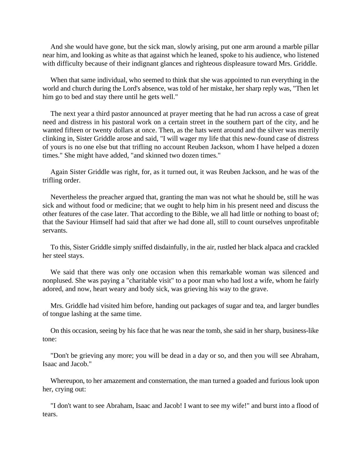And she would have gone, but the sick man, slowly arising, put one arm around a marble pillar near him, and looking as white as that against which he leaned, spoke to his audience, who listened with difficulty because of their indignant glances and righteous displeasure toward Mrs. Griddle.

When that same individual, who seemed to think that she was appointed to run everything in the world and church during the Lord's absence, was told of her mistake, her sharp reply was, "Then let him go to bed and stay there until he gets well."

The next year a third pastor announced at prayer meeting that he had run across a case of great need and distress in his pastoral work on a certain street in the southern part of the city, and he wanted fifteen or twenty dollars at once. Then, as the hats went around and the silver was merrily clinking in, Sister Griddle arose and said, "I will wager my life that this new-found case of distress of yours is no one else but that trifling no account Reuben Jackson, whom I have helped a dozen times." She might have added, "and skinned two dozen times."

Again Sister Griddle was right, for, as it turned out, it was Reuben Jackson, and he was of the trifling order.

Nevertheless the preacher argued that, granting the man was not what he should be, still he was sick and without food or medicine; that we ought to help him in his present need and discuss the other features of the case later. That according to the Bible, we all had little or nothing to boast of; that the Saviour Himself had said that after we had done all, still to count ourselves unprofitable servants.

To this, Sister Griddle simply sniffed disdainfully, in the air, rustled her black alpaca and crackled her steel stays.

We said that there was only one occasion when this remarkable woman was silenced and nonplused. She was paying a "charitable visit" to a poor man who had lost a wife, whom he fairly adored, and now, heart weary and body sick, was grieving his way to the grave.

Mrs. Griddle had visited him before, handing out packages of sugar and tea, and larger bundles of tongue lashing at the same time.

On this occasion, seeing by his face that he was near the tomb, she said in her sharp, business-like tone:

"Don't be grieving any more; you will be dead in a day or so, and then you will see Abraham, Isaac and Jacob."

Whereupon, to her amazement and consternation, the man turned a goaded and furious look upon her, crying out:

"I don't want to see Abraham, Isaac and Jacob! I want to see my wife!" and burst into a flood of tears.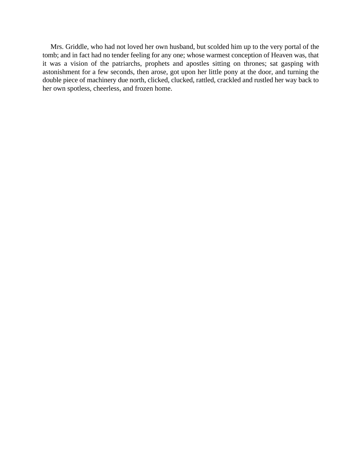Mrs. Griddle, who had not loved her own husband, but scolded him up to the very portal of the tomb; and in fact had no tender feeling for any one; whose warmest conception of Heaven was, that it was a vision of the patriarchs, prophets and apostles sitting on thrones; sat gasping with astonishment for a few seconds, then arose, got upon her little pony at the door, and turning the double piece of machinery due north, clicked, clucked, rattled, crackled and rustled her way back to her own spotless, cheerless, and frozen home.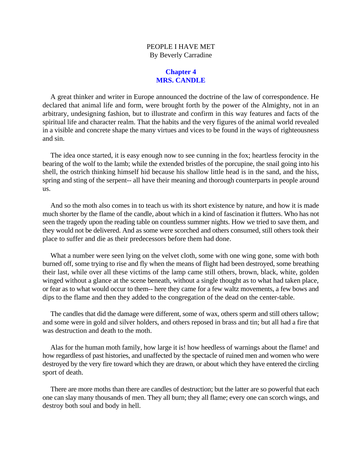#### **Chapter 4 MRS. CANDLE**

<span id="page-23-0"></span>A great thinker and writer in Europe announced the doctrine of the law of correspondence. He declared that animal life and form, were brought forth by the power of the Almighty, not in an arbitrary, undesigning fashion, but to illustrate and confirm in this way features and facts of the spiritual life and character realm. That the habits and the very figures of the animal world revealed in a visible and concrete shape the many virtues and vices to be found in the ways of righteousness and sin.

The idea once started, it is easy enough now to see cunning in the fox; heartless ferocity in the bearing of the wolf to the lamb; while the extended bristles of the porcupine, the snail going into his shell, the ostrich thinking himself hid because his shallow little head is in the sand, and the hiss, spring and sting of the serpent-- all have their meaning and thorough counterparts in people around us.

And so the moth also comes in to teach us with its short existence by nature, and how it is made much shorter by the flame of the candle, about which in a kind of fascination it flutters. Who has not seen the tragedy upon the reading table on countless summer nights. How we tried to save them, and they would not be delivered. And as some were scorched and others consumed, still others took their place to suffer and die as their predecessors before them had done.

What a number were seen lying on the velvet cloth, some with one wing gone, some with both burned off, some trying to rise and fly when the means of flight had been destroyed, some breathing their last, while over all these victims of the lamp came still others, brown, black, white, golden winged without a glance at the scene beneath, without a single thought as to what had taken place, or fear as to what would occur to them-- here they came for a few waltz movements, a few bows and dips to the flame and then they added to the congregation of the dead on the center-table.

The candles that did the damage were different, some of wax, others sperm and still others tallow; and some were in gold and silver holders, and others reposed in brass and tin; but all had a fire that was destruction and death to the moth.

Alas for the human moth family, how large it is! how heedless of warnings about the flame! and how regardless of past histories, and unaffected by the spectacle of ruined men and women who were destroyed by the very fire toward which they are drawn, or about which they have entered the circling sport of death.

There are more moths than there are candles of destruction; but the latter are so powerful that each one can slay many thousands of men. They all burn; they all flame; every one can scorch wings, and destroy both soul and body in hell.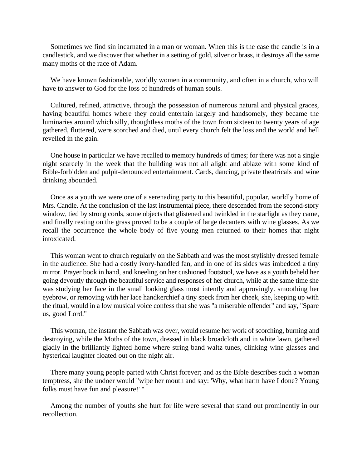Sometimes we find sin incarnated in a man or woman. When this is the case the candle is in a candlestick, and we discover that whether in a setting of gold, silver or brass, it destroys all the same many moths of the race of Adam.

We have known fashionable, worldly women in a community, and often in a church, who will have to answer to God for the loss of hundreds of human souls.

Cultured, refined, attractive, through the possession of numerous natural and physical graces, having beautiful homes where they could entertain largely and handsomely, they became the luminaries around which silly, thoughtless moths of the town from sixteen to twenty years of age gathered, fluttered, were scorched and died, until every church felt the loss and the world and hell revelled in the gain.

One house in particular we have recalled to memory hundreds of times; for there was not a single night scarcely in the week that the building was not all alight and ablaze with some kind of Bible-forbidden and pulpit-denounced entertainment. Cards, dancing, private theatricals and wine drinking abounded.

Once as a youth we were one of a serenading party to this beautiful, popular, worldly home of Mrs. Candle. At the conclusion of the last instrumental piece, there descended from the second-story window, tied by strong cords, some objects that glistened and twinkled in the starlight as they came, and finally resting on the grass proved to be a couple of large decanters with wine glasses. As we recall the occurrence the whole body of five young men returned to their homes that night intoxicated.

This woman went to church regularly on the Sabbath and was the most stylishly dressed female in the audience. She had a costly ivory-handled fan, and in one of its sides was imbedded a tiny mirror. Prayer book in hand, and kneeling on her cushioned footstool, we have as a youth beheld her going devoutly through the beautiful service and responses of her church, while at the same time she was studying her face in the small looking glass most intently and approvingly. smoothing her eyebrow, or removing with her lace handkerchief a tiny speck from her cheek, she, keeping up with the ritual, would in a low musical voice confess that she was "a miserable offender" and say, "Spare us, good Lord."

This woman, the instant the Sabbath was over, would resume her work of scorching, burning and destroying, while the Moths of the town, dressed in black broadcloth and in white lawn, gathered gladly in the brilliantly lighted home where string band waltz tunes, clinking wine glasses and hysterical laughter floated out on the night air.

There many young people parted with Christ forever; and as the Bible describes such a woman temptress, she the undoer would "wipe her mouth and say: 'Why, what harm have I done? Young folks must have fun and pleasure!' "

Among the number of youths she hurt for life were several that stand out prominently in our recollection.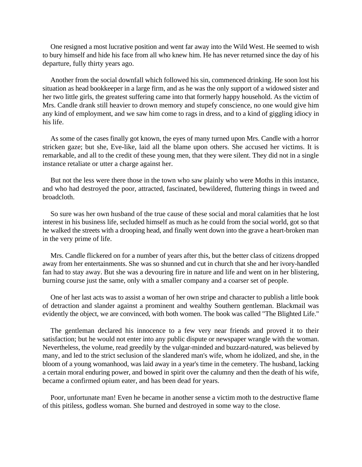One resigned a most lucrative position and went far away into the Wild West. He seemed to wish to bury himself and hide his face from all who knew him. He has never returned since the day of his departure, fully thirty years ago.

Another from the social downfall which followed his sin, commenced drinking. He soon lost his situation as head bookkeeper in a large firm, and as he was the only support of a widowed sister and her two little girls, the greatest suffering came into that formerly happy household. As the victim of Mrs. Candle drank still heavier to drown memory and stupefy conscience, no one would give him any kind of employment, and we saw him come to rags in dress, and to a kind of giggling idiocy in his life.

As some of the cases finally got known, the eyes of many turned upon Mrs. Candle with a horror stricken gaze; but she, Eve-like, laid all the blame upon others. She accused her victims. It is remarkable, and all to the credit of these young men, that they were silent. They did not in a single instance retaliate or utter a charge against her.

But not the less were there those in the town who saw plainly who were Moths in this instance, and who had destroyed the poor, attracted, fascinated, bewildered, fluttering things in tweed and broadcloth.

So sure was her own husband of the true cause of these social and moral calamities that he lost interest in his business life, secluded himself as much as he could from the social world, got so that he walked the streets with a drooping head, and finally went down into the grave a heart-broken man in the very prime of life.

Mrs. Candle flickered on for a number of years after this, but the better class of citizens dropped away from her entertainments. She was so shunned and cut in church that she and her ivory-handled fan had to stay away. But she was a devouring fire in nature and life and went on in her blistering, burning course just the same, only with a smaller company and a coarser set of people.

One of her last acts was to assist a woman of her own stripe and character to publish a little book of detraction and slander against a prominent and wealthy Southern gentleman. Blackmail was evidently the object, we are convinced, with both women. The book was called "The Blighted Life."

The gentleman declared his innocence to a few very near friends and proved it to their satisfaction; but he would not enter into any public dispute or newspaper wrangle with the woman. Nevertheless, the volume, read greedily by the vulgar-minded and buzzard-natured, was believed by many, and led to the strict seclusion of the slandered man's wife, whom he idolized, and she, in the bloom of a young womanhood, was laid away in a year's time in the cemetery. The husband, lacking a certain moral enduring power, and bowed in spirit over the calumny and then the death of his wife, became a confirmed opium eater, and has been dead for years.

Poor, unfortunate man! Even he became in another sense a victim moth to the destructive flame of this pitiless, godless woman. She burned and destroyed in some way to the close.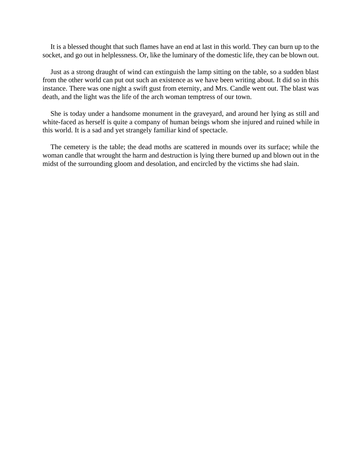It is a blessed thought that such flames have an end at last in this world. They can burn up to the socket, and go out in helplessness. Or, like the luminary of the domestic life, they can be blown out.

Just as a strong draught of wind can extinguish the lamp sitting on the table, so a sudden blast from the other world can put out such an existence as we have been writing about. It did so in this instance. There was one night a swift gust from eternity, and Mrs. Candle went out. The blast was death, and the light was the life of the arch woman temptress of our town.

She is today under a handsome monument in the graveyard, and around her lying as still and white-faced as herself is quite a company of human beings whom she injured and ruined while in this world. It is a sad and yet strangely familiar kind of spectacle.

The cemetery is the table; the dead moths are scattered in mounds over its surface; while the woman candle that wrought the harm and destruction is lying there burned up and blown out in the midst of the surrounding gloom and desolation, and encircled by the victims she had slain.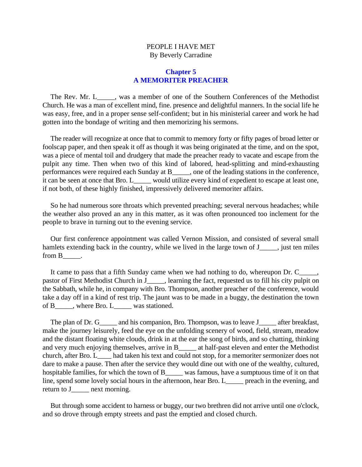#### **Chapter 5 A MEMORITER PREACHER**

<span id="page-27-0"></span>The Rev. Mr. L<sub>\_\_\_\_\_</sub>, was a member of one of the Southern Conferences of the Methodist Church. He was a man of excellent mind, fine. presence and delightful manners. In the social life he was easy, free, and in a proper sense self-confident; but in his ministerial career and work he had gotten into the bondage of writing and then memorizing his sermons.

The reader will recognize at once that to commit to memory forty or fifty pages of broad letter or foolscap paper, and then speak it off as though it was being originated at the time, and on the spot, was a piece of mental toil and drudgery that made the preacher ready to vacate and escape from the pulpit any time. Then when two of this kind of labored, head-splitting and mind-exhausting performances were required each Sunday at B\_\_\_\_\_, one of the leading stations in the conference, it can be seen at once that Bro. L\_\_\_\_\_ would utilize every kind of expedient to escape at least one, if not both, of these highly finished, impressively delivered memoriter affairs.

So he had numerous sore throats which prevented preaching; several nervous headaches; while the weather also proved an any in this matter, as it was often pronounced too inclement for the people to brave in turning out to the evening service.

Our first conference appointment was called Vernon Mission, and consisted of several small hamlets extending back in the country, while we lived in the large town of J\_\_\_\_, just ten miles from B\_\_\_\_\_\_.

It came to pass that a fifth Sunday came when we had nothing to do, whereupon Dr. C\_\_\_\_, pastor of First Methodist Church in J\_\_\_\_\_, learning the fact, requested us to fill his city pulpit on the Sabbath, while he, in company with Bro. Thompson, another preacher of the conference, would take a day off in a kind of rest trip. The jaunt was to be made in a buggy, the destination the town of B\_\_\_\_\_, where Bro. L\_\_\_\_\_ was stationed.

The plan of Dr. G\_\_\_\_\_ and his companion, Bro. Thompson, was to leave J\_\_\_\_\_ after breakfast, make the journey leisurely, feed the eye on the unfolding scenery of wood, field, stream, meadow and the distant floating white clouds, drink in at the ear the song of birds, and so chatting, thinking and very much enjoying themselves, arrive in B\_\_\_\_\_ at half-past eleven and enter the Methodist church, after Bro. L\_\_\_\_ had taken his text and could not stop, for a memoriter sermonizer does not dare to make a pause. Then after the service they would dine out with one of the wealthy, cultured, hospitable families, for which the town of B\_\_\_\_\_ was famous, have a sumptuous time of it on that line, spend some lovely social hours in the afternoon, hear Bro. L\_\_\_\_\_ preach in the evening, and return to J\_\_\_\_\_ next morning.

But through some accident to harness or buggy, our two brethren did not arrive until one o'clock, and so drove through empty streets and past the emptied and closed church.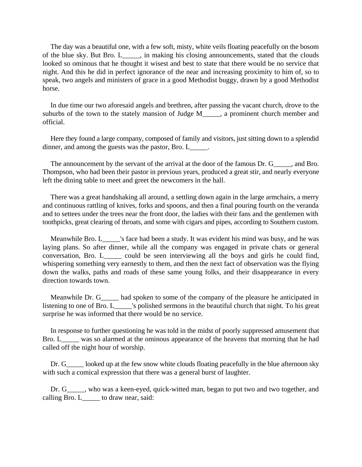The day was a beautiful one, with a few soft, misty, white veils floating peacefully on the bosom of the blue sky. But Bro. L\_\_\_\_\_, in making his closing announcements, stated that the clouds looked so ominous that he thought it wisest and best to state that there would be no service that night. And this he did in perfect ignorance of the near and increasing proximity to him of, so to speak, two angels and ministers of grace in a good Methodist buggy, drawn by a good Methodist horse.

In due time our two aforesaid angels and brethren, after passing the vacant church, drove to the suburbs of the town to the stately mansion of Judge M<sub>\_\_\_\_</sub>, a prominent church member and official.

Here they found a large company, composed of family and visitors, just sitting down to a splendid dinner, and among the guests was the pastor, Bro. L\_\_\_\_\_.

The announcement by the servant of the arrival at the door of the famous Dr. G\_\_\_\_, and Bro. Thompson, who had been their pastor in previous years, produced a great stir, and nearly everyone left the dining table to meet and greet the newcomers in the hall.

There was a great handshaking all around, a settling down again in the large armchairs, a merry and continuous rattling of knives, forks and spoons, and then a final pouring fourth on the veranda and to settees under the trees near the front door, the ladies with their fans and the gentlemen with toothpicks, great clearing of throats, and some with cigars and pipes, according to Southern custom.

Meanwhile Bro. L\_\_\_\_\_\_'s face had been a study. It was evident his mind was busy, and he was laying plans. So after dinner, while all the company was engaged in private chats or general conversation, Bro. L\_\_\_\_\_ could be seen interviewing all the boys and girls he could find, whispering something very earnestly to them, and then the next fact of observation was the flying down the walks, paths and roads of these same young folks, and their disappearance in every direction towards town.

Meanwhile Dr. G\_\_\_\_\_ had spoken to some of the company of the pleasure he anticipated in listening to one of Bro. L\_\_\_\_\_'s polished sermons in the beautiful church that night. To his great surprise he was informed that there would be no service.

In response to further questioning he was told in the midst of poorly suppressed amusement that Bro. L\_\_\_\_\_ was so alarmed at the ominous appearance of the heavens that morning that he had called off the night hour of worship.

Dr. G\_\_\_\_\_\_ looked up at the few snow white clouds floating peacefully in the blue afternoon sky with such a comical expression that there was a general burst of laughter.

Dr. G<sub>\_\_\_\_\_</sub>, who was a keen-eyed, quick-witted man, began to put two and two together, and calling Bro. L\_\_\_\_\_ to draw near, said: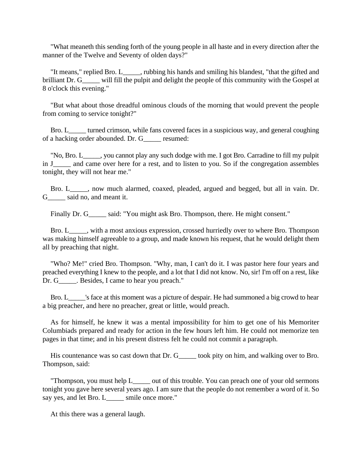"What meaneth this sending forth of the young people in all haste and in every direction after the manner of the Twelve and Seventy of olden days?"

"It means," replied Bro. L\_\_\_\_\_, rubbing his hands and smiling his blandest, "that the gifted and brilliant Dr. G\_\_\_\_\_ will fill the pulpit and delight the people of this community with the Gospel at 8 o'clock this evening."

"But what about those dreadful ominous clouds of the morning that would prevent the people from coming to service tonight?"

Bro. L\_\_\_\_\_ turned crimson, while fans covered faces in a suspicious way, and general coughing of a hacking order abounded. Dr. G\_\_\_\_\_ resumed:

"No, Bro. L\_\_\_\_\_, you cannot play any such dodge with me. I got Bro. Carradine to fill my pulpit in J\_\_\_\_\_ and came over here for a rest, and to listen to you. So if the congregation assembles tonight, they will not hear me."

Bro. L\_\_\_\_\_, now much alarmed, coaxed, pleaded, argued and begged, but all in vain. Dr. G<sub>said no, and meant it.</sub>

Finally Dr. G\_\_\_\_\_ said: "You might ask Bro. Thompson, there. He might consent."

Bro. L\_\_\_\_\_, with a most anxious expression, crossed hurriedly over to where Bro. Thompson was making himself agreeable to a group, and made known his request, that he would delight them all by preaching that night.

"Who? Me!" cried Bro. Thompson. "Why, man, I can't do it. I was pastor here four years and preached everything I knew to the people, and a lot that I did not know. No, sir! I'm off on a rest, like Dr. G\_\_\_\_\_\_. Besides, I came to hear you preach."

Bro. L\_\_\_\_\_\_'s face at this moment was a picture of despair. He had summoned a big crowd to hear a big preacher, and here no preacher, great or little, would preach.

As for himself, he knew it was a mental impossibility for him to get one of his Memoriter Columbiads prepared and ready for action in the few hours left him. He could not memorize ten pages in that time; and in his present distress felt he could not commit a paragraph.

His countenance was so cast down that Dr. G\_\_\_\_\_ took pity on him, and walking over to Bro. Thompson, said:

"Thompson, you must help L\_\_\_\_\_ out of this trouble. You can preach one of your old sermons tonight you gave here several years ago. I am sure that the people do not remember a word of it. So say yes, and let Bro. L\_\_\_\_\_ smile once more."

At this there was a general laugh.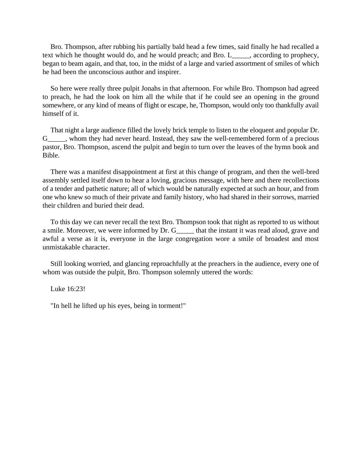Bro. Thompson, after rubbing his partially bald head a few times, said finally he had recalled a text which he thought would do, and he would preach; and Bro. L\_\_\_\_\_, according to prophecy, began to beam again, and that, too, in the midst of a large and varied assortment of smiles of which he had been the unconscious author and inspirer.

So here were really three pulpit Jonahs in that afternoon. For while Bro. Thompson had agreed to preach, he had the look on him all the while that if he could see an opening in the ground somewhere, or any kind of means of flight or escape, he, Thompson, would only too thankfully avail himself of it.

That night a large audience filled the lovely brick temple to listen to the eloquent and popular Dr. G\_\_\_\_\_, whom they had never heard. Instead, they saw the well-remembered form of a precious pastor, Bro. Thompson, ascend the pulpit and begin to turn over the leaves of the hymn book and Bible.

There was a manifest disappointment at first at this change of program, and then the well-bred assembly settled itself down to hear a loving, gracious message, with here and there recollections of a tender and pathetic nature; all of which would be naturally expected at such an hour, and from one who knew so much of their private and family history, who had shared in their sorrows, married their children and buried their dead.

To this day we can never recall the text Bro. Thompson took that night as reported to us without a smile. Moreover, we were informed by Dr. G\_\_\_\_\_ that the instant it was read aloud, grave and awful a verse as it is, everyone in the large congregation wore a smile of broadest and most unmistakable character.

Still looking worried, and glancing reproachfully at the preachers in the audience, every one of whom was outside the pulpit, Bro. Thompson solemnly uttered the words:

Luke 16:23!

"In hell he lifted up his eyes, being in torment!"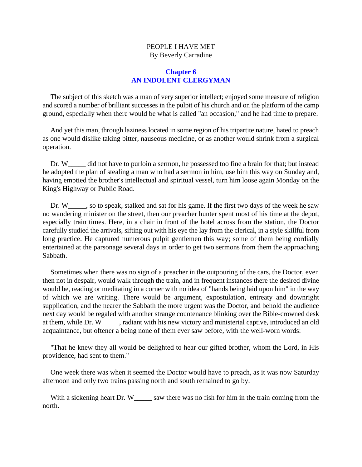#### **Chapter 6 AN INDOLENT CLERGYMAN**

<span id="page-31-0"></span>The subject of this sketch was a man of very superior intellect; enjoyed some measure of religion and scored a number of brilliant successes in the pulpit of his church and on the platform of the camp ground, especially when there would be what is called "an occasion," and he had time to prepare.

And yet this man, through laziness located in some region of his tripartite nature, hated to preach as one would dislike taking bitter, nauseous medicine, or as another would shrink from a surgical operation.

Dr. W\_\_\_\_\_ did not have to purloin a sermon, he possessed too fine a brain for that; but instead he adopted the plan of stealing a man who had a sermon in him, use him this way on Sunday and, having emptied the brother's intellectual and spiritual vessel, turn him loose again Monday on the King's Highway or Public Road.

Dr. W<sub>\_\_\_\_\_</sub>, so to speak, stalked and sat for his game. If the first two days of the week he saw no wandering minister on the street, then our preacher hunter spent most of his time at the depot, especially train times. Here, in a chair in front of the hotel across from the station, the Doctor carefully studied the arrivals, sifting out with his eye the lay from the clerical, in a style skillful from long practice. He captured numerous pulpit gentlemen this way; some of them being cordially entertained at the parsonage several days in order to get two sermons from them the approaching Sabbath.

Sometimes when there was no sign of a preacher in the outpouring of the cars, the Doctor, even then not in despair, would walk through the train, and in frequent instances there the desired divine would be, reading or meditating in a corner with no idea of "hands being laid upon him" in the way of which we are writing. There would be argument, expostulation, entreaty and downright supplication, and the nearer the Sabbath the more urgent was the Doctor, and behold the audience next day would be regaled with another strange countenance blinking over the Bible-crowned desk at them, while Dr. W\_\_\_\_\_, radiant with his new victory and ministerial captive, introduced an old acquaintance, but oftener a being none of them ever saw before, with the well-worn words:

"That he knew they all would be delighted to hear our gifted brother, whom the Lord, in His providence, had sent to them."

One week there was when it seemed the Doctor would have to preach, as it was now Saturday afternoon and only two trains passing north and south remained to go by.

With a sickening heart Dr. W\_\_\_\_\_ saw there was no fish for him in the train coming from the north.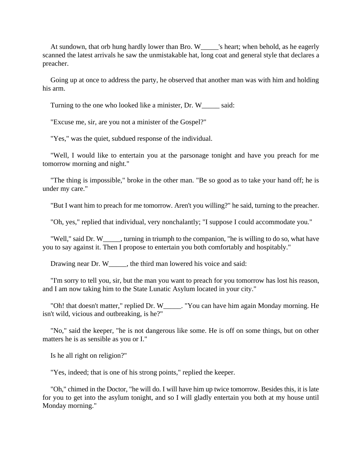At sundown, that orb hung hardly lower than Bro. W\_\_\_\_\_'s heart; when behold, as he eagerly scanned the latest arrivals he saw the unmistakable hat, long coat and general style that declares a preacher.

Going up at once to address the party, he observed that another man was with him and holding his arm.

Turning to the one who looked like a minister, Dr. W\_\_\_\_\_ said:

"Excuse me, sir, are you not a minister of the Gospel?"

"Yes," was the quiet, subdued response of the individual.

"Well, I would like to entertain you at the parsonage tonight and have you preach for me tomorrow morning and night."

"The thing is impossible," broke in the other man. "Be so good as to take your hand off; he is under my care."

"But I want him to preach for me tomorrow. Aren't you willing?" he said, turning to the preacher.

"Oh, yes," replied that individual, very nonchalantly; "I suppose I could accommodate you."

"Well," said Dr. W\_\_\_\_\_, turning in triumph to the companion, "he is willing to do so, what have you to say against it. Then I propose to entertain you both comfortably and hospitably."

Drawing near Dr. W find man lowered his voice and said:

"I'm sorry to tell you, sir, but the man you want to preach for you tomorrow has lost his reason, and I am now taking him to the State Lunatic Asylum located in your city."

"Oh! that doesn't matter," replied Dr. W\_\_\_\_\_. "You can have him again Monday morning. He isn't wild, vicious and outbreaking, is he?"

"No," said the keeper, "he is not dangerous like some. He is off on some things, but on other matters he is as sensible as you or I."

Is he all right on religion?"

"Yes, indeed; that is one of his strong points," replied the keeper.

"Oh," chimed in the Doctor, "he will do. I will have him up twice tomorrow. Besides this, it is late for you to get into the asylum tonight, and so I will gladly entertain you both at my house until Monday morning."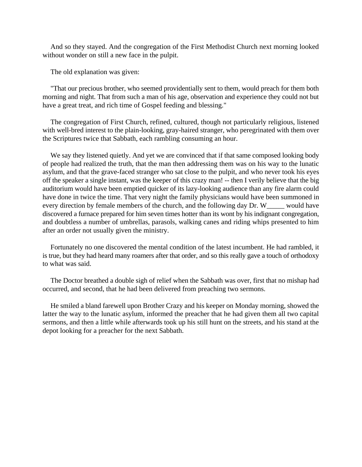And so they stayed. And the congregation of the First Methodist Church next morning looked without wonder on still a new face in the pulpit.

The old explanation was given:

"That our precious brother, who seemed providentially sent to them, would preach for them both morning and night. That from such a man of his age, observation and experience they could not but have a great treat, and rich time of Gospel feeding and blessing."

The congregation of First Church, refined, cultured, though not particularly religious, listened with well-bred interest to the plain-looking, gray-haired stranger, who peregrinated with them over the Scriptures twice that Sabbath, each rambling consuming an hour.

We say they listened quietly. And yet we are convinced that if that same composed looking body of people had realized the truth, that the man then addressing them was on his way to the lunatic asylum, and that the grave-faced stranger who sat close to the pulpit, and who never took his eyes off the speaker a single instant, was the keeper of this crazy man! -- then I verily believe that the big auditorium would have been emptied quicker of its lazy-looking audience than any fire alarm could have done in twice the time. That very night the family physicians would have been summoned in every direction by female members of the church, and the following day Dr. W\_\_\_\_\_ would have discovered a furnace prepared for him seven times hotter than its wont by his indignant congregation, and doubtless a number of umbrellas, parasols, walking canes and riding whips presented to him after an order not usually given the ministry.

Fortunately no one discovered the mental condition of the latest incumbent. He had rambled, it is true, but they had heard many roamers after that order, and so this really gave a touch of orthodoxy to what was said.

The Doctor breathed a double sigh of relief when the Sabbath was over, first that no mishap had occurred, and second, that he had been delivered from preaching two sermons.

He smiled a bland farewell upon Brother Crazy and his keeper on Monday morning, showed the latter the way to the lunatic asylum, informed the preacher that he had given them all two capital sermons, and then a little while afterwards took up his still hunt on the streets, and his stand at the depot looking for a preacher for the next Sabbath.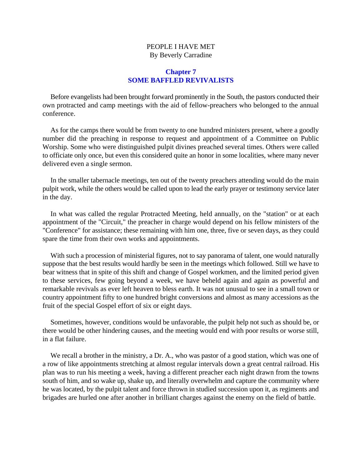#### **Chapter 7 SOME BAFFLED REVIVALISTS**

<span id="page-34-0"></span>Before evangelists had been brought forward prominently in the South, the pastors conducted their own protracted and camp meetings with the aid of fellow-preachers who belonged to the annual conference.

As for the camps there would be from twenty to one hundred ministers present, where a goodly number did the preaching in response to request and appointment of a Committee on Public Worship. Some who were distinguished pulpit divines preached several times. Others were called to officiate only once, but even this considered quite an honor in some localities, where many never delivered even a single sermon.

In the smaller tabernacle meetings, ten out of the twenty preachers attending would do the main pulpit work, while the others would be called upon to lead the early prayer or testimony service later in the day.

In what was called the regular Protracted Meeting, held annually, on the "station" or at each appointment of the "Circuit," the preacher in charge would depend on his fellow ministers of the "Conference" for assistance; these remaining with him one, three, five or seven days, as they could spare the time from their own works and appointments.

With such a procession of ministerial figures, not to say panorama of talent, one would naturally suppose that the best results would hardly be seen in the meetings which followed. Still we have to bear witness that in spite of this shift and change of Gospel workmen, and the limited period given to these services, few going beyond a week, we have beheld again and again as powerful and remarkable revivals as ever left heaven to bless earth. It was not unusual to see in a small town or country appointment fifty to one hundred bright conversions and almost as many accessions as the fruit of the special Gospel effort of six or eight days.

Sometimes, however, conditions would be unfavorable, the pulpit help not such as should be, or there would be other hindering causes, and the meeting would end with poor results or worse still, in a flat failure.

We recall a brother in the ministry, a Dr. A., who was pastor of a good station, which was one of a row of like appointments stretching at almost regular intervals down a great central railroad. His plan was to run his meeting a week, having a different preacher each night drawn from the towns south of him, and so wake up, shake up, and literally overwhelm and capture the community where he was located, by the pulpit talent and force thrown in studied succession upon it, as regiments and brigades are hurled one after another in brilliant charges against the enemy on the field of battle.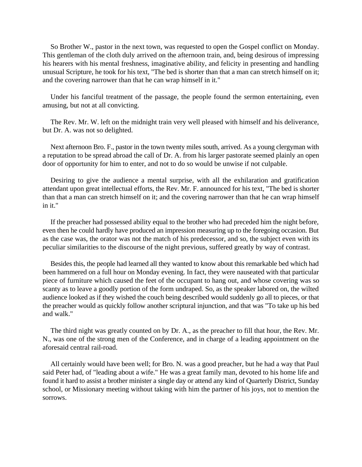So Brother W., pastor in the next town, was requested to open the Gospel conflict on Monday. This gentleman of the cloth duly arrived on the afternoon train, and, being desirous of impressing his hearers with his mental freshness, imaginative ability, and felicity in presenting and handling unusual Scripture, he took for his text, "The bed is shorter than that a man can stretch himself on it; and the covering narrower than that he can wrap himself in it."

Under his fanciful treatment of the passage, the people found the sermon entertaining, even amusing, but not at all convicting.

The Rev. Mr. W. left on the midnight train very well pleased with himself and his deliverance, but Dr. A. was not so delighted.

Next afternoon Bro. F., pastor in the town twenty miles south, arrived. As a young clergyman with a reputation to be spread abroad the call of Dr. A. from his larger pastorate seemed plainly an open door of opportunity for him to enter, and not to do so would be unwise if not culpable.

Desiring to give the audience a mental surprise, with all the exhilaration and gratification attendant upon great intellectual efforts, the Rev. Mr. F. announced for his text, "The bed is shorter than that a man can stretch himself on it; and the covering narrower than that he can wrap himself in it."

If the preacher had possessed ability equal to the brother who had preceded him the night before, even then he could hardly have produced an impression measuring up to the foregoing occasion. But as the case was, the orator was not the match of his predecessor, and so, the subject even with its peculiar similarities to the discourse of the night previous, suffered greatly by way of contrast.

Besides this, the people had learned all they wanted to know about this remarkable bed which had been hammered on a full hour on Monday evening. In fact, they were nauseated with that particular piece of furniture which caused the feet of the occupant to hang out, and whose covering was so scanty as to leave a goodly portion of the form undraped. So, as the speaker labored on, the wilted audience looked as if they wished the couch being described would suddenly go all to pieces, or that the preacher would as quickly follow another scriptural injunction, and that was "To take up his bed and walk."

The third night was greatly counted on by Dr. A., as the preacher to fill that hour, the Rev. Mr. N., was one of the strong men of the Conference, and in charge of a leading appointment on the aforesaid central rail-road.

All certainly would have been well; for Bro. N. was a good preacher, but he had a way that Paul said Peter had, of "leading about a wife." He was a great family man, devoted to his home life and found it hard to assist a brother minister a single day or attend any kind of Quarterly District, Sunday school, or Missionary meeting without taking with him the partner of his joys, not to mention the sorrows.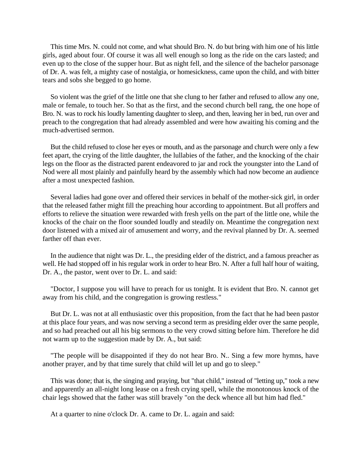This time Mrs. N. could not come, and what should Bro. N. do but bring with him one of his little girls, aged about four. Of course it was all well enough so long as the ride on the cars lasted; and even up to the close of the supper hour. But as night fell, and the silence of the bachelor parsonage of Dr. A. was felt, a mighty case of nostalgia, or homesickness, came upon the child, and with bitter tears and sobs she begged to go home.

So violent was the grief of the little one that she clung to her father and refused to allow any one, male or female, to touch her. So that as the first, and the second church bell rang, the one hope of Bro. N. was to rock his loudly lamenting daughter to sleep, and then, leaving her in bed, run over and preach to the congregation that had already assembled and were how awaiting his coming and the much-advertised sermon.

But the child refused to close her eyes or mouth, and as the parsonage and church were only a few feet apart, the crying of the little daughter, the lullabies of the father, and the knocking of the chair legs on the floor as the distracted parent endeavored to jar and rock the youngster into the Land of Nod were all most plainly and painfully heard by the assembly which had now become an audience after a most unexpected fashion.

Several ladies had gone over and offered their services in behalf of the mother-sick girl, in order that the released father might fill the preaching hour according to appointment. But all proffers and efforts to relieve the situation were rewarded with fresh yells on the part of the little one, while the knocks of the chair on the floor sounded loudly and steadily on. Meantime the congregation next door listened with a mixed air of amusement and worry, and the revival planned by Dr. A. seemed farther off than ever.

In the audience that night was Dr. L., the presiding elder of the district, and a famous preacher as well. He had stopped off in his regular work in order to hear Bro. N. After a full half hour of waiting, Dr. A., the pastor, went over to Dr. L. and said:

"Doctor, I suppose you will have to preach for us tonight. It is evident that Bro. N. cannot get away from his child, and the congregation is growing restless."

But Dr. L. was not at all enthusiastic over this proposition, from the fact that he had been pastor at this place four years, and was now serving a second term as presiding elder over the same people, and so had preached out all his big sermons to the very crowd sitting before him. Therefore he did not warm up to the suggestion made by Dr. A., but said:

"The people will be disappointed if they do not hear Bro. N.. Sing a few more hymns, have another prayer, and by that time surely that child will let up and go to sleep."

This was done; that is, the singing and praying, but "that child," instead of "letting up," took a new and apparently an all-night long lease on a fresh crying spell, while the monotonous knock of the chair legs showed that the father was still bravely "on the deck whence all but him had fled."

At a quarter to nine o'clock Dr. A. came to Dr. L. again and said: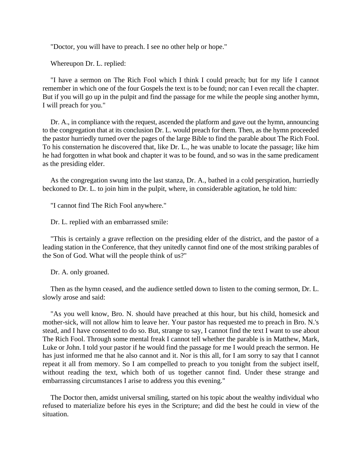"Doctor, you will have to preach. I see no other help or hope."

Whereupon Dr. L. replied:

"I have a sermon on The Rich Fool which I think I could preach; but for my life I cannot remember in which one of the four Gospels the text is to be found; nor can I even recall the chapter. But if you will go up in the pulpit and find the passage for me while the people sing another hymn, I will preach for you."

Dr. A., in compliance with the request, ascended the platform and gave out the hymn, announcing to the congregation that at its conclusion Dr. L. would preach for them. Then, as the hymn proceeded the pastor hurriedly turned over the pages of the large Bible to find the parable about The Rich Fool. To his consternation he discovered that, like Dr. L., he was unable to locate the passage; like him he had forgotten in what book and chapter it was to be found, and so was in the same predicament as the presiding elder.

As the congregation swung into the last stanza, Dr. A., bathed in a cold perspiration, hurriedly beckoned to Dr. L. to join him in the pulpit, where, in considerable agitation, he told him:

"I cannot find The Rich Fool anywhere."

Dr. L. replied with an embarrassed smile:

"This is certainly a grave reflection on the presiding elder of the district, and the pastor of a leading station in the Conference, that they unitedly cannot find one of the most striking parables of the Son of God. What will the people think of us?"

Dr. A. only groaned.

Then as the hymn ceased, and the audience settled down to listen to the coming sermon, Dr. L. slowly arose and said:

"As you well know, Bro. N. should have preached at this hour, but his child, homesick and mother-sick, will not allow him to leave her. Your pastor has requested me to preach in Bro. N.'s stead, and I have consented to do so. But, strange to say, I cannot find the text I want to use about The Rich Fool. Through some mental freak I cannot tell whether the parable is in Matthew, Mark, Luke or John. I told your pastor if he would find the passage for me I would preach the sermon. He has just informed me that he also cannot and it. Nor is this all, for I am sorry to say that I cannot repeat it all from memory. So I am compelled to preach to you tonight from the subject itself, without reading the text, which both of us together cannot find. Under these strange and embarrassing circumstances I arise to address you this evening."

The Doctor then, amidst universal smiling, started on his topic about the wealthy individual who refused to materialize before his eyes in the Scripture; and did the best he could in view of the situation.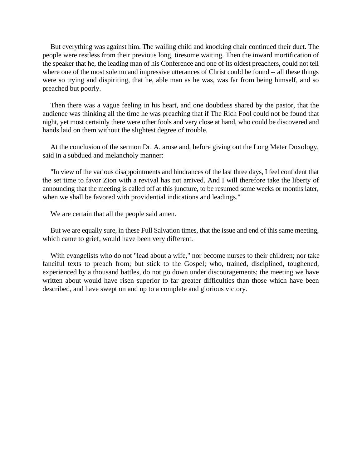But everything was against him. The wailing child and knocking chair continued their duet. The people were restless from their previous long, tiresome waiting. Then the inward mortification of the speaker that he, the leading man of his Conference and one of its oldest preachers, could not tell where one of the most solemn and impressive utterances of Christ could be found -- all these things were so trying and dispiriting, that he, able man as he was, was far from being himself, and so preached but poorly.

Then there was a vague feeling in his heart, and one doubtless shared by the pastor, that the audience was thinking all the time he was preaching that if The Rich Fool could not be found that night, yet most certainly there were other fools and very close at hand, who could be discovered and hands laid on them without the slightest degree of trouble.

At the conclusion of the sermon Dr. A. arose and, before giving out the Long Meter Doxology, said in a subdued and melancholy manner:

"In view of the various disappointments and hindrances of the last three days, I feel confident that the set time to favor Zion with a revival has not arrived. And I will therefore take the liberty of announcing that the meeting is called off at this juncture, to be resumed some weeks or months later, when we shall be favored with providential indications and leadings."

We are certain that all the people said amen.

But we are equally sure, in these Full Salvation times, that the issue and end of this same meeting, which came to grief, would have been very different.

With evangelists who do not "lead about a wife," nor become nurses to their children; nor take fanciful texts to preach from; but stick to the Gospel; who, trained, disciplined, toughened, experienced by a thousand battles, do not go down under discouragements; the meeting we have written about would have risen superior to far greater difficulties than those which have been described, and have swept on and up to a complete and glorious victory.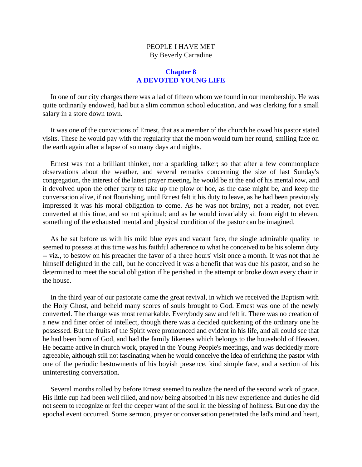#### **Chapter 8 A DEVOTED YOUNG LIFE**

In one of our city charges there was a lad of fifteen whom we found in our membership. He was quite ordinarily endowed, had but a slim common school education, and was clerking for a small salary in a store down town.

It was one of the convictions of Ernest, that as a member of the church he owed his pastor stated visits. These he would pay with the regularity that the moon would turn her round, smiling face on the earth again after a lapse of so many days and nights.

Ernest was not a brilliant thinker, nor a sparkling talker; so that after a few commonplace observations about the weather, and several remarks concerning the size of last Sunday's congregation, the interest of the latest prayer meeting, he would be at the end of his mental row, and it devolved upon the other party to take up the plow or hoe, as the case might be, and keep the conversation alive, if not flourishing, until Ernest felt it his duty to leave, as he had been previously impressed it was his moral obligation to come. As he was not brainy, not a reader, not even converted at this time, and so not spiritual; and as he would invariably sit from eight to eleven, something of the exhausted mental and physical condition of the pastor can be imagined.

As he sat before us with his mild blue eyes and vacant face, the single admirable quality he seemed to possess at this time was his faithful adherence to what he conceived to be his solemn duty -- viz., to bestow on his preacher the favor of a three hours' visit once a month. It was not that he himself delighted in the call, but he conceived it was a benefit that was due his pastor, and so he determined to meet the social obligation if he perished in the attempt or broke down every chair in the house.

In the third year of our pastorate came the great revival, in which we received the Baptism with the Holy Ghost, and beheld many scores of souls brought to God. Ernest was one of the newly converted. The change was most remarkable. Everybody saw and felt it. There was no creation of a new and finer order of intellect, though there was a decided quickening of the ordinary one he possessed. But the fruits of the Spirit were pronounced and evident in his life, and all could see that he had been born of God, and had the family likeness which belongs to the household of Heaven. He became active in church work, prayed in the Young People's meetings, and was decidedly more agreeable, although still not fascinating when he would conceive the idea of enriching the pastor with one of the periodic bestowments of his boyish presence, kind simple face, and a section of his uninteresting conversation.

Several months rolled by before Ernest seemed to realize the need of the second work of grace. His little cup had been well filled, and now being absorbed in his new experience and duties he did not seem to recognize or feel the deeper want of the soul in the blessing of holiness. But one day the epochal event occurred. Some sermon, prayer or conversation penetrated the lad's mind and heart,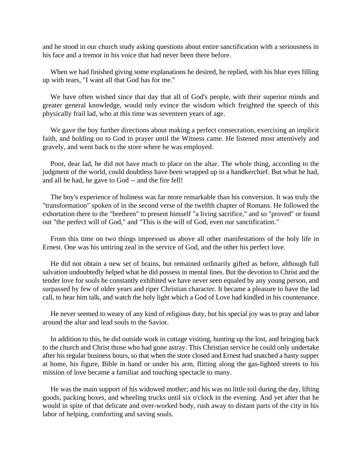and he stood in our church study asking questions about entire sanctification with a seriousness in his face and a tremor in his voice that had never been there before.

When we had finished giving some explanations he desired, he replied, with his blue eyes filling up with tears, "I want all that God has for me."

We have often wished since that day that all of God's people, with their superior minds and greater general knowledge, would only evince the wisdom which freighted the speech of this physically frail lad, who at this time was seventeen years of age.

We gave the boy further directions about making a perfect consecration, exercising an implicit faith, and holding on to God in prayer until the Witness came. He listened most attentively and gravely, and went back to the store where he was employed.

Poor, dear lad, he did not have much to place on the altar. The whole thing, according to the judgment of the world, could doubtless have been wrapped up in a handkerchief. But what he had, and all he had, he gave to God -- and the fire fell!

The boy's experience of holiness was far more remarkable than his conversion. It was truly the "transformation" spoken of in the second verse of the twelfth chapter of Romans. He followed the exhortation there to the "brethren" to present himself "a living sacrifice," and so "proved" or found out "the perfect will of God," and "This is the will of God, even our sanctification."

From this time on two things impressed us above all other manifestations of the holy life in Ernest. One was his untiring zeal in the service of God, and the other his perfect love.

He did not obtain a new set of brains, but remained ordinarily gifted as before, although full salvation undoubtedly helped what he did possess in mental lines. But the devotion to Christ and the tender love for souls he constantly exhibited we have never seen equaled by any young person, and surpassed by few of older years and riper Christian character. It became a pleasure to have the lad call, to hear him talk, and watch the holy light which a God of Love had kindled in his countenance.

He never seemed to weary of any kind of religious duty, but his special joy was to pray and labor around the altar and lead souls to the Savior.

In addition to this, he did outside work in cottage visiting, hunting up the lost, and bringing back to the church and Christ those who had gone astray. This Christian service he could only undertake after his regular business hours, so that when the store closed and Ernest had snatched a hasty supper at home, his figure, Bible in hand or under his arm, flitting along the gas-lighted streets to his mission of love became a familiar and touching spectacle to many.

He was the main support of his widowed mother; and his was no little toil during the day, lifting goods, packing boxes, and wheeling trucks until six o'clock in the evening. And yet after that he would in spite of that delicate and over-worked body, rush away to distant parts of the city in his labor of helping, comforting and saving souls.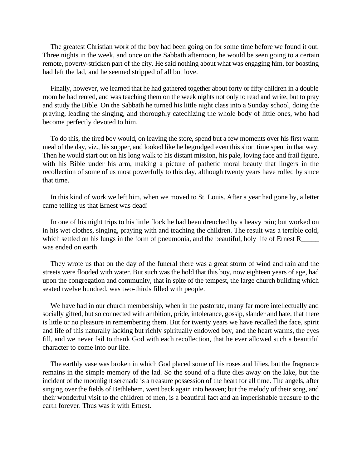The greatest Christian work of the boy had been going on for some time before we found it out. Three nights in the week, and once on the Sabbath afternoon, he would be seen going to a certain remote, poverty-stricken part of the city. He said nothing about what was engaging him, for boasting had left the lad, and he seemed stripped of all but love.

Finally, however, we learned that he had gathered together about forty or fifty children in a double room he had rented, and was teaching them on the week nights not only to read and write, but to pray and study the Bible. On the Sabbath he turned his little night class into a Sunday school, doing the praying, leading the singing, and thoroughly catechizing the whole body of little ones, who had become perfectly devoted to him.

To do this, the tired boy would, on leaving the store, spend but a few moments over his first warm meal of the day, viz., his supper, and looked like he begrudged even this short time spent in that way. Then he would start out on his long walk to his distant mission, his pale, loving face and frail figure, with his Bible under his arm, making a picture of pathetic moral beauty that lingers in the recollection of some of us most powerfully to this day, although twenty years have rolled by since that time.

In this kind of work we left him, when we moved to St. Louis. After a year had gone by, a letter came telling us that Ernest was dead!

In one of his night trips to his little flock he had been drenched by a heavy rain; but worked on in his wet clothes, singing, praying with and teaching the children. The result was a terrible cold, which settled on his lungs in the form of pneumonia, and the beautiful, holy life of Ernest R\_\_\_\_\_ was ended on earth.

They wrote us that on the day of the funeral there was a great storm of wind and rain and the streets were flooded with water. But such was the hold that this boy, now eighteen years of age, had upon the congregation and community, that in spite of the tempest, the large church building which seated twelve hundred, was two-thirds filled with people.

We have had in our church membership, when in the pastorate, many far more intellectually and socially gifted, but so connected with ambition, pride, intolerance, gossip, slander and hate, that there is little or no pleasure in remembering them. But for twenty years we have recalled the face, spirit and life of this naturally lacking but richly spiritually endowed boy, and the heart warms, the eyes fill, and we never fail to thank God with each recollection, that he ever allowed such a beautiful character to come into our life.

The earthly vase was broken in which God placed some of his roses and lilies, but the fragrance remains in the simple memory of the lad. So the sound of a flute dies away on the lake, but the incident of the moonlight serenade is a treasure possession of the heart for all time. The angels, after singing over the fields of Bethlehem, went back again into heaven; but the melody of their song, and their wonderful visit to the children of men, is a beautiful fact and an imperishable treasure to the earth forever. Thus was it with Ernest.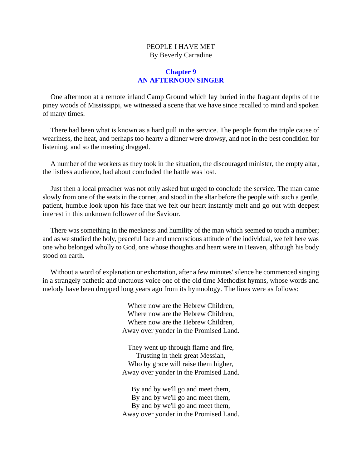### **Chapter 9 AN AFTERNOON SINGER**

One afternoon at a remote inland Camp Ground which lay buried in the fragrant depths of the piney woods of Mississippi, we witnessed a scene that we have since recalled to mind and spoken of many times.

There had been what is known as a hard pull in the service. The people from the triple cause of weariness, the heat, and perhaps too hearty a dinner were drowsy, and not in the best condition for listening, and so the meeting dragged.

A number of the workers as they took in the situation, the discouraged minister, the empty altar, the listless audience, had about concluded the battle was lost.

Just then a local preacher was not only asked but urged to conclude the service. The man came slowly from one of the seats in the corner, and stood in the altar before the people with such a gentle, patient, humble look upon his face that we felt our heart instantly melt and go out with deepest interest in this unknown follower of the Saviour.

There was something in the meekness and humility of the man which seemed to touch a number; and as we studied the holy, peaceful face and unconscious attitude of the individual, we felt here was one who belonged wholly to God, one whose thoughts and heart were in Heaven, although his body stood on earth.

Without a word of explanation or exhortation, after a few minutes' silence he commenced singing in a strangely pathetic and unctuous voice one of the old time Methodist hymns, whose words and melody have been dropped long years ago from its hymnology. The lines were as follows:

> Where now are the Hebrew Children, Where now are the Hebrew Children, Where now are the Hebrew Children, Away over yonder in the Promised Land.

> They went up through flame and fire, Trusting in their great Messiah, Who by grace will raise them higher, Away over yonder in the Promised Land.

> By and by we'll go and meet them, By and by we'll go and meet them, By and by we'll go and meet them, Away over yonder in the Promised Land.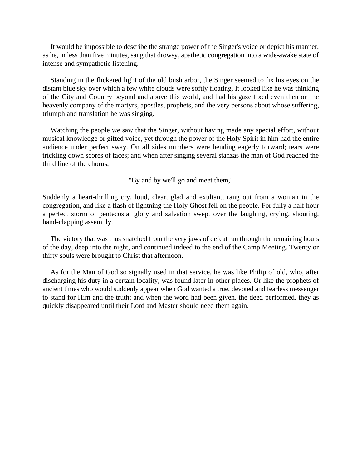It would be impossible to describe the strange power of the Singer's voice or depict his manner, as he, in less than five minutes, sang that drowsy, apathetic congregation into a wide-awake state of intense and sympathetic listening.

Standing in the flickered light of the old bush arbor, the Singer seemed to fix his eyes on the distant blue sky over which a few white clouds were softly floating. It looked like he was thinking of the City and Country beyond and above this world, and had his gaze fixed even then on the heavenly company of the martyrs, apostles, prophets, and the very persons about whose suffering, triumph and translation he was singing.

Watching the people we saw that the Singer, without having made any special effort, without musical knowledge or gifted voice, yet through the power of the Holy Spirit in him had the entire audience under perfect sway. On all sides numbers were bending eagerly forward; tears were trickling down scores of faces; and when after singing several stanzas the man of God reached the third line of the chorus,

"By and by we'll go and meet them,"

Suddenly a heart-thrilling cry, loud, clear, glad and exultant, rang out from a woman in the congregation, and like a flash of lightning the Holy Ghost fell on the people. For fully a half hour a perfect storm of pentecostal glory and salvation swept over the laughing, crying, shouting, hand-clapping assembly.

The victory that was thus snatched from the very jaws of defeat ran through the remaining hours of the day, deep into the night, and continued indeed to the end of the Camp Meeting. Twenty or thirty souls were brought to Christ that afternoon.

As for the Man of God so signally used in that service, he was like Philip of old, who, after discharging his duty in a certain locality, was found later in other places. Or like the prophets of ancient times who would suddenly appear when God wanted a true, devoted and fearless messenger to stand for Him and the truth; and when the word had been given, the deed performed, they as quickly disappeared until their Lord and Master should need them again.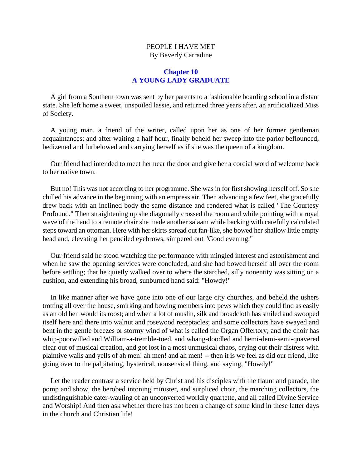#### **Chapter 10 A YOUNG LADY GRADUATE**

A girl from a Southern town was sent by her parents to a fashionable boarding school in a distant state. She left home a sweet, unspoiled lassie, and returned three years after, an artificialized Miss of Society.

A young man, a friend of the writer, called upon her as one of her former gentleman acquaintances; and after waiting a half hour, finally beheld her sweep into the parlor beflounced, bedizened and furbelowed and carrying herself as if she was the queen of a kingdom.

Our friend had intended to meet her near the door and give her a cordial word of welcome back to her native town.

But no! This was not according to her programme. She was in for first showing herself off. So she chilled his advance in the beginning with an empress air. Then advancing a few feet, she gracefully drew back with an inclined body the same distance and rendered what is called "The Courtesy Profound." Then straightening up she diagonally crossed the room and while pointing with a royal wave of the hand to a remote chair she made another salaam while backing with carefully calculated steps toward an ottoman. Here with her skirts spread out fan-like, she bowed her shallow little empty head and, elevating her penciled eyebrows, simpered out "Good evening."

Our friend said he stood watching the performance with mingled interest and astonishment and when he saw the opening services were concluded, and she had bowed herself all over the room before settling; that he quietly walked over to where the starched, silly nonentity was sitting on a cushion, and extending his broad, sunburned hand said: "Howdy!"

In like manner after we have gone into one of our large city churches, and beheld the ushers trotting all over the house, smirking and bowing members into pews which they could find as easily as an old hen would its roost; and when a lot of muslin, silk and broadcloth has smiled and swooped itself here and there into walnut and rosewood receptacles; and some collectors have swayed and bent in the gentle breezes or stormy wind of what is called the Organ Offertory; and the choir has whip-poorwilled and William-a-tremble-toed, and whang-doodled and hemi-demi-semi-quavered clear out of musical creation, and got lost in a most unmusical chaos, crying out their distress with plaintive wails and yells of ah men! ah men! and ah men! -- then it is we feel as did our friend, like going over to the palpitating, hysterical, nonsensical thing, and saying, "Howdy!"

Let the reader contrast a service held by Christ and his disciples with the flaunt and parade, the pomp and show, the berobed intoning minister, and surpliced choir, the marching collectors, the undistinguishable cater-wauling of an unconverted worldly quartette, and all called Divine Service and Worship! And then ask whether there has not been a change of some kind in these latter days in the church and Christian life!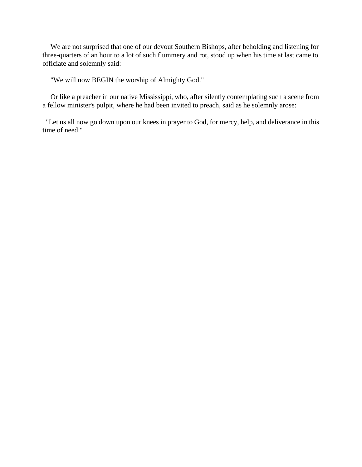We are not surprised that one of our devout Southern Bishops, after beholding and listening for three-quarters of an hour to a lot of such flummery and rot, stood up when his time at last came to officiate and solemnly said:

"We will now BEGIN the worship of Almighty God."

Or like a preacher in our native Mississippi, who, after silently contemplating such a scene from a fellow minister's pulpit, where he had been invited to preach, said as he solemnly arose:

 "Let us all now go down upon our knees in prayer to God, for mercy, help, and deliverance in this time of need."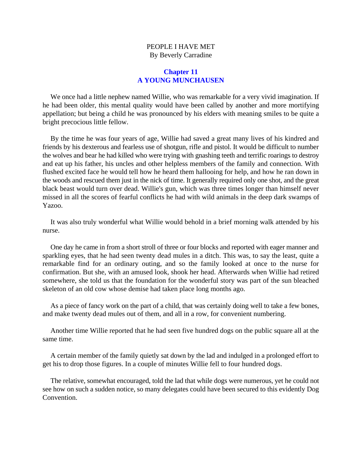#### **Chapter 11 A YOUNG MUNCHAUSEN**

We once had a little nephew named Willie, who was remarkable for a very vivid imagination. If he had been older, this mental quality would have been called by another and more mortifying appellation; but being a child he was pronounced by his elders with meaning smiles to be quite a bright precocious little fellow.

By the time he was four years of age, Willie had saved a great many lives of his kindred and friends by his dexterous and fearless use of shotgun, rifle and pistol. It would be difficult to number the wolves and bear he had killed who were trying with gnashing teeth and terrific roarings to destroy and eat up his father, his uncles and other helpless members of the family and connection. With flushed excited face he would tell how he heard them hallooing for help, and how he ran down in the woods and rescued them just in the nick of time. It generally required only one shot, and the great black beast would turn over dead. Willie's gun, which was three times longer than himself never missed in all the scores of fearful conflicts he had with wild animals in the deep dark swamps of Yazoo.

It was also truly wonderful what Willie would behold in a brief morning walk attended by his nurse.

One day he came in from a short stroll of three or four blocks and reported with eager manner and sparkling eyes, that he had seen twenty dead mules in a ditch. This was, to say the least, quite a remarkable find for an ordinary outing, and so the family looked at once to the nurse for confirmation. But she, with an amused look, shook her head. Afterwards when Willie had retired somewhere, she told us that the foundation for the wonderful story was part of the sun bleached skeleton of an old cow whose demise had taken place long months ago.

As a piece of fancy work on the part of a child, that was certainly doing well to take a few bones, and make twenty dead mules out of them, and all in a row, for convenient numbering.

Another time Willie reported that he had seen five hundred dogs on the public square all at the same time.

A certain member of the family quietly sat down by the lad and indulged in a prolonged effort to get his to drop those figures. In a couple of minutes Willie fell to four hundred dogs.

The relative, somewhat encouraged, told the lad that while dogs were numerous, yet he could not see how on such a sudden notice, so many delegates could have been secured to this evidently Dog Convention.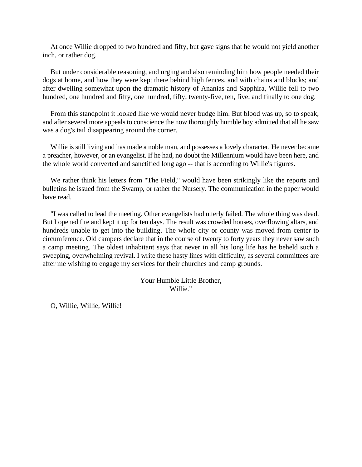At once Willie dropped to two hundred and fifty, but gave signs that he would not yield another inch, or rather dog.

But under considerable reasoning, and urging and also reminding him how people needed their dogs at home, and how they were kept there behind high fences, and with chains and blocks; and after dwelling somewhat upon the dramatic history of Ananias and Sapphira, Willie fell to two hundred, one hundred and fifty, one hundred, fifty, twenty-five, ten, five, and finally to one dog.

From this standpoint it looked like we would never budge him. But blood was up, so to speak, and after several more appeals to conscience the now thoroughly humble boy admitted that all he saw was a dog's tail disappearing around the corner.

Willie is still living and has made a noble man, and possesses a lovely character. He never became a preacher, however, or an evangelist. If he had, no doubt the Millennium would have been here, and the whole world converted and sanctified long ago -- that is according to Willie's figures.

We rather think his letters from "The Field," would have been strikingly like the reports and bulletins he issued from the Swamp, or rather the Nursery. The communication in the paper would have read.

"I was called to lead the meeting. Other evangelists had utterly failed. The whole thing was dead. But I opened fire and kept it up for ten days. The result was crowded houses, overflowing altars, and hundreds unable to get into the building. The whole city or county was moved from center to circumference. Old campers declare that in the course of twenty to forty years they never saw such a camp meeting. The oldest inhabitant says that never in all his long life has he beheld such a sweeping, overwhelming revival. I write these hasty lines with difficulty, as several committees are after me wishing to engage my services for their churches and camp grounds.

> Your Humble Little Brother, Willie."

O, Willie, Willie, Willie!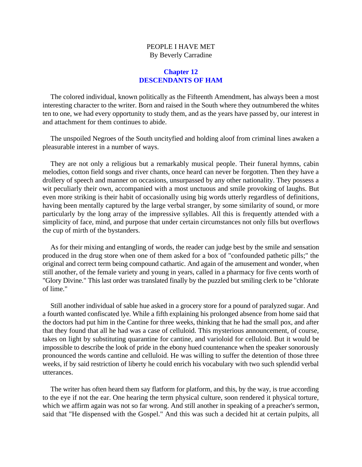#### **Chapter 12 DESCENDANTS OF HAM**

The colored individual, known politically as the Fifteenth Amendment, has always been a most interesting character to the writer. Born and raised in the South where they outnumbered the whites ten to one, we had every opportunity to study them, and as the years have passed by, our interest in and attachment for them continues to abide.

The unspoiled Negroes of the South uncityfied and holding aloof from criminal lines awaken a pleasurable interest in a number of ways.

They are not only a religious but a remarkably musical people. Their funeral hymns, cabin melodies, cotton field songs and river chants, once heard can never be forgotten. Then they have a drollery of speech and manner on occasions, unsurpassed by any other nationality. They possess a wit peculiarly their own, accompanied with a most unctuous and smile provoking of laughs. But even more striking is their habit of occasionally using big words utterly regardless of definitions, having been mentally captured by the large verbal stranger, by some similarity of sound, or more particularly by the long array of the impressive syllables. All this is frequently attended with a simplicity of face, mind, and purpose that under certain circumstances not only fills but overflows the cup of mirth of the bystanders.

As for their mixing and entangling of words, the reader can judge best by the smile and sensation produced in the drug store when one of them asked for a box of "confounded pathetic pills;" the original and correct term being compound cathartic. And again of the amusement and wonder, when still another, of the female variety and young in years, called in a pharmacy for five cents worth of "Glory Divine." This last order was translated finally by the puzzled but smiling clerk to be "chlorate of lime."

Still another individual of sable hue asked in a grocery store for a pound of paralyzed sugar. And a fourth wanted confiscated lye. While a fifth explaining his prolonged absence from home said that the doctors had put him in the Cantine for three weeks, thinking that he had the small pox, and after that they found that all he had was a case of celluloid. This mysterious announcement, of course, takes on light by substituting quarantine for cantine, and varioloid for celluloid. But it would be impossible to describe the look of pride in the ebony hued countenance when the speaker sonorously pronounced the words cantine and celluloid. He was willing to suffer the detention of those three weeks, if by said restriction of liberty he could enrich his vocabulary with two such splendid verbal utterances.

The writer has often heard them say flatform for platform, and this, by the way, is true according to the eye if not the ear. One hearing the term physical culture, soon rendered it physical torture, which we affirm again was not so far wrong. And still another in speaking of a preacher's sermon, said that "He dispensed with the Gospel." And this was such a decided hit at certain pulpits, all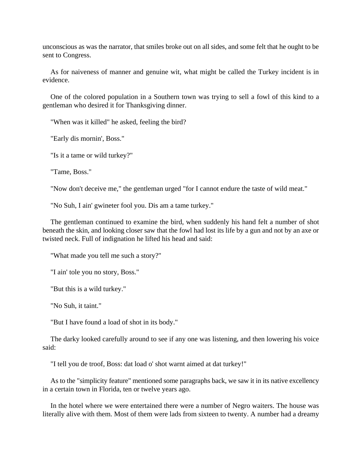unconscious as was the narrator, that smiles broke out on all sides, and some felt that he ought to be sent to Congress.

As for naiveness of manner and genuine wit, what might be called the Turkey incident is in evidence.

One of the colored population in a Southern town was trying to sell a fowl of this kind to a gentleman who desired it for Thanksgiving dinner.

"When was it killed" he asked, feeling the bird?

"Early dis mornin', Boss."

"Is it a tame or wild turkey?"

"Tame, Boss."

"Now don't deceive me," the gentleman urged "for I cannot endure the taste of wild meat."

"No Suh, I ain' gwineter fool you. Dis am a tame turkey."

The gentleman continued to examine the bird, when suddenly his hand felt a number of shot beneath the skin, and looking closer saw that the fowl had lost its life by a gun and not by an axe or twisted neck. Full of indignation he lifted his head and said:

"What made you tell me such a story?"

"I ain' tole you no story, Boss."

"But this is a wild turkey."

"No Suh, it taint."

"But I have found a load of shot in its body."

The darky looked carefully around to see if any one was listening, and then lowering his voice said:

"I tell you de troof, Boss: dat load o' shot warnt aimed at dat turkey!"

As to the "simplicity feature" mentioned some paragraphs back, we saw it in its native excellency in a certain town in Florida, ten or twelve years ago.

In the hotel where we were entertained there were a number of Negro waiters. The house was literally alive with them. Most of them were lads from sixteen to twenty. A number had a dreamy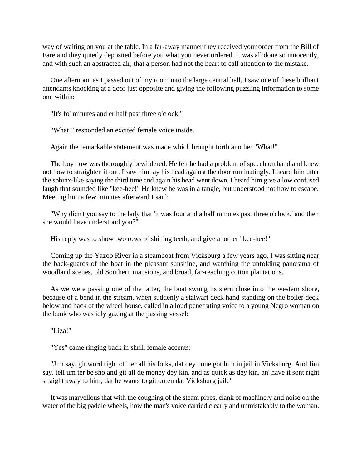way of waiting on you at the table. In a far-away manner they received your order from the Bill of Fare and they quietly deposited before you what you never ordered. It was all done so innocently, and with such an abstracted air, that a person had not the heart to call attention to the mistake.

One afternoon as I passed out of my room into the large central hall, I saw one of these brilliant attendants knocking at a door just opposite and giving the following puzzling information to some one within:

"It's fo' minutes and er half past three o'clock."

"What!" responded an excited female voice inside.

Again the remarkable statement was made which brought forth another "What!"

The boy now was thoroughly bewildered. He felt he had a problem of speech on hand and knew not how to straighten it out. I saw him lay his head against the door ruminatingly. I heard him utter the sphinx-like saying the third time and again his head went down. I heard him give a low confused laugh that sounded like "kee-hee!" He knew he was in a tangle, but understood not how to escape. Meeting him a few minutes afterward I said:

"Why didn't you say to the lady that 'it was four and a half minutes past three o'clock,' and then she would have understood you?"

His reply was to show two rows of shining teeth, and give another "kee-hee!"

Coming up the Yazoo River in a steamboat from Vicksburg a few years ago, I was sitting near the back-guards of the boat in the pleasant sunshine, and watching the unfolding panorama of woodland scenes, old Southern mansions, and broad, far-reaching cotton plantations.

As we were passing one of the latter, the boat swung its stern close into the western shore, because of a bend in the stream, when suddenly a stalwart deck hand standing on the boiler deck below and back of the wheel house, called in a loud penetrating voice to a young Negro woman on the bank who was idly gazing at the passing vessel:

"Liza!"

"Yes" came ringing back in shrill female accents:

"Jim say, git word right off ter all his folks, dat dey done got him in jail in Vicksburg. And Jim say, tell um ter be sho and git all de money dey kin, and as quick as dey kin, an' have it sont right straight away to him; dat he wants to git outen dat Vicksburg jail."

It was marvellous that with the coughing of the steam pipes, clank of machinery and noise on the water of the big paddle wheels, how the man's voice carried clearly and unmistakably to the woman.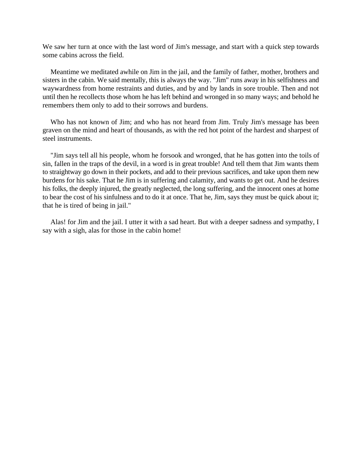We saw her turn at once with the last word of Jim's message, and start with a quick step towards some cabins across the field.

Meantime we meditated awhile on Jim in the jail, and the family of father, mother, brothers and sisters in the cabin. We said mentally, this is always the way. "Jim" runs away in his selfishness and waywardness from home restraints and duties, and by and by lands in sore trouble. Then and not until then he recollects those whom he has left behind and wronged in so many ways; and behold he remembers them only to add to their sorrows and burdens.

Who has not known of Jim; and who has not heard from Jim. Truly Jim's message has been graven on the mind and heart of thousands, as with the red hot point of the hardest and sharpest of steel instruments.

"Jim says tell all his people, whom he forsook and wronged, that he has gotten into the toils of sin, fallen in the traps of the devil, in a word is in great trouble! And tell them that Jim wants them to straightway go down in their pockets, and add to their previous sacrifices, and take upon them new burdens for his sake. That he Jim is in suffering and calamity, and wants to get out. And he desires his folks, the deeply injured, the greatly neglected, the long suffering, and the innocent ones at home to bear the cost of his sinfulness and to do it at once. That he, Jim, says they must be quick about it; that he is tired of being in jail."

Alas! for Jim and the jail. I utter it with a sad heart. But with a deeper sadness and sympathy, I say with a sigh, alas for those in the cabin home!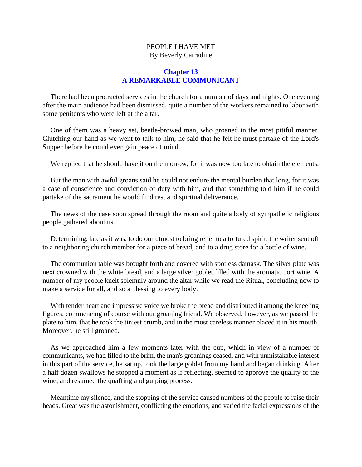## **Chapter 13 A REMARKABLE COMMUNICANT**

There had been protracted services in the church for a number of days and nights. One evening after the main audience had been dismissed, quite a number of the workers remained to labor with some penitents who were left at the altar.

One of them was a heavy set, beetle-browed man, who groaned in the most pitiful manner. Clutching our hand as we went to talk to him, he said that he felt he must partake of the Lord's Supper before he could ever gain peace of mind.

We replied that he should have it on the morrow, for it was now too late to obtain the elements.

But the man with awful groans said he could not endure the mental burden that long, for it was a case of conscience and conviction of duty with him, and that something told him if he could partake of the sacrament he would find rest and spiritual deliverance.

The news of the case soon spread through the room and quite a body of sympathetic religious people gathered about us.

Determining, late as it was, to do our utmost to bring relief to a tortured spirit, the writer sent off to a neighboring church member for a piece of bread, and to a drug store for a bottle of wine.

The communion table was brought forth and covered with spotless damask. The silver plate was next crowned with the white bread, and a large silver goblet filled with the aromatic port wine. A number of my people knelt solemnly around the altar while we read the Ritual, concluding now to make a service for all, and so a blessing to every body.

With tender heart and impressive voice we broke the bread and distributed it among the kneeling figures, commencing of course with our groaning friend. We observed, however, as we passed the plate to him, that he took the tiniest crumb, and in the most careless manner placed it in his mouth. Moreover, he still groaned.

As we approached him a few moments later with the cup, which in view of a number of communicants, we had filled to the brim, the man's groanings ceased, and with unmistakable interest in this part of the service, he sat up, took the large goblet from my hand and began drinking. After a half dozen swallows he stopped a moment as if reflecting, seemed to approve the quality of the wine, and resumed the quaffing and gulping process.

Meantime my silence, and the stopping of the service caused numbers of the people to raise their heads. Great was the astonishment, conflicting the emotions, and varied the facial expressions of the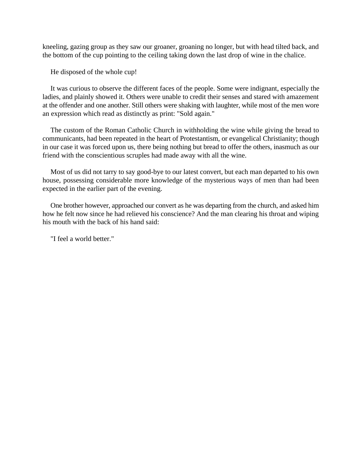kneeling, gazing group as they saw our groaner, groaning no longer, but with head tilted back, and the bottom of the cup pointing to the ceiling taking down the last drop of wine in the chalice.

He disposed of the whole cup!

It was curious to observe the different faces of the people. Some were indignant, especially the ladies, and plainly showed it. Others were unable to credit their senses and stared with amazement at the offender and one another. Still others were shaking with laughter, while most of the men wore an expression which read as distinctly as print: "Sold again."

The custom of the Roman Catholic Church in withholding the wine while giving the bread to communicants, had been repeated in the heart of Protestantism, or evangelical Christianity; though in our case it was forced upon us, there being nothing but bread to offer the others, inasmuch as our friend with the conscientious scruples had made away with all the wine.

Most of us did not tarry to say good-bye to our latest convert, but each man departed to his own house, possessing considerable more knowledge of the mysterious ways of men than had been expected in the earlier part of the evening.

One brother however, approached our convert as he was departing from the church, and asked him how he felt now since he had relieved his conscience? And the man clearing his throat and wiping his mouth with the back of his hand said:

"I feel a world better."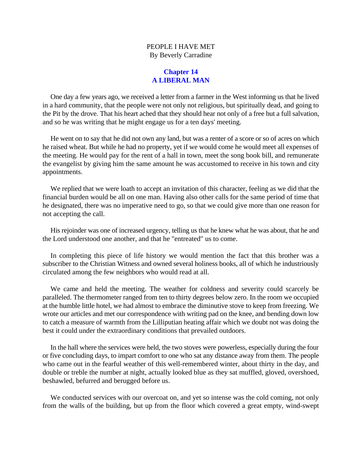# **Chapter 14 A LIBERAL MAN**

One day a few years ago, we received a letter from a farmer in the West informing us that he lived in a hard community, that the people were not only not religious, but spiritually dead, and going to the Pit by the drove. That his heart ached that they should hear not only of a free but a full salvation, and so he was writing that he might engage us for a ten days' meeting.

He went on to say that he did not own any land, but was a renter of a score or so of acres on which he raised wheat. But while he had no property, yet if we would come he would meet all expenses of the meeting. He would pay for the rent of a hall in town, meet the song book bill, and remunerate the evangelist by giving him the same amount he was accustomed to receive in his town and city appointments.

We replied that we were loath to accept an invitation of this character, feeling as we did that the financial burden would be all on one man. Having also other calls for the same period of time that he designated, there was no imperative need to go, so that we could give more than one reason for not accepting the call.

His rejoinder was one of increased urgency, telling us that he knew what he was about, that he and the Lord understood one another, and that he "entreated" us to come.

In completing this piece of life history we would mention the fact that this brother was a subscriber to the Christian Witness and owned several holiness books, all of which he industriously circulated among the few neighbors who would read at all.

We came and held the meeting. The weather for coldness and severity could scarcely be paralleled. The thermometer ranged from ten to thirty degrees below zero. In the room we occupied at the humble little hotel, we had almost to embrace the diminutive stove to keep from freezing. We wrote our articles and met our correspondence with writing pad on the knee, and bending down low to catch a measure of warmth from the Lilliputian heating affair which we doubt not was doing the best it could under the extraordinary conditions that prevailed outdoors.

In the hall where the services were held, the two stoves were powerless, especially during the four or five concluding days, to impart comfort to one who sat any distance away from them. The people who came out in the fearful weather of this well-remembered winter, about thirty in the day, and double or treble the number at night, actually looked blue as they sat muffled, gloved, overshoed, beshawled, befurred and berugged before us.

We conducted services with our overcoat on, and yet so intense was the cold coming, not only from the walls of the building, but up from the floor which covered a great empty, wind-swept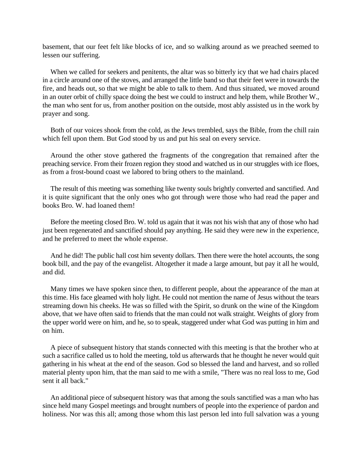basement, that our feet felt like blocks of ice, and so walking around as we preached seemed to lessen our suffering.

When we called for seekers and penitents, the altar was so bitterly icy that we had chairs placed in a circle around one of the stoves, and arranged the little band so that their feet were in towards the fire, and heads out, so that we might be able to talk to them. And thus situated, we moved around in an outer orbit of chilly space doing the best we could to instruct and help them, while Brother W., the man who sent for us, from another position on the outside, most ably assisted us in the work by prayer and song.

Both of our voices shook from the cold, as the Jews trembled, says the Bible, from the chill rain which fell upon them. But God stood by us and put his seal on every service.

Around the other stove gathered the fragments of the congregation that remained after the preaching service. From their frozen region they stood and watched us in our struggles with ice floes, as from a frost-bound coast we labored to bring others to the mainland.

The result of this meeting was something like twenty souls brightly converted and sanctified. And it is quite significant that the only ones who got through were those who had read the paper and books Bro. W. had loaned them!

Before the meeting closed Bro. W. told us again that it was not his wish that any of those who had just been regenerated and sanctified should pay anything. He said they were new in the experience, and he preferred to meet the whole expense.

And he did! The public hall cost him seventy dollars. Then there were the hotel accounts, the song book bill, and the pay of the evangelist. Altogether it made a large amount, but pay it all he would, and did.

Many times we have spoken since then, to different people, about the appearance of the man at this time. His face gleamed with holy light. He could not mention the name of Jesus without the tears streaming down his cheeks. He was so filled with the Spirit, so drunk on the wine of the Kingdom above, that we have often said to friends that the man could not walk straight. Weights of glory from the upper world were on him, and he, so to speak, staggered under what God was putting in him and on him.

A piece of subsequent history that stands connected with this meeting is that the brother who at such a sacrifice called us to hold the meeting, told us afterwards that he thought he never would quit gathering in his wheat at the end of the season. God so blessed the land and harvest, and so rolled material plenty upon him, that the man said to me with a smile, "There was no real loss to me, God sent it all back."

An additional piece of subsequent history was that among the souls sanctified was a man who has since held many Gospel meetings and brought numbers of people into the experience of pardon and holiness. Nor was this all; among those whom this last person led into full salvation was a young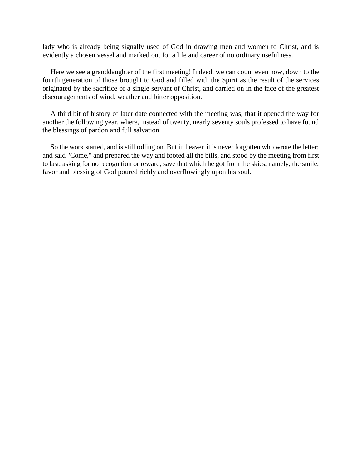lady who is already being signally used of God in drawing men and women to Christ, and is evidently a chosen vessel and marked out for a life and career of no ordinary usefulness.

Here we see a granddaughter of the first meeting! Indeed, we can count even now, down to the fourth generation of those brought to God and filled with the Spirit as the result of the services originated by the sacrifice of a single servant of Christ, and carried on in the face of the greatest discouragements of wind, weather and bitter opposition.

A third bit of history of later date connected with the meeting was, that it opened the way for another the following year, where, instead of twenty, nearly seventy souls professed to have found the blessings of pardon and full salvation.

So the work started, and is still rolling on. But in heaven it is never forgotten who wrote the letter; and said "Come," and prepared the way and footed all the bills, and stood by the meeting from first to last, asking for no recognition or reward, save that which he got from the skies, namely, the smile, favor and blessing of God poured richly and overflowingly upon his soul.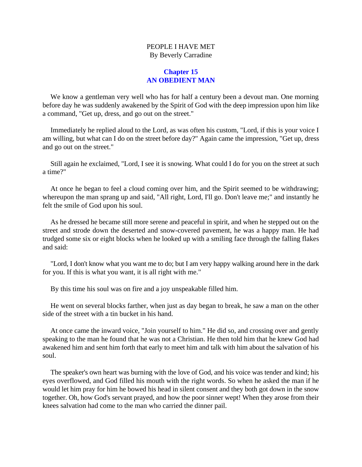## **Chapter 15 AN OBEDIENT MAN**

We know a gentleman very well who has for half a century been a devout man. One morning before day he was suddenly awakened by the Spirit of God with the deep impression upon him like a command, "Get up, dress, and go out on the street."

Immediately he replied aloud to the Lord, as was often his custom, "Lord, if this is your voice I am willing, but what can I do on the street before day?" Again came the impression, "Get up, dress and go out on the street."

Still again he exclaimed, "Lord, I see it is snowing. What could I do for you on the street at such a time?"

At once he began to feel a cloud coming over him, and the Spirit seemed to be withdrawing; whereupon the man sprang up and said, "All right, Lord, I'll go. Don't leave me;" and instantly he felt the smile of God upon his soul.

As he dressed he became still more serene and peaceful in spirit, and when he stepped out on the street and strode down the deserted and snow-covered pavement, he was a happy man. He had trudged some six or eight blocks when he looked up with a smiling face through the falling flakes and said:

"Lord, I don't know what you want me to do; but I am very happy walking around here in the dark for you. If this is what you want, it is all right with me."

By this time his soul was on fire and a joy unspeakable filled him.

He went on several blocks farther, when just as day began to break, he saw a man on the other side of the street with a tin bucket in his hand.

At once came the inward voice, "Join yourself to him." He did so, and crossing over and gently speaking to the man he found that he was not a Christian. He then told him that he knew God had awakened him and sent him forth that early to meet him and talk with him about the salvation of his soul.

The speaker's own heart was burning with the love of God, and his voice was tender and kind; his eyes overflowed, and God filled his mouth with the right words. So when he asked the man if he would let him pray for him he bowed his head in silent consent and they both got down in the snow together. Oh, how God's servant prayed, and how the poor sinner wept! When they arose from their knees salvation had come to the man who carried the dinner pail.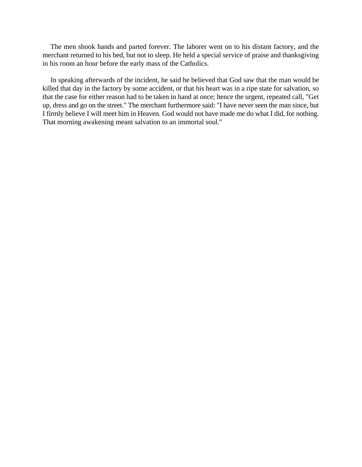The men shook hands and parted forever. The laborer went on to his distant factory, and the merchant returned to his bed, but not to sleep. He held a special service of praise and thanksgiving in his room an hour before the early mass of the Catholics.

In speaking afterwards of the incident, he said he believed that God saw that the man would be killed that day in the factory by some accident, or that his heart was in a ripe state for salvation, so that the case for either reason had to be taken in hand at once; hence the urgent, repeated call, "Get up, dress and go on the street." The merchant furthermore said: "I have never seen the man since, but I firmly believe I will meet him in Heaven. God would not have made me do what I did, for nothing. That morning awakening meant salvation to an immortal soul."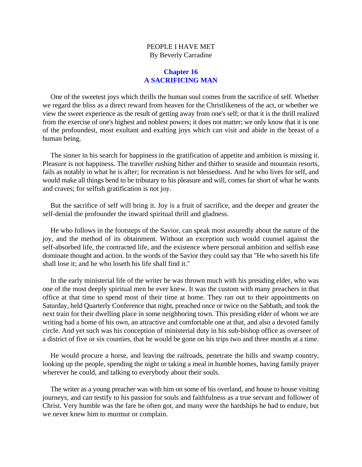## **Chapter 16 A SACRIFICING MAN**

One of the sweetest joys which thrills the human soul comes from the sacrifice of self. Whether we regard the bliss as a direct reward from heaven for the Christlikeness of the act, or whether we view the sweet experience as the result of getting away from one's self; or that it is the thrill realized from the exercise of one's highest and noblest powers; it does not matter; we only know that it is one of the profoundest, most exultant and exalting joys which can visit and abide in the breast of a human being.

The sinner in his search for happiness in the gratification of appetite and ambition is missing it. Pleasure is not happiness. The traveller rushing hither and thither to seaside and mountain resorts, fails as notably in what he is after; for recreation is not blessedness. And he who lives for self, and would make all things bend to be tributary to his pleasure and will, comes far short of what he wants and craves; for selfish gratification is not joy.

But the sacrifice of self will bring it. Joy is a fruit of sacrifice, and the deeper and greater the self-denial the profounder the inward spiritual thrill and gladness.

He who follows in the footsteps of the Savior, can speak most assuredly about the nature of the joy, and the method of its obtainment. Without an exception such would counsel against the self-absorbed life, the contracted life, and the existence where personal ambition and selfish ease dominate thought and action. In the words of the Savior they could say that "He who saveth his life shall lose it; and he who loseth his life shall find it."

In the early ministerial life of the writer he was thrown much with his presiding elder, who was one of the most deeply spiritual men he ever knew. It was the custom with many preachers in that office at that time to spend most of their time at home. They ran out to their appointments on Saturday, held Quarterly Conference that night, preached once or twice on the Sabbath, and took the next train for their dwelling place in some neighboring town. This presiding elder of whom we are writing had a home of his own, an attractive and comfortable one at that, and also a devoted family circle. And yet such was his conception of ministerial duty in his sub-bishop office as overseer of a district of five or six counties, that he would be gone on his trips two and three months at a time.

He would procure a horse, and leaving the railroads, penetrate the hills and swamp country, looking up the people, spending the night or taking a meal in humble homes, having family prayer wherever he could, and talking to everybody about their souls.

The writer as a young preacher was with him on some of his overland, and house to house visiting journeys, and can testify to his passion for souls and faithfulness as a true servant and follower of Christ. Very humble was the fare he often got, and many were the hardships he had to endure, but we never knew him to murmur or complain.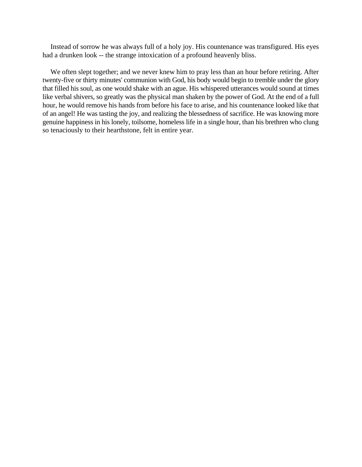Instead of sorrow he was always full of a holy joy. His countenance was transfigured. His eyes had a drunken look -- the strange intoxication of a profound heavenly bliss.

We often slept together; and we never knew him to pray less than an hour before retiring. After twenty-five or thirty minutes' communion with God, his body would begin to tremble under the glory that filled his soul, as one would shake with an ague. His whispered utterances would sound at times like verbal shivers, so greatly was the physical man shaken by the power of God. At the end of a full hour, he would remove his hands from before his face to arise, and his countenance looked like that of an angel! He was tasting the joy, and realizing the blessedness of sacrifice. He was knowing more genuine happiness in his lonely, toilsome, homeless life in a single hour, than his brethren who clung so tenaciously to their hearthstone, felt in entire year.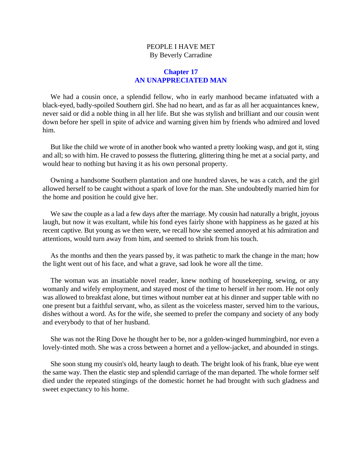## **Chapter 17 AN UNAPPRECIATED MAN**

We had a cousin once, a splendid fellow, who in early manhood became infatuated with a black-eyed, badly-spoiled Southern girl. She had no heart, and as far as all her acquaintances knew, never said or did a noble thing in all her life. But she was stylish and brilliant and our cousin went down before her spell in spite of advice and warning given him by friends who admired and loved him.

But like the child we wrote of in another book who wanted a pretty looking wasp, and got it, sting and all; so with him. He craved to possess the fluttering, glittering thing he met at a social party, and would hear to nothing but having it as his own personal property.

Owning a handsome Southern plantation and one hundred slaves, he was a catch, and the girl allowed herself to be caught without a spark of love for the man. She undoubtedly married him for the home and position he could give her.

We saw the couple as a lad a few days after the marriage. My cousin had naturally a bright, joyous laugh, but now it was exultant, while his fond eyes fairly shone with happiness as he gazed at his recent captive. But young as we then were, we recall how she seemed annoyed at his admiration and attentions, would turn away from him, and seemed to shrink from his touch.

As the months and then the years passed by, it was pathetic to mark the change in the man; how the light went out of his face, and what a grave, sad look he wore all the time.

The woman was an insatiable novel reader, knew nothing of housekeeping, sewing, or any womanly and wifely employment, and stayed most of the time to herself in her room. He not only was allowed to breakfast alone, but times without number eat at his dinner and supper table with no one present but a faithful servant, who, as silent as the voiceless master, served him to the various, dishes without a word. As for the wife, she seemed to prefer the company and society of any body and everybody to that of her husband.

She was not the Ring Dove he thought her to be, nor a golden-winged hummingbird, nor even a lovely-tinted moth. She was a cross between a hornet and a yellow-jacket, and abounded in stings.

She soon stung my cousin's old, hearty laugh to death. The bright look of his frank, blue eye went the same way. Then the elastic step and splendid carriage of the man departed. The whole former self died under the repeated stingings of the domestic hornet he had brought with such gladness and sweet expectancy to his home.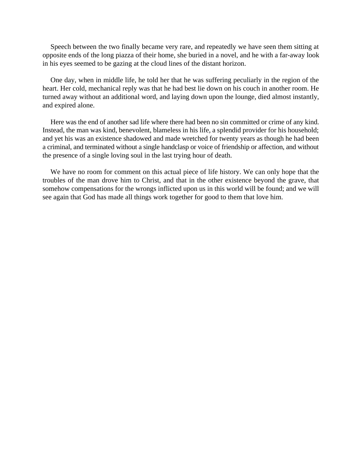Speech between the two finally became very rare, and repeatedly we have seen them sitting at opposite ends of the long piazza of their home, she buried in a novel, and he with a far-away look in his eyes seemed to be gazing at the cloud lines of the distant horizon.

One day, when in middle life, he told her that he was suffering peculiarly in the region of the heart. Her cold, mechanical reply was that he had best lie down on his couch in another room. He turned away without an additional word, and laying down upon the lounge, died almost instantly, and expired alone.

Here was the end of another sad life where there had been no sin committed or crime of any kind. Instead, the man was kind, benevolent, blameless in his life, a splendid provider for his household; and yet his was an existence shadowed and made wretched for twenty years as though he had been a criminal, and terminated without a single handclasp or voice of friendship or affection, and without the presence of a single loving soul in the last trying hour of death.

We have no room for comment on this actual piece of life history. We can only hope that the troubles of the man drove him to Christ, and that in the other existence beyond the grave, that somehow compensations for the wrongs inflicted upon us in this world will be found; and we will see again that God has made all things work together for good to them that love him.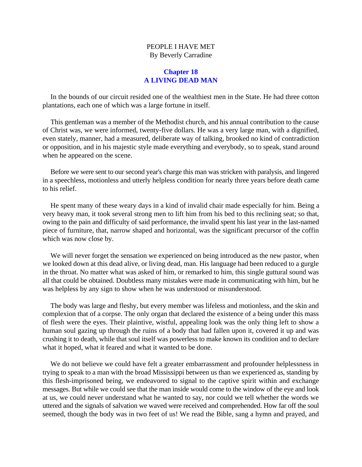## **Chapter 18 A LIVING DEAD MAN**

In the bounds of our circuit resided one of the wealthiest men in the State. He had three cotton plantations, each one of which was a large fortune in itself.

This gentleman was a member of the Methodist church, and his annual contribution to the cause of Christ was, we were informed, twenty-five dollars. He was a very large man, with a dignified, even stately, manner, had a measured, deliberate way of talking, brooked no kind of contradiction or opposition, and in his majestic style made everything and everybody, so to speak, stand around when he appeared on the scene.

Before we were sent to our second year's charge this man was stricken with paralysis, and lingered in a speechless, motionless and utterly helpless condition for nearly three years before death came to his relief.

He spent many of these weary days in a kind of invalid chair made especially for him. Being a very heavy man, it took several strong men to lift him from his bed to this reclining seat; so that, owing to the pain and difficulty of said performance, the invalid spent his last year in the last-named piece of furniture, that, narrow shaped and horizontal, was the significant precursor of the coffin which was now close by.

We will never forget the sensation we experienced on being introduced as the new pastor, when we looked down at this dead alive, or living dead, man. His language had been reduced to a gurgle in the throat. No matter what was asked of him, or remarked to him, this single guttural sound was all that could be obtained. Doubtless many mistakes were made in communicating with him, but he was helpless by any sign to show when he was understood or misunderstood.

The body was large and fleshy, but every member was lifeless and motionless, and the skin and complexion that of a corpse. The only organ that declared the existence of a being under this mass of flesh were the eyes. Their plaintive, wistful, appealing look was the only thing left to show a human soul gazing up through the ruins of a body that had fallen upon it, covered it up and was crushing it to death, while that soul itself was powerless to make known its condition and to declare what it hoped, what it feared and what it wanted to be done.

We do not believe we could have felt a greater embarrassment and profounder helplessness in trying to speak to a man with the broad Mississippi between us than we experienced as, standing by this flesh-imprisoned being, we endeavored to signal to the captive spirit within and exchange messages. But while we could see that the man inside would come to the window of the eye and look at us, we could never understand what he wanted to say, nor could we tell whether the words we uttered and the signals of salvation we waved were received and comprehended. How far off the soul seemed, though the body was in two feet of us! We read the Bible, sang a hymn and prayed, and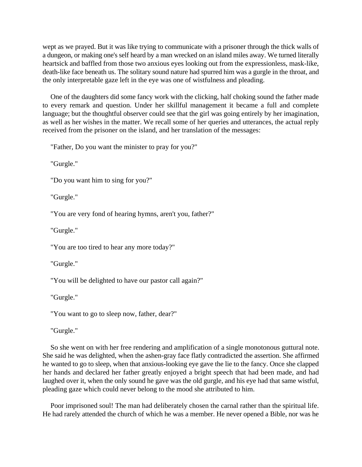wept as we prayed. But it was like trying to communicate with a prisoner through the thick walls of a dungeon, or making one's self heard by a man wrecked on an island miles away. We turned literally heartsick and baffled from those two anxious eyes looking out from the expressionless, mask-like, death-like face beneath us. The solitary sound nature had spurred him was a gurgle in the throat, and the only interpretable gaze left in the eye was one of wistfulness and pleading.

One of the daughters did some fancy work with the clicking, half choking sound the father made to every remark and question. Under her skillful management it became a full and complete language; but the thoughtful observer could see that the girl was going entirely by her imagination, as well as her wishes in the matter. We recall some of her queries and utterances, the actual reply received from the prisoner on the island, and her translation of the messages:

"Father, Do you want the minister to pray for you?"

"Gurgle."

"Do you want him to sing for you?"

"Gurgle."

"You are very fond of hearing hymns, aren't you, father?"

"Gurgle."

"You are too tired to hear any more today?"

"Gurgle."

"You will be delighted to have our pastor call again?"

"Gurgle."

"You want to go to sleep now, father, dear?"

"Gurgle."

So she went on with her free rendering and amplification of a single monotonous guttural note. She said he was delighted, when the ashen-gray face flatly contradicted the assertion. She affirmed he wanted to go to sleep, when that anxious-looking eye gave the lie to the fancy. Once she clapped her hands and declared her father greatly enjoyed a bright speech that had been made, and had laughed over it, when the only sound he gave was the old gurgle, and his eye had that same wistful, pleading gaze which could never belong to the mood she attributed to him.

Poor imprisoned soul! The man had deliberately chosen the carnal rather than the spiritual life. He had rarely attended the church of which he was a member. He never opened a Bible, nor was he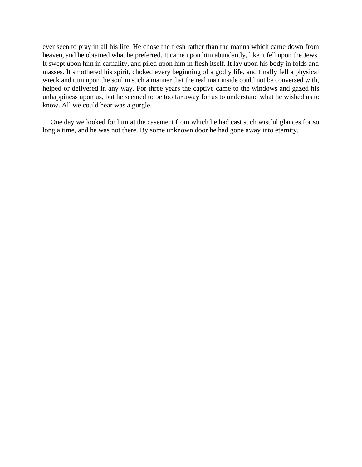ever seen to pray in all his life. He chose the flesh rather than the manna which came down from heaven, and he obtained what he preferred. It came upon him abundantly, like it fell upon the Jews. It swept upon him in carnality, and piled upon him in flesh itself. It lay upon his body in folds and masses. It smothered his spirit, choked every beginning of a godly life, and finally fell a physical wreck and ruin upon the soul in such a manner that the real man inside could not be conversed with, helped or delivered in any way. For three years the captive came to the windows and gazed his unhappiness upon us, but he seemed to be too far away for us to understand what he wished us to know. All we could hear was a gurgle.

One day we looked for him at the casement from which he had cast such wistful glances for so long a time, and he was not there. By some unknown door he had gone away into eternity.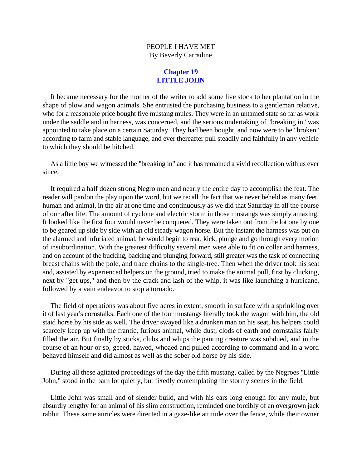## **Chapter 19 LITTLE JOHN**

It became necessary for the mother of the writer to add some live stock to her plantation in the shape of plow and wagon animals. She entrusted the purchasing business to a gentleman relative, who for a reasonable price bought five mustang mules. They were in an untamed state so far as work under the saddle and in harness, was concerned, and the serious undertaking of "breaking in" was appointed to take place on a certain Saturday. They had been bought, and now were to be "broken" according to farm and stable language, and ever thereafter pull steadily and faithfully in any vehicle to which they should be hitched.

As a little boy we witnessed the "breaking in" and it has remained a vivid recollection with us ever since.

It required a half dozen strong Negro men and nearly the entire day to accomplish the feat. The reader will pardon the play upon the word, but we recall the fact that we never beheld as many feet, human and animal, in the air at one time and continuously as we did that Saturday in all the course of our after life. The amount of cyclone and electric storm in those mustangs was simply amazing. It looked like the first four would never be conquered. They were taken out from the lot one by one to be geared up side by side with an old steady wagon horse. But the instant the harness was put on the alarmed and infuriated animal, he would begin to rear, kick, plunge and go through every motion of insubordination. With the greatest difficulty several men were able to fit on collar and harness, and on account of the bucking, backing and plunging forward, still greater was the task of connecting breast chains with the pole, and trace chains to the single-tree. Then when the driver took his seat and, assisted by experienced helpers on the ground, tried to make the animal pull, first by clucking, next by "get ups," and then by the crack and lash of the whip, it was like launching a hurricane, followed by a vain endeavor to stop a tornado.

The field of operations was about five acres in extent, smooth in surface with a sprinkling over it of last year's cornstalks. Each one of the four mustangs literally took the wagon with him, the old staid horse by his side as well. The driver swayed like a drunken man on his seat, his helpers could scarcely keep up with the frantic, furious animal, while dust, clods of earth and cornstalks fairly filled the air. But finally by sticks, clubs and whips the panting creature was subdued, and in the course of an hour or so, geeed, hawed, whoaed and pulled according to command and in a word behaved himself and did almost as well as the sober old horse by his side.

During all these agitated proceedings of the day the fifth mustang, called by the Negroes "Little John," stood in the barn lot quietly, but fixedly contemplating the stormy scenes in the field.

Little John was small and of slender build, and with his ears long enough for any mule, but absurdly lengthy for an animal of his slim construction, reminded one forcibly of an overgrown jack rabbit. These same auricles were directed in a gaze-like attitude over the fence, while their owner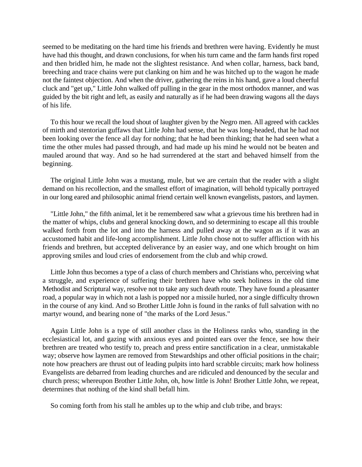seemed to be meditating on the hard time his friends and brethren were having. Evidently he must have had this thought, and drawn conclusions, for when his turn came and the farm hands first roped and then bridled him, he made not the slightest resistance. And when collar, harness, back band, breeching and trace chains were put clanking on him and he was hitched up to the wagon he made not the faintest objection. And when the driver, gathering the reins in his hand, gave a loud cheerful cluck and "get up," Little John walked off pulling in the gear in the most orthodox manner, and was guided by the bit right and left, as easily and naturally as if he had been drawing wagons all the days of his life.

To this hour we recall the loud shout of laughter given by the Negro men. All agreed with cackles of mirth and stentorian guffaws that Little John had sense, that he was long-headed, that he had not been looking over the fence all day for nothing; that he had been thinking; that he had seen what a time the other mules had passed through, and had made up his mind he would not be beaten and mauled around that way. And so he had surrendered at the start and behaved himself from the beginning.

The original Little John was a mustang, mule, but we are certain that the reader with a slight demand on his recollection, and the smallest effort of imagination, will behold typically portrayed in our long eared and philosophic animal friend certain well known evangelists, pastors, and laymen.

"Little John," the fifth animal, let it be remembered saw what a grievous time his brethren had in the matter of whips, clubs and general knocking down, and so determining to escape all this trouble walked forth from the lot and into the harness and pulled away at the wagon as if it was an accustomed habit and life-long accomplishment. Little John chose not to suffer affliction with his friends and brethren, but accepted deliverance by an easier way, and one which brought on him approving smiles and loud cries of endorsement from the club and whip crowd.

Little John thus becomes a type of a class of church members and Christians who, perceiving what a struggle, and experience of suffering their brethren have who seek holiness in the old time Methodist and Scriptural way, resolve not to take any such death route. They have found a pleasanter road, a popular way in which not a lash is popped nor a missile hurled, nor a single difficulty thrown in the course of any kind. And so Brother Little John is found in the ranks of full salvation with no martyr wound, and bearing none of "the marks of the Lord Jesus."

Again Little John is a type of still another class in the Holiness ranks who, standing in the ecclesiastical lot, and gazing with anxious eyes and pointed ears over the fence, see how their brethren are treated who testify to, preach and press entire sanctification in a clear, unmistakable way; observe how laymen are removed from Stewardships and other official positions in the chair; note how preachers are thrust out of leading pulpits into hard scrabble circuits; mark how holiness Evangelists are debarred from leading churches and are ridiculed and denounced by the secular and church press; whereupon Brother Little John, oh, how little is John! Brother Little John, we repeat, determines that nothing of the kind shall befall him.

So coming forth from his stall he ambles up to the whip and club tribe, and brays: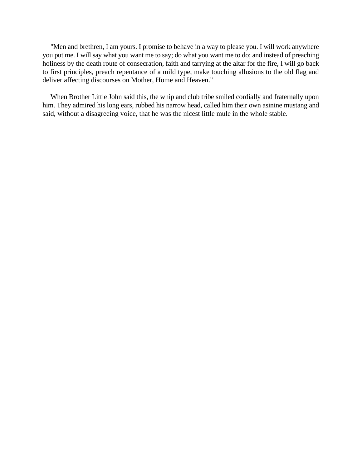"Men and brethren, I am yours. I promise to behave in a way to please you. I will work anywhere you put me. I will say what you want me to say; do what you want me to do; and instead of preaching holiness by the death route of consecration, faith and tarrying at the altar for the fire, I will go back to first principles, preach repentance of a mild type, make touching allusions to the old flag and deliver affecting discourses on Mother, Home and Heaven."

When Brother Little John said this, the whip and club tribe smiled cordially and fraternally upon him. They admired his long ears, rubbed his narrow head, called him their own asinine mustang and said, without a disagreeing voice, that he was the nicest little mule in the whole stable.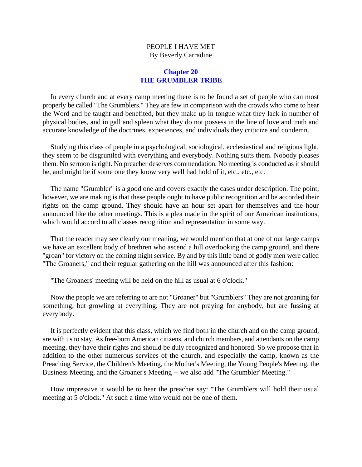#### **Chapter 20 THE GRUMBLER TRIBE**

In every church and at every camp meeting there is to be found a set of people who can most properly be called "The Grumblers." They are few in comparison with the crowds who come to hear the Word and be taught and benefited, but they make up in tongue what they lack in number of physical bodies, and in gall and spleen what they do not possess in the line of love and truth and accurate knowledge of the doctrines, experiences, and individuals they criticize and condemn.

Studying this class of people in a psychological, sociological, ecclesiastical and religious light, they seem to be disgruntled with everything and everybody. Nothing suits them. Nobody pleases them. No sermon is right. No preacher deserves commendation. No meeting is conducted as it should be, and might be if some one they know very well had hold of it, etc., etc., etc.

The name "Grumbler" is a good one and covers exactly the cases under description. The point, however, we are making is that these people ought to have public recognition and be accorded their rights on the camp ground. They should have an hour set apart for themselves and the hour announced like the other meetings. This is a plea made in the spirit of our American institutions, which would accord to all classes recognition and representation in some way.

That the reader may see clearly our meaning, we would mention that at one of our large camps we have an excellent body of brethren who ascend a hill overlooking the camp ground, and there "groan" for victory on the coming night service. By and by this little band of godly men were called "The Groaners," and their regular gathering on the hill was announced after this fashion:

"The Groaners' meeting will be held on the hill as usual at 6 o'clock."

Now the people we are referring to are not "Groaner" but "Grumblers" They are not groaning for something, but growling at everything. They are not praying for anybody, but are fussing at everybody.

It is perfectly evident that this class, which we find both in the church and on the camp ground, are with us to stay. As free-born American citizens, and church members, and attendants on the camp meeting, they have their rights and should be duly recognized and honored. So we propose that in addition to the other numerous services of the church, and especially the camp, known as the Preaching Service, the Children's Meeting, the Mother's Meeting, the Young People's Meeting, the Business Meeting, and the Groaner's Meeting -- we also add "The Grumbler' Meeting."

How impressive it would be to hear the preacher say: "The Grumblers will hold their usual meeting at 5 o'clock." At such a time who would not be one of them.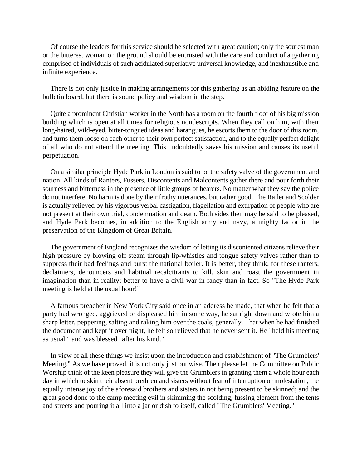Of course the leaders for this service should be selected with great caution; only the sourest man or the bitterest woman on the ground should be entrusted with the care and conduct of a gathering comprised of individuals of such acidulated superlative universal knowledge, and inexhaustible and infinite experience.

There is not only justice in making arrangements for this gathering as an abiding feature on the bulletin board, but there is sound policy and wisdom in the step.

Quite a prominent Christian worker in the North has a room on the fourth floor of his big mission building which is open at all times for religious nondescripts. When they call on him, with their long-haired, wild-eyed, bitter-tongued ideas and harangues, he escorts them to the door of this room, and turns them loose on each other to their own perfect satisfaction, and to the equally perfect delight of all who do not attend the meeting. This undoubtedly saves his mission and causes its useful perpetuation.

On a similar principle Hyde Park in London is said to be the safety valve of the government and nation. All kinds of Ranters, Fussers, Discontents and Malcontents gather there and pour forth their sourness and bitterness in the presence of little groups of hearers. No matter what they say the police do not interfere. No harm is done by their frothy utterances, but rather good. The Railer and Scolder is actually relieved by his vigorous verbal castigation, flagellation and extirpation of people who are not present at their own trial, condemnation and death. Both sides then may be said to be pleased, and Hyde Park becomes, in addition to the English army and navy, a mighty factor in the preservation of the Kingdom of Great Britain.

The government of England recognizes the wisdom of letting its discontented citizens relieve their high pressure by blowing off steam through lip-whistles and tongue safety valves rather than to suppress their bad feelings and burst the national boiler. It is better, they think, for these ranters, declaimers, denouncers and habitual recalcitrants to kill, skin and roast the government in imagination than in reality; better to have a civil war in fancy than in fact. So "The Hyde Park meeting is held at the usual hour!"

A famous preacher in New York City said once in an address he made, that when he felt that a party had wronged, aggrieved or displeased him in some way, he sat right down and wrote him a sharp letter, peppering, salting and raking him over the coals, generally. That when he had finished the document and kept it over night, he felt so relieved that he never sent it. He "held his meeting as usual," and was blessed "after his kind."

In view of all these things we insist upon the introduction and establishment of "The Grumblers' Meeting." As we have proved, it is not only just but wise. Then please let the Committee on Public Worship think of the keen pleasure they will give the Grumblers in granting them a whole hour each day in which to skin their absent brethren and sisters without fear of interruption or molestation; the equally intense joy of the aforesaid brothers and sisters in not being present to be skinned; and the great good done to the camp meeting evil in skimming the scolding, fussing element from the tents and streets and pouring it all into a jar or dish to itself, called "The Grumblers' Meeting."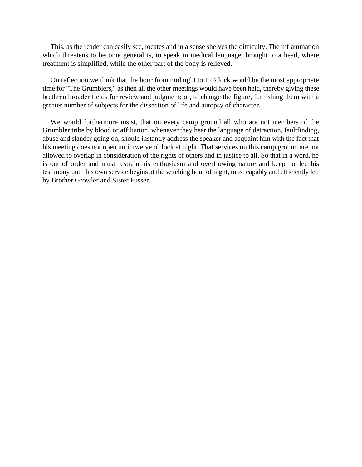This, as the reader can easily see, locates and in a sense shelves the difficulty. The inflammation which threatens to become general is, to speak in medical language, brought to a head, where treatment is simplified, while the other part of the body is relieved.

On reflection we think that the hour from midnight to 1 o'clock would be the most appropriate time for "The Grumblers," as then all the other meetings would have been held, thereby giving these brethren broader fields for review and judgment; or, to change the figure, furnishing them with a greater number of subjects for the dissection of life and autopsy of character.

We would furthermore insist, that on every camp ground all who are not members of the Grumbler tribe by blood or affiliation, whenever they hear the language of detraction, faultfinding, abuse and slander going on, should instantly address the speaker and acquaint him with the fact that his meeting does not open until twelve o'clock at night. That services on this camp ground are not allowed to overlap in consideration of the rights of others and in justice to all. So that in a word, he is out of order and must restrain his enthusiasm and overflowing nature and keep bottled his testimony until his own service begins at the witching hour of night, most capably and efficiently led by Brother Growler and Sister Fusser.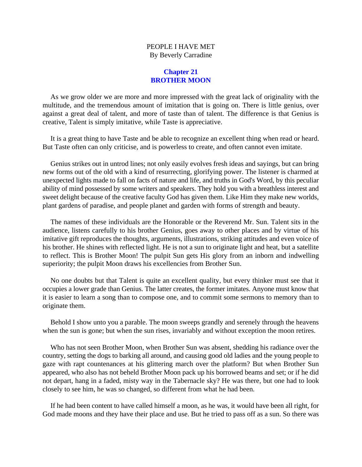### **Chapter 21 BROTHER MOON**

As we grow older we are more and more impressed with the great lack of originality with the multitude, and the tremendous amount of imitation that is going on. There is little genius, over against a great deal of talent, and more of taste than of talent. The difference is that Genius is creative, Talent is simply imitative, while Taste is appreciative.

It is a great thing to have Taste and be able to recognize an excellent thing when read or heard. But Taste often can only criticise, and is powerless to create, and often cannot even imitate.

Genius strikes out in untrod lines; not only easily evolves fresh ideas and sayings, but can bring new forms out of the old with a kind of resurrecting, glorifying power. The listener is charmed at unexpected lights made to fall on facts of nature and life, and truths in God's Word, by this peculiar ability of mind possessed by some writers and speakers. They hold you with a breathless interest and sweet delight because of the creative faculty God has given them. Like Him they make new worlds, plant gardens of paradise, and people planet and garden with forms of strength and beauty.

The names of these individuals are the Honorable or the Reverend Mr. Sun. Talent sits in the audience, listens carefully to his brother Genius, goes away to other places and by virtue of his imitative gift reproduces the thoughts, arguments, illustrations, striking attitudes and even voice of his brother. He shines with reflected light. He is not a sun to originate light and heat, but a satellite to reflect. This is Brother Moon! The pulpit Sun gets His glory from an inborn and indwelling superiority; the pulpit Moon draws his excellencies from Brother Sun.

No one doubts but that Talent is quite an excellent quality, but every thinker must see that it occupies a lower grade than Genius. The latter creates, the former imitates. Anyone must know that it is easier to learn a song than to compose one, and to commit some sermons to memory than to originate them.

Behold I show unto you a parable. The moon sweeps grandly and serenely through the heavens when the sun is gone; but when the sun rises, invariably and without exception the moon retires.

Who has not seen Brother Moon, when Brother Sun was absent, shedding his radiance over the country, setting the dogs to barking all around, and causing good old ladies and the young people to gaze with rapt countenances at his glittering march over the platform? But when Brother Sun appeared, who also has not beheld Brother Moon pack up his borrowed beams and set; or if he did not depart, hang in a faded, misty way in the Tabernacle sky? He was there, but one had to look closely to see him, he was so changed, so different from what he had been.

If he had been content to have called himself a moon, as he was, it would have been all right, for God made moons and they have their place and use. But he tried to pass off as a sun. So there was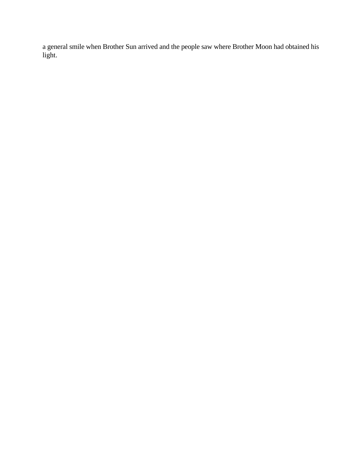a general smile when Brother Sun arrived and the people saw where Brother Moon had obtained his light.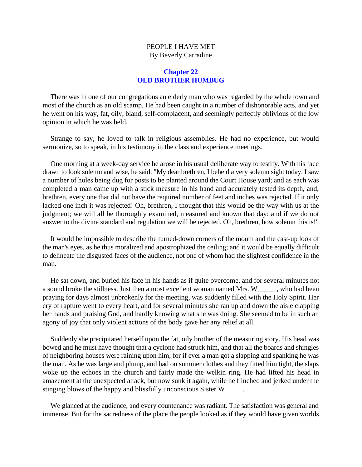### **Chapter 22 OLD BROTHER HUMBUG**

There was in one of our congregations an elderly man who was regarded by the whole town and most of the church as an old scamp. He had been caught in a number of dishonorable acts, and yet he went on his way, fat, oily, bland, self-complacent, and seemingly perfectly oblivious of the low opinion in which he was held.

Strange to say, he loved to talk in religious assemblies. He had no experience, but would sermonize, so to speak, in his testimony in the class and experience meetings.

One morning at a week-day service he arose in his usual deliberate way to testify. With his face drawn to look solemn and wise, he said: "My dear brethren, I beheld a very solemn sight today. I saw a number of holes being dug for posts to be planted around the Court House yard; and as each was completed a man came up with a stick measure in his hand and accurately tested its depth, and, brethren, every one that did not have the required number of feet and inches was rejected. If it only lacked one inch it was rejected! Oh, brethren, I thought that this would be the way with us at the judgment; we will all be thoroughly examined, measured and known that day; and if we do not answer to the divine standard and regulation we will be rejected. Oh, brethren, how solemn this is!"

It would be impossible to describe the turned-down corners of the mouth and the cast-up look of the man's eyes, as he thus moralized and apostrophized the ceiling; and it would be equally difficult to delineate the disgusted faces of the audience, not one of whom had the slightest confidence in the man.

He sat down, and buried his face in his hands as if quite overcome, and for several minutes not a sound broke the stillness. Just then a most excellent woman named Mrs. W\_\_\_\_\_ , who had been praying for days almost unbrokenly for the meeting, was suddenly filled with the Holy Spirit. Her cry of rapture went to every heart, and for several minutes she ran up and down the aisle clapping her hands and praising God, and hardly knowing what she was doing. She seemed to be in such an agony of joy that only violent actions of the body gave her any relief at all.

Suddenly she precipitated herself upon the fat, oily brother of the measuring story. His head was bowed and he must have thought that a cyclone had struck him, and that all the boards and shingles of neighboring houses were raining upon him; for if ever a man got a slapping and spanking he was the man. As he was large and plump, and had on summer clothes and they fitted him tight, the slaps woke up the echoes in the church and fairly made the welkin ring. He had lifted his head in amazement at the unexpected attack, but now sunk it again, while he flinched and jerked under the stinging blows of the happy and blissfully unconscious Sister W\_\_\_\_\_.

We glanced at the audience, and every countenance was radiant. The satisfaction was general and immense. But for the sacredness of the place the people looked as if they would have given worlds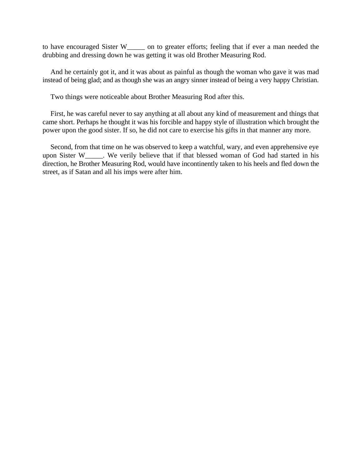to have encouraged Sister W\_\_\_\_\_ on to greater efforts; feeling that if ever a man needed the drubbing and dressing down he was getting it was old Brother Measuring Rod.

And he certainly got it, and it was about as painful as though the woman who gave it was mad instead of being glad; and as though she was an angry sinner instead of being a very happy Christian.

Two things were noticeable about Brother Measuring Rod after this.

First, he was careful never to say anything at all about any kind of measurement and things that came short. Perhaps he thought it was his forcible and happy style of illustration which brought the power upon the good sister. If so, he did not care to exercise his gifts in that manner any more.

Second, from that time on he was observed to keep a watchful, wary, and even apprehensive eye upon Sister W\_\_\_\_\_. We verily believe that if that blessed woman of God had started in his direction, he Brother Measuring Rod, would have incontinently taken to his heels and fled down the street, as if Satan and all his imps were after him.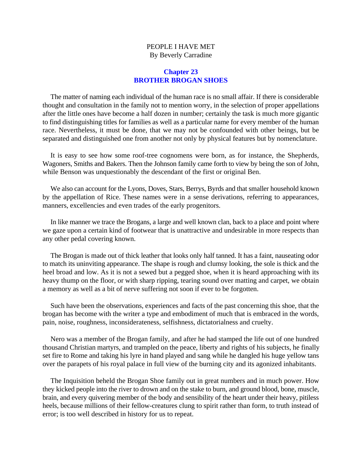## **Chapter 23 BROTHER BROGAN SHOES**

The matter of naming each individual of the human race is no small affair. If there is considerable thought and consultation in the family not to mention worry, in the selection of proper appellations after the little ones have become a half dozen in number; certainly the task is much more gigantic to find distinguishing titles for families as well as a particular name for every member of the human race. Nevertheless, it must be done, that we may not be confounded with other beings, but be separated and distinguished one from another not only by physical features but by nomenclature.

It is easy to see how some roof-tree cognomens were born, as for instance, the Shepherds, Wagoners, Smiths and Bakers. Then the Johnson family came forth to view by being the son of John, while Benson was unquestionably the descendant of the first or original Ben.

We also can account for the Lyons, Doves, Stars, Berrys, Byrds and that smaller household known by the appellation of Rice. These names were in a sense derivations, referring to appearances, manners, excellencies and even trades of the early progenitors.

In like manner we trace the Brogans, a large and well known clan, back to a place and point where we gaze upon a certain kind of footwear that is unattractive and undesirable in more respects than any other pedal covering known.

The Brogan is made out of thick leather that looks only half tanned. It has a faint, nauseating odor to match its uninviting appearance. The shape is rough and clumsy looking, the sole is thick and the heel broad and low. As it is not a sewed but a pegged shoe, when it is heard approaching with its heavy thump on the floor, or with sharp ripping, tearing sound over matting and carpet, we obtain a memory as well as a bit of nerve suffering not soon if ever to be forgotten.

Such have been the observations, experiences and facts of the past concerning this shoe, that the brogan has become with the writer a type and embodiment of much that is embraced in the words, pain, noise, roughness, inconsiderateness, selfishness, dictatorialness and cruelty.

Nero was a member of the Brogan family, and after he had stamped the life out of one hundred thousand Christian martyrs, and trampled on the peace, liberty and rights of his subjects, he finally set fire to Rome and taking his lyre in hand played and sang while he dangled his huge yellow tans over the parapets of his royal palace in full view of the burning city and its agonized inhabitants.

The Inquisition beheld the Brogan Shoe family out in great numbers and in much power. How they kicked people into the river to drown and on the stake to burn, and ground blood, bone, muscle, brain, and every quivering member of the body and sensibility of the heart under their heavy, pitiless heels, because millions of their fellow-creatures clung to spirit rather than form, to truth instead of error; is too well described in history for us to repeat.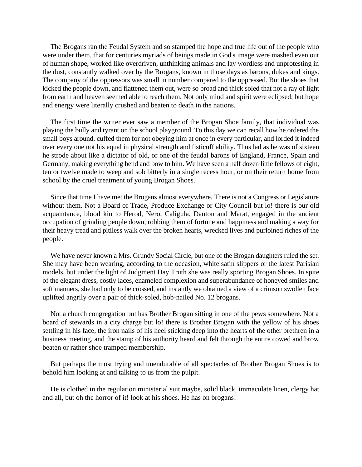The Brogans ran the Feudal System and so stamped the hope and true life out of the people who were under them, that for centuries myriads of beings made in God's image were mashed even out of human shape, worked like overdriven, unthinking animals and lay wordless and unprotesting in the dust, constantly walked over by the Brogans, known in those days as barons, dukes and kings. The company of the oppressors was small in number compared to the oppressed. But the shoes that kicked the people down, and flattened them out, were so broad and thick soled that not a ray of light from earth and heaven seemed able to reach them. Not only mind and spirit were eclipsed; but hope and energy were literally crushed and beaten to death in the nations.

The first time the writer ever saw a member of the Brogan Shoe family, that individual was playing the bully and tyrant on the school playground. To this day we can recall how he ordered the small boys around, cuffed them for not obeying him at once in every particular, and lorded it indeed over every one not his equal in physical strength and fisticuff ability. Thus lad as he was of sixteen he strode about like a dictator of old, or one of the feudal barons of England, France, Spain and Germany, making everything bend and bow to him. We have seen a half dozen little fellows of eight, ten or twelve made to weep and sob bitterly in a single recess hour, or on their return home from school by the cruel treatment of young Brogan Shoes.

Since that time I have met the Brogans almost everywhere. There is not a Congress or Legislature without them. Not a Board of Trade, Produce Exchange or City Council but lo! there is our old acquaintance, blood kin to Herod, Nero, Caligula, Danton and Marat, engaged in the ancient occupation of grinding people down, robbing them of fortune and happiness and making a way for their heavy tread and pitiless walk over the broken hearts, wrecked lives and purloined riches of the people.

We have never known a Mrs. Grundy Social Circle, but one of the Brogan daughters ruled the set. She may have been wearing, according to the occasion, white satin slippers or the latest Parisian models, but under the light of Judgment Day Truth she was really sporting Brogan Shoes. In spite of the elegant dress, costly laces, enameled complexion and superabundance of honeyed smiles and soft manners, she had only to be crossed, and instantly we obtained a view of a crimson swollen face uplifted angrily over a pair of thick-soled, hob-nailed No. 12 brogans.

Not a church congregation but has Brother Brogan sitting in one of the pews somewhere. Not a board of stewards in a city charge but lo! there is Brother Brogan with the yellow of his shoes settling in his face, the iron nails of his heel sticking deep into the hearts of the other brethren in a business meeting, and the stamp of his authority heard and felt through the entire cowed and brow beaten or rather shoe tramped membership.

But perhaps the most trying and unendurable of all spectacles of Brother Brogan Shoes is to behold him looking at and talking to us from the pulpit.

He is clothed in the regulation ministerial suit maybe, solid black, immaculate linen, clergy hat and all, but oh the horror of it! look at his shoes. He has on brogans!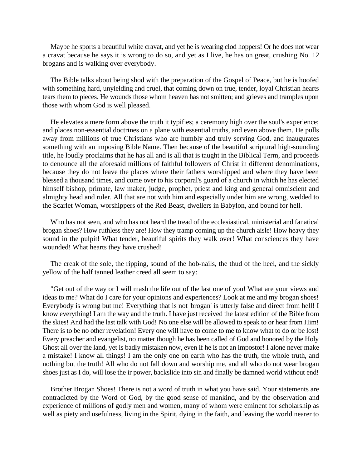Maybe he sports a beautiful white cravat, and yet he is wearing clod hoppers! Or he does not wear a cravat because he says it is wrong to do so, and yet as I live, he has on great, crushing No. 12 brogans and is walking over everybody.

The Bible talks about being shod with the preparation of the Gospel of Peace, but he is hoofed with something hard, unyielding and cruel, that coming down on true, tender, loyal Christian hearts tears them to pieces. He wounds those whom heaven has not smitten; and grieves and tramples upon those with whom God is well pleased.

He elevates a mere form above the truth it typifies; a ceremony high over the soul's experience; and places non-essential doctrines on a plane with essential truths, and even above them. He pulls away from millions of true Christians who are humbly and truly serving God, and inaugurates something with an imposing Bible Name. Then because of the beautiful scriptural high-sounding title, he loudly proclaims that he has all and is all that is taught in the Biblical Term, and proceeds to denounce all the aforesaid millions of faithful followers of Christ in different denominations, because they do not leave the places where their fathers worshipped and where they have been blessed a thousand times, and come over to his corporal's guard of a church in which he has elected himself bishop, primate, law maker, judge, prophet, priest and king and general omniscient and almighty head and ruler. All that are not with him and especially under him are wrong, wedded to the Scarlet Woman, worshippers of the Red Beast, dwellers in Babylon, and bound for hell.

Who has not seen, and who has not heard the tread of the ecclesiastical, ministerial and fanatical brogan shoes? How ruthless they are! How they tramp coming up the church aisle! How heavy they sound in the pulpit! What tender, beautiful spirits they walk over! What consciences they have wounded! What hearts they have crushed!

The creak of the sole, the ripping, sound of the hob-nails, the thud of the heel, and the sickly yellow of the half tanned leather creed all seem to say:

"Get out of the way or I will mash the life out of the last one of you! What are your views and ideas to me? What do I care for your opinions and experiences? Look at me and my brogan shoes! Everybody is wrong but me! Everything that is not 'brogan' is utterly false and direct from hell! I know everything! I am the way and the truth. I have just received the latest edition of the Bible from the skies! And had the last talk with God! No one else will be allowed to speak to or hear from Him! There is to be no other revelation! Every one will have to come to me to know what to do or be lost! Every preacher and evangelist, no matter though he has been called of God and honored by the Holy Ghost all over the land, yet is badly mistaken now, even if he is not an impostor! I alone never make a mistake! I know all things! I am the only one on earth who has the truth, the whole truth, and nothing but the truth! All who do not fall down and worship me, and all who do not wear brogan shoes just as I do, will lose the ir power, backslide into sin and finally be damned world without end!

Brother Brogan Shoes! There is not a word of truth in what you have said. Your statements are contradicted by the Word of God, by the good sense of mankind, and by the observation and experience of millions of godly men and women, many of whom were eminent for scholarship as well as piety and usefulness, living in the Spirit, dying in the faith, and leaving the world nearer to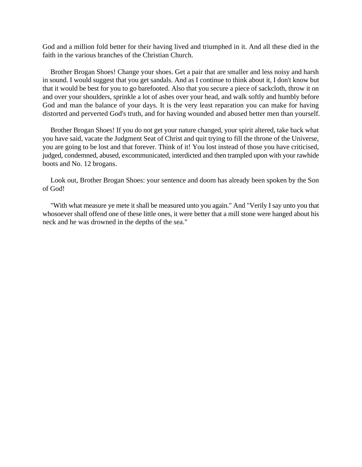God and a million fold better for their having lived and triumphed in it. And all these died in the faith in the various branches of the Christian Church.

Brother Brogan Shoes! Change your shoes. Get a pair that are smaller and less noisy and harsh in sound. I would suggest that you get sandals. And as I continue to think about it, I don't know but that it would be best for you to go barefooted. Also that you secure a piece of sackcloth, throw it on and over your shoulders, sprinkle a lot of ashes over your head, and walk softly and humbly before God and man the balance of your days. It is the very least reparation you can make for having distorted and perverted God's truth, and for having wounded and abused better men than yourself.

Brother Brogan Shoes! If you do not get your nature changed, your spirit altered, take back what you have said, vacate the Judgment Seat of Christ and quit trying to fill the throne of the Universe, you are going to be lost and that forever. Think of it! You lost instead of those you have criticised, judged, condemned, abused, excommunicated, interdicted and then trampled upon with your rawhide boots and No. 12 brogans.

Look out, Brother Brogan Shoes: your sentence and doom has already been spoken by the Son of God!

"With what measure ye mete it shall be measured unto you again." And "Verily I say unto you that whosoever shall offend one of these little ones, it were better that a mill stone were hanged about his neck and he was drowned in the depths of the sea."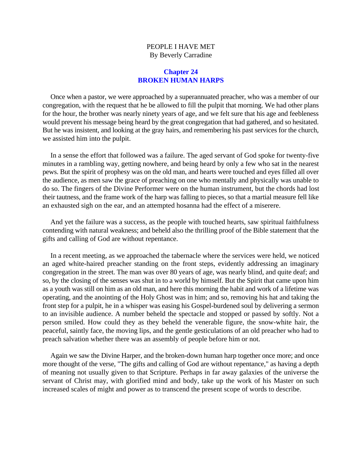### **Chapter 24 BROKEN HUMAN HARPS**

Once when a pastor, we were approached by a superannuated preacher, who was a member of our congregation, with the request that he be allowed to fill the pulpit that morning. We had other plans for the hour, the brother was nearly ninety years of age, and we felt sure that his age and feebleness would prevent his message being heard by the great congregation that had gathered, and so hesitated. But he was insistent, and looking at the gray hairs, and remembering his past services for the church, we assisted him into the pulpit.

In a sense the effort that followed was a failure. The aged servant of God spoke for twenty-five minutes in a rambling way, getting nowhere, and being heard by only a few who sat in the nearest pews. But the spirit of prophesy was on the old man, and hearts were touched and eyes filled all over the audience, as men saw the grace of preaching on one who mentally and physically was unable to do so. The fingers of the Divine Performer were on the human instrument, but the chords had lost their tautness, and the frame work of the harp was falling to pieces, so that a martial measure fell like an exhausted sigh on the ear, and an attempted hosanna had the effect of a miserere.

And yet the failure was a success, as the people with touched hearts, saw spiritual faithfulness contending with natural weakness; and beheld also the thrilling proof of the Bible statement that the gifts and calling of God are without repentance.

In a recent meeting, as we approached the tabernacle where the services were held, we noticed an aged white-haired preacher standing on the front steps, evidently addressing an imaginary congregation in the street. The man was over 80 years of age, was nearly blind, and quite deaf; and so, by the closing of the senses was shut in to a world by himself. But the Spirit that came upon him as a youth was still on him as an old man, and here this morning the habit and work of a lifetime was operating, and the anointing of the Holy Ghost was in him; and so, removing his hat and taking the front step for a pulpit, he in a whisper was easing his Gospel-burdened soul by delivering a sermon to an invisible audience. A number beheld the spectacle and stopped or passed by softly. Not a person smiled. How could they as they beheld the venerable figure, the snow-white hair, the peaceful, saintly face, the moving lips, and the gentle gesticulations of an old preacher who had to preach salvation whether there was an assembly of people before him or not.

Again we saw the Divine Harper, and the broken-down human harp together once more; and once more thought of the verse, "The gifts and calling of God are without repentance," as having a depth of meaning not usually given to that Scripture. Perhaps in far away galaxies of the universe the servant of Christ may, with glorified mind and body, take up the work of his Master on such increased scales of might and power as to transcend the present scope of words to describe.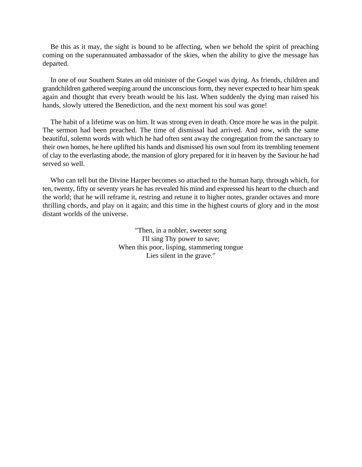Be this as it may, the sight is bound to be affecting, when we behold the spirit of preaching coming on the superannuated ambassador of the skies, when the ability to give the message has departed.

In one of our Southern States an old minister of the Gospel was dying. As friends, children and grandchildren gathered weeping around the unconscious form, they never expected to hear him speak again and thought that every breath would be his last. When suddenly the dying man raised his hands, slowly uttered the Benediction, and the next moment his soul was gone!

The habit of a lifetime was on him. It was strong even in death. Once more he was in the pulpit. The sermon had been preached. The time of dismissal had arrived. And now, with the same beautiful, solemn words with which he had often sent away the congregation from the sanctuary to their own homes, he here uplifted his hands and dismissed his own soul from its trembling tenement of clay to the everlasting abode, the mansion of glory prepared for it in heaven by the Saviour he had served so well.

Who can tell but the Divine Harper becomes so attached to the human harp, through which, for ten, twenty, fifty or seventy years he has revealed his mind and expressed his heart to the church and the world; that he will reframe it, restring and retune it to higher notes, grander octaves and more thrilling chords, and play on it again; and this time in the highest courts of glory and in the most distant worlds of the universe.

> "Then, in a nobler, sweeter song I'll sing Thy power to save; When this poor, lisping, stammering tongue Lies silent in the grave."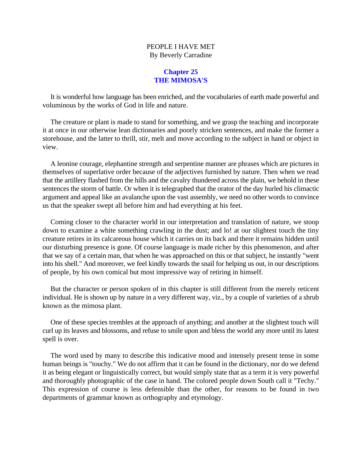## **Chapter 25 THE MIMOSA'S**

It is wonderful how language has been enriched, and the vocabularies of earth made powerful and voluminous by the works of God in life and nature.

The creature or plant is made to stand for something, and we grasp the teaching and incorporate it at once in our otherwise lean dictionaries and poorly stricken sentences, and make the former a storehouse, and the latter to thrill, stir, melt and move according to the subject in hand or object in view.

A leonine courage, elephantine strength and serpentine manner are phrases which are pictures in themselves of superlative order because of the adjectives furnished by nature. Then when we read that the artillery flashed from the hills and the cavalry thundered across the plain, we behold in these sentences the storm of battle. Or when it is telegraphed that the orator of the day hurled his climactic argument and appeal like an avalanche upon the vast assembly, we need no other words to convince us that the speaker swept all before him and had everything at his feet.

Coming closer to the character world in our interpretation and translation of nature, we stoop down to examine a white something crawling in the dust; and lo! at our slightest touch the tiny creature retires in its calcareous house which it carries on its back and there it remains hidden until our disturbing presence is gone. Of course language is made richer by this phenomenon, and after that we say of a certain man, that when he was approached on this or that subject, he instantly "went into his shell." And moreover, we feel kindly towards the snail for helping us out, in our descriptions of people, by his own comical but most impressive way of retiring in himself.

But the character or person spoken of in this chapter is still different from the merely reticent individual. He is shown up by nature in a very different way, viz., by a couple of varieties of a shrub known as the mimosa plant.

One of these species trembles at the approach of anything; and another at the slightest touch will curl up its leaves and blossoms, and refuse to smile upon and bless the world any more until its latest spell is over.

The word used by many to describe this indicative mood and intensely present tense in some human beings is "touchy." We do not affirm that it can be found in the dictionary, nor do we defend it as being elegant or linguistically correct, but would simply state that as a term it is very powerful and thoroughly photographic of the case in hand. The colored people down South call it "Techy." This expression of course is less defensible than the other, for reasons to be found in two departments of grammar known as orthography and etymology.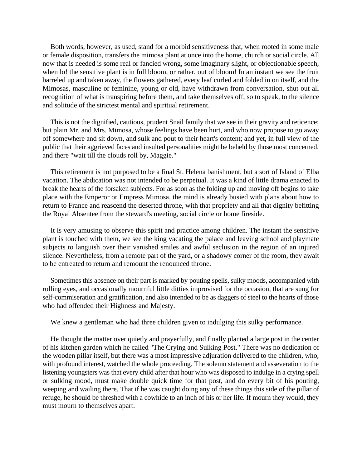Both words, however, as used, stand for a morbid sensitiveness that, when rooted in some male or female disposition, transfers the mimosa plant at once into the home, church or social circle. All now that is needed is some real or fancied wrong, some imaginary slight, or objectionable speech, when lo! the sensitive plant is in full bloom, or rather, out of bloom! In an instant we see the fruit barreled up and taken away, the flowers gathered, every leaf curled and folded in on itself, and the Mimosas, masculine or feminine, young or old, have withdrawn from conversation, shut out all recognition of what is transpiring before them, and take themselves off, so to speak, to the silence and solitude of the strictest mental and spiritual retirement.

This is not the dignified, cautious, prudent Snail family that we see in their gravity and reticence; but plain Mr. and Mrs. Mimosa, whose feelings have been hurt, and who now propose to go away off somewhere and sit down, and sulk and pout to their heart's content; and yet, in full view of the public that their aggrieved faces and insulted personalities might be beheld by those most concerned, and there "wait till the clouds roll by, Maggie."

This retirement is not purposed to be a final St. Helena banishment, but a sort of Island of Elba vacation. The abdication was not intended to be perpetual. It was a kind of little drama enacted to break the hearts of the forsaken subjects. For as soon as the folding up and moving off begins to take place with the Emperor or Empress Mimosa, the mind is already busied with plans about how to return to France and reascend the deserted throne, with that propriety and all that dignity befitting the Royal Absentee from the steward's meeting, social circle or home fireside.

It is very amusing to observe this spirit and practice among children. The instant the sensitive plant is touched with them, we see the king vacating the palace and leaving school and playmate subjects to languish over their vanished smiles and awful seclusion in the region of an injured silence. Nevertheless, from a remote part of the yard, or a shadowy corner of the room, they await to be entreated to return and remount the renounced throne.

Sometimes this absence on their part is marked by pouting spells, sulky moods, accompanied with rolling eyes, and occasionally mournful little ditties improvised for the occasion, that are sung for self-commiseration and gratification, and also intended to be as daggers of steel to the hearts of those who had offended their Highness and Majesty.

We knew a gentleman who had three children given to indulging this sulky performance.

He thought the matter over quietly and prayerfully, and finally planted a large post in the center of his kitchen garden which he called "The Crying and Sulking Post." There was no dedication of the wooden pillar itself, but there was a most impressive adjuration delivered to the children, who, with profound interest, watched the whole proceeding. The solemn statement and asseveration to the listening youngsters was that every child after that hour who was disposed to indulge in a crying spell or sulking mood, must make double quick time for that post, and do every bit of his pouting, weeping and wailing there. That if he was caught doing any of these things this side of the pillar of refuge, he should be threshed with a cowhide to an inch of his or her life. If mourn they would, they must mourn to themselves apart.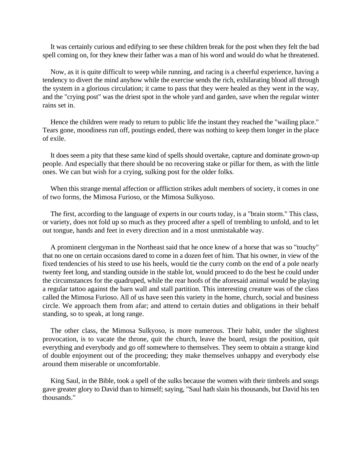It was certainly curious and edifying to see these children break for the post when they felt the bad spell coming on, for they knew their father was a man of his word and would do what he threatened.

Now, as it is quite difficult to weep while running, and racing is a cheerful experience, having a tendency to divert the mind anyhow while the exercise sends the rich, exhilarating blood all through the system in a glorious circulation; it came to pass that they were healed as they went in the way, and the "crying post" was the driest spot in the whole yard and garden, save when the regular winter rains set in.

Hence the children were ready to return to public life the instant they reached the "wailing place." Tears gone, moodiness run off, poutings ended, there was nothing to keep them longer in the place of exile.

It does seem a pity that these same kind of spells should overtake, capture and dominate grown-up people. And especially that there should be no recovering stake or pillar for them, as with the little ones. We can but wish for a crying, sulking post for the older folks.

When this strange mental affection or affliction strikes adult members of society, it comes in one of two forms, the Mimosa Furioso, or the Mimosa Sulkyoso.

The first, according to the language of experts in our courts today, is a "brain storm." This class, or variety, does not fold up so much as they proceed after a spell of trembling to unfold, and to let out tongue, hands and feet in every direction and in a most unmistakable way.

A prominent clergyman in the Northeast said that he once knew of a horse that was so "touchy" that no one on certain occasions dared to come in a dozen feet of him. That his owner, in view of the fixed tendencies of his steed to use his heels, would tie the curry comb on the end of a pole nearly twenty feet long, and standing outside in the stable lot, would proceed to do the best he could under the circumstances for the quadruped, while the rear hoofs of the aforesaid animal would be playing a regular tattoo against the barn wall and stall partition. This interesting creature was of the class called the Mimosa Furioso. All of us have seen this variety in the home, church, social and business circle. We approach them from afar; and attend to certain duties and obligations in their behalf standing, so to speak, at long range.

The other class, the Mimosa Sulkyoso, is more numerous. Their habit, under the slightest provocation, is to vacate the throne, quit the church, leave the board, resign the position, quit everything and everybody and go off somewhere to themselves. They seem to obtain a strange kind of double enjoyment out of the proceeding; they make themselves unhappy and everybody else around them miserable or uncomfortable.

King Saul, in the Bible, took a spell of the sulks because the women with their timbrels and songs gave greater glory to David than to himself; saying, "Saul hath slain his thousands, but David his ten thousands."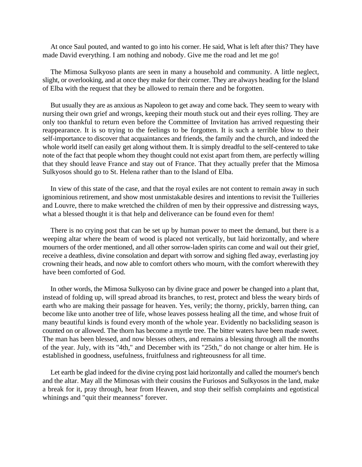At once Saul pouted, and wanted to go into his corner. He said, What is left after this? They have made David everything. I am nothing and nobody. Give me the road and let me go!

The Mimosa Sulkyoso plants are seen in many a household and community. A little neglect, slight, or overlooking, and at once they make for their corner. They are always heading for the Island of Elba with the request that they be allowed to remain there and be forgotten.

But usually they are as anxious as Napoleon to get away and come back. They seem to weary with nursing their own grief and wrongs, keeping their mouth stuck out and their eyes rolling. They are only too thankful to return even before the Committee of Invitation has arrived requesting their reappearance. It is so trying to the feelings to be forgotten. It is such a terrible blow to their self-importance to discover that acquaintances and friends, the family and the church, and indeed the whole world itself can easily get along without them. It is simply dreadful to the self-centered to take note of the fact that people whom they thought could not exist apart from them, are perfectly willing that they should leave France and stay out of France. That they actually prefer that the Mimosa Sulkyosos should go to St. Helena rather than to the Island of Elba.

In view of this state of the case, and that the royal exiles are not content to remain away in such ignominious retirement, and show most unmistakable desires and intentions to revisit the Tuilleries and Louvre, there to make wretched the children of men by their oppressive and distressing ways, what a blessed thought it is that help and deliverance can be found even for them!

There is no crying post that can be set up by human power to meet the demand, but there is a weeping altar where the beam of wood is placed not vertically, but laid horizontally, and where mourners of the order mentioned, and all other sorrow-laden spirits can come and wail out their grief, receive a deathless, divine consolation and depart with sorrow and sighing fled away, everlasting joy crowning their heads, and now able to comfort others who mourn, with the comfort wherewith they have been comforted of God.

In other words, the Mimosa Sulkyoso can by divine grace and power be changed into a plant that, instead of folding up, will spread abroad its branches, to rest, protect and bless the weary birds of earth who are making their passage for heaven. Yes, verily; the thorny, prickly, barren thing, can become like unto another tree of life, whose leaves possess healing all the time, and whose fruit of many beautiful kinds is found every month of the whole year. Evidently no backsliding season is counted on or allowed. The thorn has become a myrtle tree. The bitter waters have been made sweet. The man has been blessed, and now blesses others, and remains a blessing through all the months of the year. July, with its "4th," and December with its "25th," do not change or alter him. He is established in goodness, usefulness, fruitfulness and righteousness for all time.

Let earth be glad indeed for the divine crying post laid horizontally and called the mourner's bench and the altar. May all the Mimosas with their cousins the Furiosos and Sulkyosos in the land, make a break for it, pray through, hear from Heaven, and stop their selfish complaints and egotistical whinings and "quit their meanness" forever.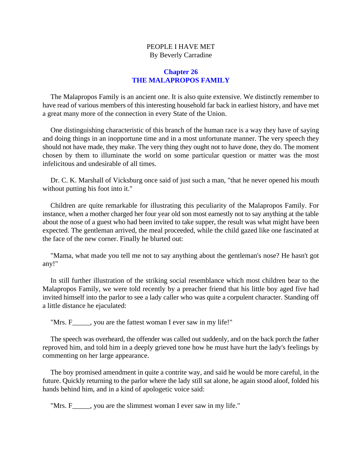### **Chapter 26 THE MALAPROPOS FAMILY**

The Malapropos Family is an ancient one. It is also quite extensive. We distinctly remember to have read of various members of this interesting household far back in earliest history, and have met a great many more of the connection in every State of the Union.

One distinguishing characteristic of this branch of the human race is a way they have of saying and doing things in an inopportune time and in a most unfortunate manner. The very speech they should not have made, they make. The very thing they ought not to have done, they do. The moment chosen by them to illuminate the world on some particular question or matter was the most infelicitous and undesirable of all times.

Dr. C. K. Marshall of Vicksburg once said of just such a man, "that he never opened his mouth without putting his foot into it."

Children are quite remarkable for illustrating this peculiarity of the Malapropos Family. For instance, when a mother charged her four year old son most earnestly not to say anything at the table about the nose of a guest who had been invited to take supper, the result was what might have been expected. The gentleman arrived, the meal proceeded, while the child gazed like one fascinated at the face of the new corner. Finally he blurted out:

"Mama, what made you tell me not to say anything about the gentleman's nose? He hasn't got any!"

In still further illustration of the striking social resemblance which most children bear to the Malapropos Family, we were told recently by a preacher friend that his little boy aged five had invited himself into the parlor to see a lady caller who was quite a corpulent character. Standing off a little distance he ejaculated:

"Mrs. F\_\_\_\_\_, you are the fattest woman I ever saw in my life!"

The speech was overheard, the offender was called out suddenly, and on the back porch the father reproved him, and told him in a deeply grieved tone how he must have hurt the lady's feelings by commenting on her large appearance.

The boy promised amendment in quite a contrite way, and said he would be more careful, in the future. Quickly returning to the parlor where the lady still sat alone, he again stood aloof, folded his hands behind him, and in a kind of apologetic voice said:

"Mrs. F\_\_\_\_\_, you are the slimmest woman I ever saw in my life."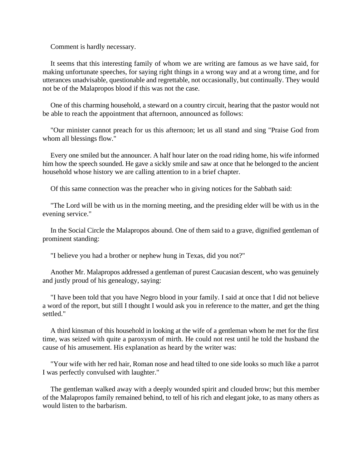Comment is hardly necessary.

It seems that this interesting family of whom we are writing are famous as we have said, for making unfortunate speeches, for saying right things in a wrong way and at a wrong time, and for utterances unadvisable, questionable and regrettable, not occasionally, but continually. They would not be of the Malapropos blood if this was not the case.

One of this charming household, a steward on a country circuit, hearing that the pastor would not be able to reach the appointment that afternoon, announced as follows:

"Our minister cannot preach for us this afternoon; let us all stand and sing "Praise God from whom all blessings flow."

Every one smiled but the announcer. A half hour later on the road riding home, his wife informed him how the speech sounded. He gave a sickly smile and saw at once that he belonged to the ancient household whose history we are calling attention to in a brief chapter.

Of this same connection was the preacher who in giving notices for the Sabbath said:

"The Lord will be with us in the morning meeting, and the presiding elder will be with us in the evening service."

In the Social Circle the Malapropos abound. One of them said to a grave, dignified gentleman of prominent standing:

"I believe you had a brother or nephew hung in Texas, did you not?"

Another Mr. Malapropos addressed a gentleman of purest Caucasian descent, who was genuinely and justly proud of his genealogy, saying:

"I have been told that you have Negro blood in your family. I said at once that I did not believe a word of the report, but still I thought I would ask you in reference to the matter, and get the thing settled."

A third kinsman of this household in looking at the wife of a gentleman whom he met for the first time, was seized with quite a paroxysm of mirth. He could not rest until he told the husband the cause of his amusement. His explanation as heard by the writer was:

"Your wife with her red hair, Roman nose and head tilted to one side looks so much like a parrot I was perfectly convulsed with laughter."

The gentleman walked away with a deeply wounded spirit and clouded brow; but this member of the Malapropos family remained behind, to tell of his rich and elegant joke, to as many others as would listen to the barbarism.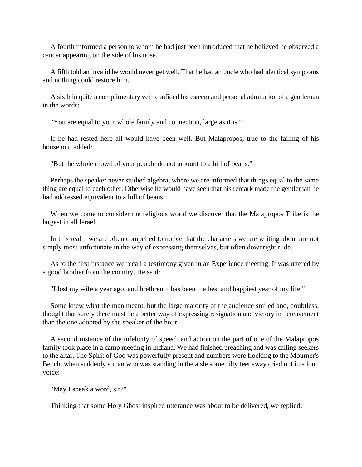A fourth informed a person to whom he had just been introduced that he believed he observed a cancer appearing on the side of his nose.

A fifth told an invalid he would never get well. That he had an uncle who had identical symptoms and nothing could restore him.

A sixth in quite a complimentary vein confided his esteem and personal admiration of a gentleman in the words:

"You are equal to your whole family and connection, large as it is."

If he had rested here all would have been well. But Malapropos, true to the failing of his household added:

"But the whole crowd of your people do not amount to a hill of beans."

Perhaps the speaker never studied algebra, where we are informed that things equal to the same thing are equal to each other. Otherwise he would have seen that his remark made the gentleman he had addressed equivalent to a hill of beans.

When we come to consider the religious world we discover that the Malapropos Tribe is the largest in all Israel.

In this realm we are often compelled to notice that the characters we are writing about are not simply most unfortunate in the way of expressing themselves, but often downright rude.

As to the first instance we recall a testimony given in an Experience meeting. It was uttered by a good brother from the country. He said:

"I lost my wife a year ago; and brethren it has been the best and happiest year of my life."

Some knew what the man meant, but the large majority of the audience smiled and, doubtless, thought that surely there must be a better way of expressing resignation and victory in bereavement than the one adopted by the speaker of the hour.

A second instance of the infelicity of speech and action on the part of one of the Malapropos family took place in a camp meeting in Indiana. We had finished preaching and was calling seekers to the altar. The Spirit of God was powerfully present and numbers were flocking to the Mourner's Bench, when suddenly a man who was standing in the aisle some fifty feet away cried out in a loud voice:

"May I speak a word, sir?"

Thinking that some Holy Ghost inspired utterance was about to be delivered, we replied: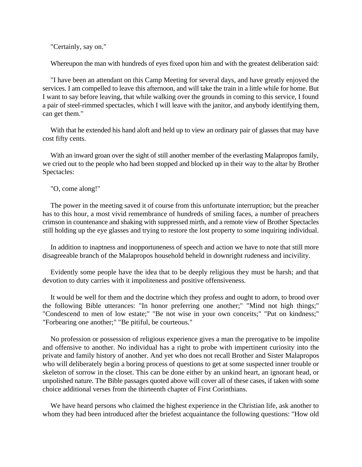"Certainly, say on."

Whereupon the man with hundreds of eyes fixed upon him and with the greatest deliberation said:

"I have been an attendant on this Camp Meeting for several days, and have greatly enjoyed the services. I am compelled to leave this afternoon, and will take the train in a little while for home. But I want to say before leaving, that while walking over the grounds in coming to this service, I found a pair of steel-rimmed spectacles, which I will leave with the janitor, and anybody identifying them, can get them."

With that he extended his hand aloft and held up to view an ordinary pair of glasses that may have cost fifty cents.

With an inward groan over the sight of still another member of the everlasting Malapropos family, we cried out to the people who had been stopped and blocked up in their way to the altar by Brother Spectacles:

"O, come along!"

The power in the meeting saved it of course from this unfortunate interruption; but the preacher has to this hour, a most vivid remembrance of hundreds of smiling faces, a number of preachers crimson in countenance and shaking with suppressed mirth, and a remote view of Brother Spectacles still holding up the eye glasses and trying to restore the lost property to some inquiring individual.

In addition to inaptness and inopportuneness of speech and action we have to note that still more disagreeable branch of the Malapropos household beheld in downright rudeness and incivility.

Evidently some people have the idea that to be deeply religious they must be harsh; and that devotion to duty carries with it impoliteness and positive offensiveness.

It would be well for them and the doctrine which they profess and ought to adorn, to brood over the following Bible utterances: "In honor preferring one another;" "Mind not high things;" "Condescend to men of low estate;" "Be not wise in your own conceits;" "Put on kindness;" "Forbearing one another;" "Be pitiful, be courteous."

No profession or possession of religious experience gives a man the prerogative to be impolite and offensive to another. No individual has a right to probe with impertinent curiosity into the private and family history of another. And yet who does not recall Brother and Sister Malapropos who will deliberately begin a boring process of questions to get at some suspected inner trouble or skeleton of sorrow in the closet. This can be done either by an unkind heart, an ignorant head, or unpolished nature. The Bible passages quoted above will cover all of these cases, if taken with some choice additional verses from the thirteenth chapter of First Corinthians.

We have heard persons who claimed the highest experience in the Christian life, ask another to whom they had been introduced after the briefest acquaintance the following questions: "How old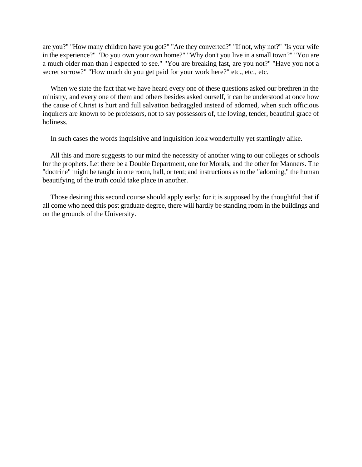are you?" "How many children have you got?" "Are they converted?" "If not, why not?" "Is your wife in the experience?" "Do you own your own home?" "Why don't you live in a small town?" "You are a much older man than I expected to see." "You are breaking fast, are you not?" "Have you not a secret sorrow?" "How much do you get paid for your work here?" etc., etc., etc.

When we state the fact that we have heard every one of these questions asked our brethren in the ministry, and every one of them and others besides asked ourself, it can be understood at once how the cause of Christ is hurt and full salvation bedraggled instead of adorned, when such officious inquirers are known to be professors, not to say possessors of, the loving, tender, beautiful grace of holiness.

In such cases the words inquisitive and inquisition look wonderfully yet startlingly alike.

All this and more suggests to our mind the necessity of another wing to our colleges or schools for the prophets. Let there be a Double Department, one for Morals, and the other for Manners. The "doctrine" might be taught in one room, hall, or tent; and instructions as to the "adorning," the human beautifying of the truth could take place in another.

Those desiring this second course should apply early; for it is supposed by the thoughtful that if all come who need this post graduate degree, there will hardly be standing room in the buildings and on the grounds of the University.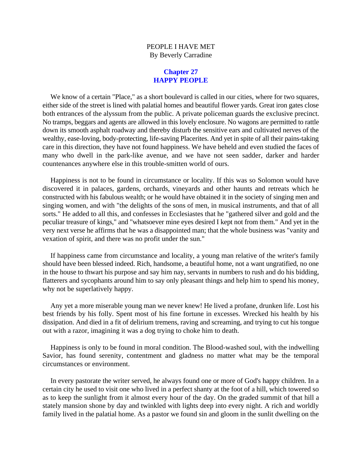# **Chapter 27 HAPPY PEOPLE**

We know of a certain "Place," as a short boulevard is called in our cities, where for two squares, either side of the street is lined with palatial homes and beautiful flower yards. Great iron gates close both entrances of the alyssum from the public. A private policeman guards the exclusive precinct. No tramps, beggars and agents are allowed in this lovely enclosure. No wagons are permitted to rattle down its smooth asphalt roadway and thereby disturb the sensitive ears and cultivated nerves of the wealthy, ease-loving, body-protecting, life-saving Placerites. And yet in spite of all their pains-taking care in this direction, they have not found happiness. We have beheld and even studied the faces of many who dwell in the park-like avenue, and we have not seen sadder, darker and harder countenances anywhere else in this trouble-smitten world of ours.

Happiness is not to be found in circumstance or locality. If this was so Solomon would have discovered it in palaces, gardens, orchards, vineyards and other haunts and retreats which he constructed with his fabulous wealth; or he would have obtained it in the society of singing men and singing women, and with "the delights of the sons of men, in musical instruments, and that of all sorts." He added to all this, and confesses in Ecclesiastes that he "gathered silver and gold and the peculiar treasure of kings," and "whatsoever mine eyes desired I kept not from them." And yet in the very next verse he affirms that he was a disappointed man; that the whole business was "vanity and vexation of spirit, and there was no profit under the sun."

If happiness came from circumstance and locality, a young man relative of the writer's family should have been blessed indeed. Rich, handsome, a beautiful home, not a want ungratified, no one in the house to thwart his purpose and say him nay, servants in numbers to rush and do his bidding, flatterers and sycophants around him to say only pleasant things and help him to spend his money, why not be superlatively happy.

Any yet a more miserable young man we never knew! He lived a profane, drunken life. Lost his best friends by his folly. Spent most of his fine fortune in excesses. Wrecked his health by his dissipation. And died in a fit of delirium tremens, raving and screaming, and trying to cut his tongue out with a razor, imagining it was a dog trying to choke him to death.

Happiness is only to be found in moral condition. The Blood-washed soul, with the indwelling Savior, has found serenity, contentment and gladness no matter what may be the temporal circumstances or environment.

In every pastorate the writer served, he always found one or more of God's happy children. In a certain city he used to visit one who lived in a perfect shanty at the foot of a hill, which towered so as to keep the sunlight from it almost every hour of the day. On the graded summit of that hill a stately mansion shone by day and twinkled with lights deep into every night. A rich and worldly family lived in the palatial home. As a pastor we found sin and gloom in the sunlit dwelling on the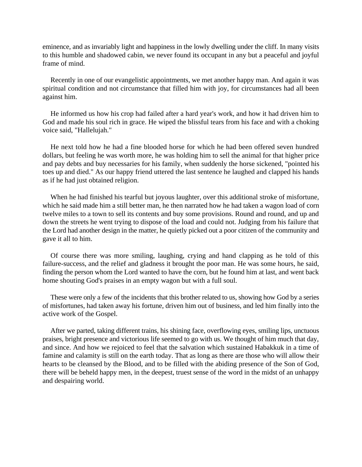eminence, and as invariably light and happiness in the lowly dwelling under the cliff. In many visits to this humble and shadowed cabin, we never found its occupant in any but a peaceful and joyful frame of mind.

Recently in one of our evangelistic appointments, we met another happy man. And again it was spiritual condition and not circumstance that filled him with joy, for circumstances had all been against him.

He informed us how his crop had failed after a hard year's work, and how it had driven him to God and made his soul rich in grace. He wiped the blissful tears from his face and with a choking voice said, "Hallelujah."

He next told how he had a fine blooded horse for which he had been offered seven hundred dollars, but feeling he was worth more, he was holding him to sell the animal for that higher price and pay debts and buy necessaries for his family, when suddenly the horse sickened, "pointed his toes up and died." As our happy friend uttered the last sentence he laughed and clapped his hands as if he had just obtained religion.

When he had finished his tearful but joyous laughter, over this additional stroke of misfortune, which he said made him a still better man, he then narrated how he had taken a wagon load of corn twelve miles to a town to sell its contents and buy some provisions. Round and round, and up and down the streets he went trying to dispose of the load and could not. Judging from his failure that the Lord had another design in the matter, he quietly picked out a poor citizen of the community and gave it all to him.

Of course there was more smiling, laughing, crying and hand clapping as he told of this failure-success, and the relief and gladness it brought the poor man. He was some hours, he said, finding the person whom the Lord wanted to have the corn, but he found him at last, and went back home shouting God's praises in an empty wagon but with a full soul.

These were only a few of the incidents that this brother related to us, showing how God by a series of misfortunes, had taken away his fortune, driven him out of business, and led him finally into the active work of the Gospel.

After we parted, taking different trains, his shining face, overflowing eyes, smiling lips, unctuous praises, bright presence and victorious life seemed to go with us. We thought of him much that day, and since. And how we rejoiced to feel that the salvation which sustained Habakkuk in a time of famine and calamity is still on the earth today. That as long as there are those who will allow their hearts to be cleansed by the Blood, and to be filled with the abiding presence of the Son of God, there will be beheld happy men, in the deepest, truest sense of the word in the midst of an unhappy and despairing world.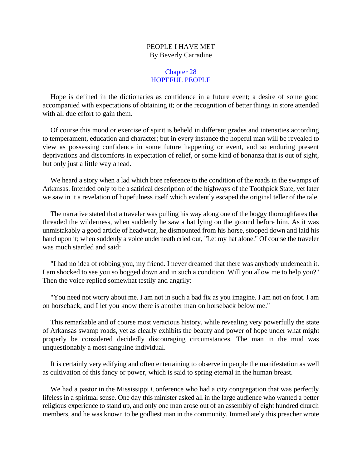### Chapter 28 HOPEFUL PEOPLE

Hope is defined in the dictionaries as confidence in a future event; a desire of some good accompanied with expectations of obtaining it; or the recognition of better things in store attended with all due effort to gain them.

Of course this mood or exercise of spirit is beheld in different grades and intensities according to temperament, education and character; but in every instance the hopeful man will be revealed to view as possessing confidence in some future happening or event, and so enduring present deprivations and discomforts in expectation of relief, or some kind of bonanza that is out of sight, but only just a little way ahead.

We heard a story when a lad which bore reference to the condition of the roads in the swamps of Arkansas. Intended only to be a satirical description of the highways of the Toothpick State, yet later we saw in it a revelation of hopefulness itself which evidently escaped the original teller of the tale.

The narrative stated that a traveler was pulling his way along one of the boggy thoroughfares that threaded the wilderness, when suddenly he saw a hat lying on the ground before him. As it was unmistakably a good article of headwear, he dismounted from his horse, stooped down and laid his hand upon it; when suddenly a voice underneath cried out, "Let my hat alone." Of course the traveler was much startled and said:

"I had no idea of robbing you, my friend. I never dreamed that there was anybody underneath it. I am shocked to see you so bogged down and in such a condition. Will you allow me to help you?" Then the voice replied somewhat testily and angrily:

"You need not worry about me. I am not in such a bad fix as you imagine. I am not on foot. I am on horseback, and I let you know there is another man on horseback below me."

This remarkable and of course most veracious history, while revealing very powerfully the state of Arkansas swamp roads, yet as clearly exhibits the beauty and power of hope under what might properly be considered decidedly discouraging circumstances. The man in the mud was unquestionably a most sanguine individual.

It is certainly very edifying and often entertaining to observe in people the manifestation as well as cultivation of this fancy or power, which is said to spring eternal in the human breast.

We had a pastor in the Mississippi Conference who had a city congregation that was perfectly lifeless in a spiritual sense. One day this minister asked all in the large audience who wanted a better religious experience to stand up, and only one man arose out of an assembly of eight hundred church members, and he was known to be godliest man in the community. Immediately this preacher wrote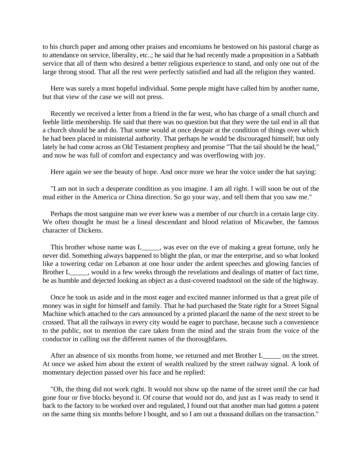to his church paper and among other praises and encomiums he bestowed on his pastoral charge as to attendance on service, liberality, etc..; he said that he had recently made a proposition in a Sabbath service that all of them who desired a better religious experience to stand, and only one out of the large throng stood. That all the rest were perfectly satisfied and had all the religion they wanted.

Here was surely a most hopeful individual. Some people might have called him by another name, but that view of the case we will not press.

Recently we received a letter from a friend in the far west, who has charge of a small church and feeble little membership. He said that there was no question but that they were the tail end in all that a church should be and do. That some would at once despair at the condition of things over which he had been placed in ministerial authority. That perhaps he would be discouraged himself; but only lately he had come across an Old Testament prophesy and promise "That the tail should be the head," and now he was full of comfort and expectancy and was overflowing with joy.

Here again we see the beauty of hope. And once more we hear the voice under the hat saying:

"I am not in such a desperate condition as you imagine. I am all right. I will soon be out of the mud either in the America or China direction. So go your way, and tell them that you saw me."

Perhaps the most sanguine man we ever knew was a member of our church in a certain large city. We often thought he must be a lineal descendant and blood relation of Micawber, the famous character of Dickens.

This brother whose name was L\_\_\_\_\_, was ever on the eve of making a great fortune, only he never did. Something always happened to blight the plan, or mar the enterprise, and so what looked like a towering cedar on Lebanon at one hour under the ardent speeches and glowing fancies of Brother L\_\_\_\_\_, would in a few weeks through the revelations and dealings of matter of fact time, be as humble and dejected looking an object as a dust-covered toadstool on the side of the highway.

Once he took us aside and in the most eager and excited manner informed us that a great pile of money was in sight for himself and family. That he had purchased the State right for a Street Signal Machine which attached to the cars announced by a printed placard the name of the next street to be crossed. That all the railways in every city would be eager to purchase, because such a convenience to the public, not to mention the care taken from the mind and the strain from the voice of the conductor in calling out the different names of the thoroughfares.

After an absence of six months from home, we returned and met Brother L\_\_\_\_\_ on the street. At once we asked him about the extent of wealth realized by the street railway signal. A look of momentary dejection passed over his face and he replied:

"Oh, the thing did not work right. It would not show up the name of the street until the car had gone four or five blocks beyond it. Of course that would not do, and just as I was ready to send it back to the factory to be worked over and regulated, I found out that another man had gotten a patent on the same thing six months before I bought, and so I am out a thousand dollars on the transaction."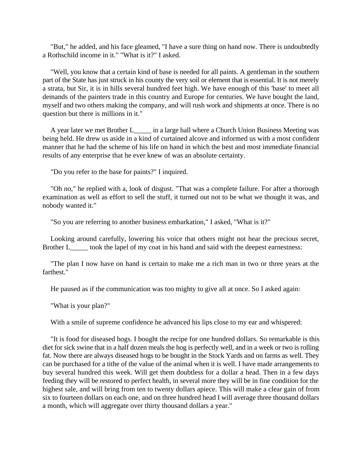"But," he added, and his face gleamed, "I have a sure thing on hand now. There is undoubtedly a Rothschild income in it." "What is it?" I asked.

"Well, you know that a certain kind of base is needed for all paints. A gentleman in the southern part of the State has just struck in his county the very soil or element that is essential. It is not merely a strata, but Sir, it is in hills several hundred feet high. We have enough of this 'base' to meet all demands of the painters trade in this country and Europe for centuries. We have bought the land, myself and two others making the company, and will rush work and shipments at once. There is no question but there is millions in it."

A year later we met Brother L\_\_\_\_\_ in a large hall where a Church Union Business Meeting was being held. He drew us aside in a kind of curtained alcove and informed us with a most confident manner that he had the scheme of his life on hand in which the best and most immediate financial results of any enterprise that he ever knew of was an absolute certainty.

"Do you refer to the base for paints?" I inquired.

"Oh no," he replied with a, look of disgust. "That was a complete failure. For after a thorough examination as well as effort to sell the stuff, it turned out not to be what we thought it was, and nobody wanted it."

"So you are referring to another business embarkation," I asked, "What is it?"

Looking around carefully, lowering his voice that others might not hear the precious secret, Brother L took the lapel of my coat in his hand and said with the deepest earnestness:

"The plan I now have on hand is certain to make me a rich man in two or three years at the farthest."

He paused as if the communication was too mighty to give all at once. So I asked again:

"What is your plan?"

With a smile of supreme confidence he advanced his lips close to my ear and whispered:

"It is food for diseased hogs. I bought the recipe for one hundred dollars. So remarkable is this diet for sick swine that in a half dozen meals the hog is perfectly well, and in a week or two is rolling fat. Now there are always diseased hogs to be bought in the Stock Yards and on farms as well. They can be purchased for a tithe of the value of the animal when it is well. I have made arrangements to buy several hundred this week. Will get them doubtless for a dollar a head. Then in a few days feeding they will be restored to perfect health, in several more they will be in fine condition for the highest sale, and will bring from ten to twenty dollars apiece. This will make a clear gain of from six to fourteen dollars on each one, and on three hundred head I will average three thousand dollars a month, which will aggregate over thirty thousand dollars a year."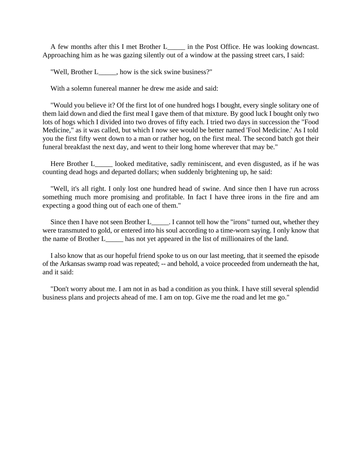A few months after this I met Brother L\_\_\_\_\_ in the Post Office. He was looking downcast. Approaching him as he was gazing silently out of a window at the passing street cars, I said:

"Well, Brother L\_\_\_\_\_, how is the sick swine business?"

With a solemn funereal manner he drew me aside and said:

"Would you believe it? Of the first lot of one hundred hogs I bought, every single solitary one of them laid down and died the first meal I gave them of that mixture. By good luck I bought only two lots of hogs which I divided into two droves of fifty each. I tried two days in succession the "Food Medicine," as it was called, but which I now see would be better named 'Fool Medicine.' As I told you the first fifty went down to a man or rather hog, on the first meal. The second batch got their funeral breakfast the next day, and went to their long home wherever that may be."

Here Brother L\_\_\_\_\_\_ looked meditative, sadly reminiscent, and even disgusted, as if he was counting dead hogs and departed dollars; when suddenly brightening up, he said:

"Well, it's all right. I only lost one hundred head of swine. And since then I have run across something much more promising and profitable. In fact I have three irons in the fire and am expecting a good thing out of each one of them."

Since then I have not seen Brother L\_\_\_\_\_. I cannot tell how the "irons" turned out, whether they were transmuted to gold, or entered into his soul according to a time-worn saying. I only know that the name of Brother L\_\_\_\_\_ has not yet appeared in the list of millionaires of the land.

I also know that as our hopeful friend spoke to us on our last meeting, that it seemed the episode of the Arkansas swamp road was repeated; -- and behold, a voice proceeded from underneath the hat, and it said:

"Don't worry about me. I am not in as bad a condition as you think. I have still several splendid business plans and projects ahead of me. I am on top. Give me the road and let me go."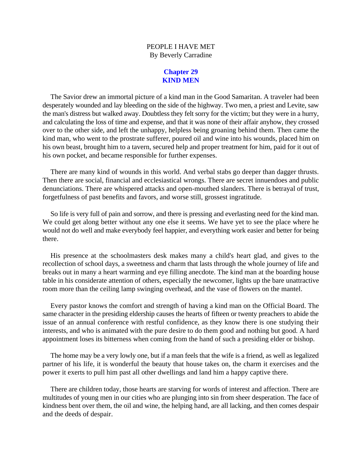## **Chapter 29 KIND MEN**

The Savior drew an immortal picture of a kind man in the Good Samaritan. A traveler had been desperately wounded and lay bleeding on the side of the highway. Two men, a priest and Levite, saw the man's distress but walked away. Doubtless they felt sorry for the victim; but they were in a hurry, and calculating the loss of time and expense, and that it was none of their affair anyhow, they crossed over to the other side, and left the unhappy, helpless being groaning behind them. Then came the kind man, who went to the prostrate sufferer, poured oil and wine into his wounds, placed him on his own beast, brought him to a tavern, secured help and proper treatment for him, paid for it out of his own pocket, and became responsible for further expenses.

There are many kind of wounds in this world. And verbal stabs go deeper than dagger thrusts. Then there are social, financial and ecclesiastical wrongs. There are secret innuendoes and public denunciations. There are whispered attacks and open-mouthed slanders. There is betrayal of trust, forgetfulness of past benefits and favors, and worse still, grossest ingratitude.

So life is very full of pain and sorrow, and there is pressing and everlasting need for the kind man. We could get along better without any one else it seems. We have yet to see the place where he would not do well and make everybody feel happier, and everything work easier and better for being there.

His presence at the schoolmasters desk makes many a child's heart glad, and gives to the recollection of school days, a sweetness and charm that lasts through the whole journey of life and breaks out in many a heart warming and eye filling anecdote. The kind man at the boarding house table in his considerate attention of others, especially the newcomer, lights up the bare unattractive room more than the ceiling lamp swinging overhead, and the vase of flowers on the mantel.

Every pastor knows the comfort and strength of having a kind man on the Official Board. The same character in the presiding eldership causes the hearts of fifteen or twenty preachers to abide the issue of an annual conference with restful confidence, as they know there is one studying their interests, and who is animated with the pure desire to do them good and nothing but good. A hard appointment loses its bitterness when coming from the hand of such a presiding elder or bishop.

The home may be a very lowly one, but if a man feels that the wife is a friend, as well as legalized partner of his life, it is wonderful the beauty that house takes on, the charm it exercises and the power it exerts to pull him past all other dwellings and land him a happy captive there.

There are children today, those hearts are starving for words of interest and affection. There are multitudes of young men in our cities who are plunging into sin from sheer desperation. The face of kindness bent over them, the oil and wine, the helping hand, are all lacking, and then comes despair and the deeds of despair.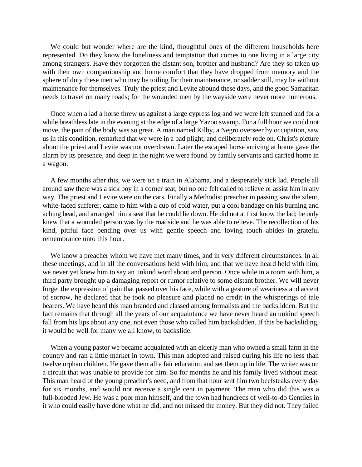We could but wonder where are the kind, thoughtful ones of the different households here represented. Do they know the loneliness and temptation that comes to one living in a large city among strangers. Have they forgotten the distant son, brother and husband? Are they so taken up with their own companionship and home comfort that they have dropped from memory and the sphere of duty these men who may be toiling for their maintenance, or sadder still, may be without maintenance for themselves. Truly the priest and Levite abound these days, and the good Samaritan needs to travel on many roads; for the wounded men by the wayside were never more numerous.

Once when a lad a horse threw us against a large cypress log and we were left stunned and for a while breathless late in the evening at the edge of a large Yazoo swamp. For a full hour we could not move, the pain of the body was so great. A man named Kilby, a Negro overseer by occupation, saw us in this condition, remarked that we were in a bad plight, and deliberately rode on. Christ's picture about the priest and Levite was not overdrawn. Later the escaped horse arriving at home gave the alarm by its presence, and deep in the night we were found by family servants and carried home in a wagon.

A few months after this, we were on a train in Alabama, and a desperately sick lad. People all around saw there was a sick boy in a corner seat, but no one felt called to relieve or assist him in any way. The priest and Levite were on the cars. Finally a Methodist preacher in passing saw the silent, white-faced sufferer, came to him with a cup of cold water, put a cool bandage on his burning and aching head, and arranged him a seat that he could lie down. He did not at first know the lad; he only knew that a wounded person was by the roadside and he was able to relieve. The recollection of his kind, pitiful face bending over us with gentle speech and loving touch abides in grateful remembrance unto this hour.

We know a preacher whom we have met many times, and in very different circumstances. In all these meetings, and in all the conversations held with him, and that we have heard held with him, we never yet knew him to say an unkind word about and person. Once while in a room with him, a third party brought up a damaging report or rumor relative to some distant brother. We will never forget the expression of pain that passed over his face, while with a gesture of weariness and accent of sorrow, he declared that he took no pleasure and placed no credit in the whisperings of tale bearers. We have heard this man branded and classed among formalists and the backslidden. But the fact remains that through all the years of our acquaintance we have never heard an unkind speech fall from his lips about any one, not even those who called him backslidden. If this be backsliding, it would be well for many we all know, to backslide.

When a young pastor we became acquainted with an elderly man who owned a small farm in the country and ran a little market in town. This man adopted and raised during his life no less than twelve orphan children. He gave them all a fair education and set them up in life. The writer was on a circuit that was unable to provide for him. So for months he and his family lived without meat. This man heard of the young preacher's need, and from that hour sent him two beefsteaks every day for six months, and would not receive a single cent in payment. The man who did this was a full-blooded Jew. He was a poor man himself, and the town had hundreds of well-to-do Gentiles in it who could easily have done what he did, and not missed the money. But they did not. They failed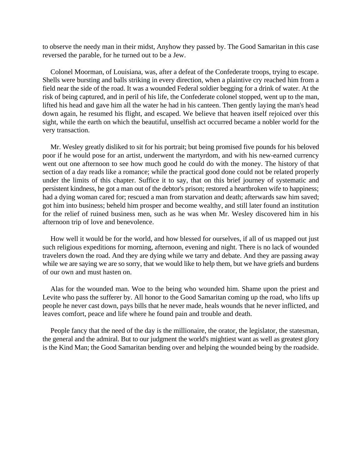to observe the needy man in their midst, Anyhow they passed by. The Good Samaritan in this case reversed the parable, for he turned out to be a Jew.

Colonel Moorman, of Louisiana, was, after a defeat of the Confederate troops, trying to escape. Shells were bursting and balls striking in every direction, when a plaintive cry reached him from a field near the side of the road. It was a wounded Federal soldier begging for a drink of water. At the risk of being captured, and in peril of his life, the Confederate colonel stopped, went up to the man, lifted his head and gave him all the water he had in his canteen. Then gently laying the man's head down again, he resumed his flight, and escaped. We believe that heaven itself rejoiced over this sight, while the earth on which the beautiful, unselfish act occurred became a nobler world for the very transaction.

Mr. Wesley greatly disliked to sit for his portrait; but being promised five pounds for his beloved poor if he would pose for an artist, underwent the martyrdom, and with his new-earned currency went out one afternoon to see how much good he could do with the money. The history of that section of a day reads like a romance; while the practical good done could not be related properly under the limits of this chapter. Suffice it to say, that on this brief journey of systematic and persistent kindness, he got a man out of the debtor's prison; restored a heartbroken wife to happiness; had a dying woman cared for; rescued a man from starvation and death; afterwards saw him saved; got him into business; beheld him prosper and become wealthy, and still later found an institution for the relief of ruined business men, such as he was when Mr. Wesley discovered him in his afternoon trip of love and benevolence.

How well it would be for the world, and how blessed for ourselves, if all of us mapped out just such religious expeditions for morning, afternoon, evening and night. There is no lack of wounded travelers down the road. And they are dying while we tarry and debate. And they are passing away while we are saying we are so sorry, that we would like to help them, but we have griefs and burdens of our own and must hasten on.

Alas for the wounded man. Woe to the being who wounded him. Shame upon the priest and Levite who pass the sufferer by. All honor to the Good Samaritan coming up the road, who lifts up people he never cast down, pays bills that he never made, heals wounds that he never inflicted, and leaves comfort, peace and life where he found pain and trouble and death.

People fancy that the need of the day is the millionaire, the orator, the legislator, the statesman, the general and the admiral. But to our judgment the world's mightiest want as well as greatest glory is the Kind Man; the Good Samaritan bending over and helping the wounded being by the roadside.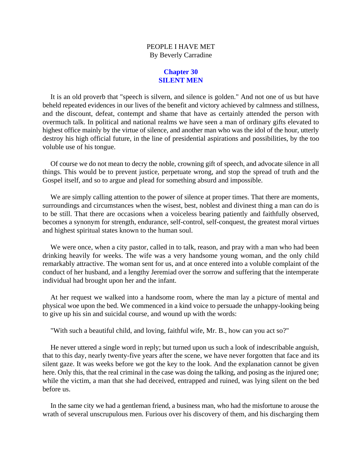## **Chapter 30 SILENT MEN**

It is an old proverb that "speech is silvern, and silence is golden." And not one of us but have beheld repeated evidences in our lives of the benefit and victory achieved by calmness and stillness, and the discount, defeat, contempt and shame that have as certainly attended the person with overmuch talk. In political and national realms we have seen a man of ordinary gifts elevated to highest office mainly by the virtue of silence, and another man who was the idol of the hour, utterly destroy his high official future, in the line of presidential aspirations and possibilities, by the too voluble use of his tongue.

Of course we do not mean to decry the noble, crowning gift of speech, and advocate silence in all things. This would be to prevent justice, perpetuate wrong, and stop the spread of truth and the Gospel itself, and so to argue and plead for something absurd and impossible.

We are simply calling attention to the power of silence at proper times. That there are moments, surroundings and circumstances when the wisest, best, noblest and divinest thing a man can do is to be still. That there are occasions when a voiceless bearing patiently and faithfully observed, becomes a synonym for strength, endurance, self-control, self-conquest, the greatest moral virtues and highest spiritual states known to the human soul.

We were once, when a city pastor, called in to talk, reason, and pray with a man who had been drinking heavily for weeks. The wife was a very handsome young woman, and the only child remarkably attractive. The woman sent for us, and at once entered into a voluble complaint of the conduct of her husband, and a lengthy Jeremiad over the sorrow and suffering that the intemperate individual had brought upon her and the infant.

At her request we walked into a handsome room, where the man lay a picture of mental and physical woe upon the bed. We commenced in a kind voice to persuade the unhappy-looking being to give up his sin and suicidal course, and wound up with the words:

"With such a beautiful child, and loving, faithful wife, Mr. B., how can you act so?"

He never uttered a single word in reply; but turned upon us such a look of indescribable anguish, that to this day, nearly twenty-five years after the scene, we have never forgotten that face and its silent gaze. It was weeks before we got the key to the look. And the explanation cannot be given here. Only this, that the real criminal in the case was doing the talking, and posing as the injured one; while the victim, a man that she had deceived, entrapped and ruined, was lying silent on the bed before us.

In the same city we had a gentleman friend, a business man, who had the misfortune to arouse the wrath of several unscrupulous men. Furious over his discovery of them, and his discharging them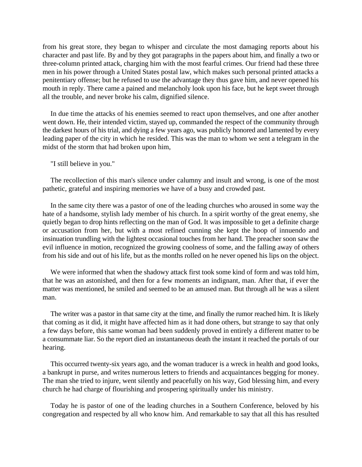from his great store, they began to whisper and circulate the most damaging reports about his character and past life. By and by they got paragraphs in the papers about him, and finally a two or three-column printed attack, charging him with the most fearful crimes. Our friend had these three men in his power through a United States postal law, which makes such personal printed attacks a penitentiary offense; but he refused to use the advantage they thus gave him, and never opened his mouth in reply. There came a pained and melancholy look upon his face, but he kept sweet through all the trouble, and never broke his calm, dignified silence.

In due time the attacks of his enemies seemed to react upon themselves, and one after another went down. He, their intended victim, stayed up, commanded the respect of the community through the darkest hours of his trial, and dying a few years ago, was publicly honored and lamented by every leading paper of the city in which he resided. This was the man to whom we sent a telegram in the midst of the storm that had broken upon him,

"I still believe in you."

The recollection of this man's silence under calumny and insult and wrong, is one of the most pathetic, grateful and inspiring memories we have of a busy and crowded past.

In the same city there was a pastor of one of the leading churches who aroused in some way the hate of a handsome, stylish lady member of his church. In a spirit worthy of the great enemy, she quietly began to drop hints reflecting on the man of God. It was impossible to get a definite charge or accusation from her, but with a most refined cunning she kept the hoop of innuendo and insinuation trundling with the lightest occasional touches from her hand. The preacher soon saw the evil influence in motion, recognized the growing coolness of some, and the falling away of others from his side and out of his life, but as the months rolled on he never opened his lips on the object.

We were informed that when the shadowy attack first took some kind of form and was told him, that he was an astonished, and then for a few moments an indignant, man. After that, if ever the matter was mentioned, he smiled and seemed to be an amused man. But through all he was a silent man.

The writer was a pastor in that same city at the time, and finally the rumor reached him. It is likely that coming as it did, it might have affected him as it had done others, but strange to say that only a few days before, this same woman had been suddenly proved in entirely a different matter to be a consummate liar. So the report died an instantaneous death the instant it reached the portals of our hearing.

This occurred twenty-six years ago, and the woman traducer is a wreck in health and good looks, a bankrupt in purse, and writes numerous letters to friends and acquaintances begging for money. The man she tried to injure, went silently and peacefully on his way, God blessing him, and every church he had charge of flourishing and prospering spiritually under his ministry.

Today he is pastor of one of the leading churches in a Southern Conference, beloved by his congregation and respected by all who know him. And remarkable to say that all this has resulted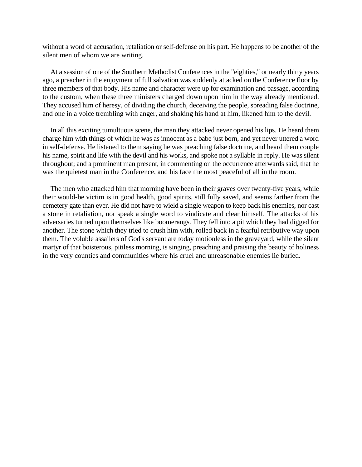without a word of accusation, retaliation or self-defense on his part. He happens to be another of the silent men of whom we are writing.

At a session of one of the Southern Methodist Conferences in the "eighties," or nearly thirty years ago, a preacher in the enjoyment of full salvation was suddenly attacked on the Conference floor by three members of that body. His name and character were up for examination and passage, according to the custom, when these three ministers charged down upon him in the way already mentioned. They accused him of heresy, of dividing the church, deceiving the people, spreading false doctrine, and one in a voice trembling with anger, and shaking his hand at him, likened him to the devil.

In all this exciting tumultuous scene, the man they attacked never opened his lips. He heard them charge him with things of which he was as innocent as a babe just born, and yet never uttered a word in self-defense. He listened to them saying he was preaching false doctrine, and heard them couple his name, spirit and life with the devil and his works, and spoke not a syllable in reply. He was silent throughout; and a prominent man present, in commenting on the occurrence afterwards said, that he was the quietest man in the Conference, and his face the most peaceful of all in the room.

The men who attacked him that morning have been in their graves over twenty-five years, while their would-be victim is in good health, good spirits, still fully saved, and seems farther from the cemetery gate than ever. He did not have to wield a single weapon to keep back his enemies, nor cast a stone in retaliation, nor speak a single word to vindicate and clear himself. The attacks of his adversaries turned upon themselves like boomerangs. They fell into a pit which they had digged for another. The stone which they tried to crush him with, rolled back in a fearful retributive way upon them. The voluble assailers of God's servant are today motionless in the graveyard, while the silent martyr of that boisterous, pitiless morning, is singing, preaching and praising the beauty of holiness in the very counties and communities where his cruel and unreasonable enemies lie buried.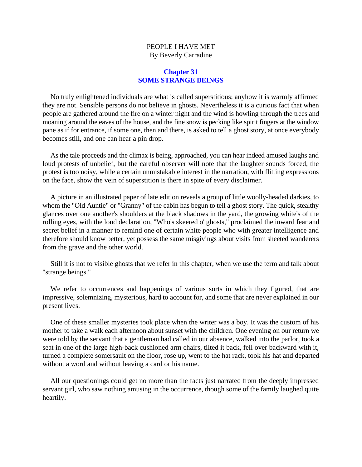#### **Chapter 31 SOME STRANGE BEINGS**

No truly enlightened individuals are what is called superstitious; anyhow it is warmly affirmed they are not. Sensible persons do not believe in ghosts. Nevertheless it is a curious fact that when people are gathered around the fire on a winter night and the wind is howling through the trees and moaning around the eaves of the house, and the fine snow is pecking like spirit fingers at the window pane as if for entrance, if some one, then and there, is asked to tell a ghost story, at once everybody becomes still, and one can hear a pin drop.

As the tale proceeds and the climax is being, approached, you can hear indeed amused laughs and loud protests of unbelief, but the careful observer will note that the laughter sounds forced, the protest is too noisy, while a certain unmistakable interest in the narration, with flitting expressions on the face, show the vein of superstition is there in spite of every disclaimer.

A picture in an illustrated paper of late edition reveals a group of little woolly-headed darkies, to whom the "Old Auntie" or "Granny" of the cabin has begun to tell a ghost story. The quick, stealthy glances over one another's shoulders at the black shadows in the yard, the growing white's of the rolling eyes, with the loud declaration, "Who's skeered o' ghosts," proclaimed the inward fear and secret belief in a manner to remind one of certain white people who with greater intelligence and therefore should know better, yet possess the same misgivings about visits from sheeted wanderers from the grave and the other world.

Still it is not to visible ghosts that we refer in this chapter, when we use the term and talk about "strange beings."

We refer to occurrences and happenings of various sorts in which they figured, that are impressive, solemnizing, mysterious, hard to account for, and some that are never explained in our present lives.

One of these smaller mysteries took place when the writer was a boy. It was the custom of his mother to take a walk each afternoon about sunset with the children. One evening on our return we were told by the servant that a gentleman had called in our absence, walked into the parlor, took a seat in one of the large high-back cushioned arm chairs, tilted it back, fell over backward with it, turned a complete somersault on the floor, rose up, went to the hat rack, took his hat and departed without a word and without leaving a card or his name.

All our questionings could get no more than the facts just narrated from the deeply impressed servant girl, who saw nothing amusing in the occurrence, though some of the family laughed quite heartily.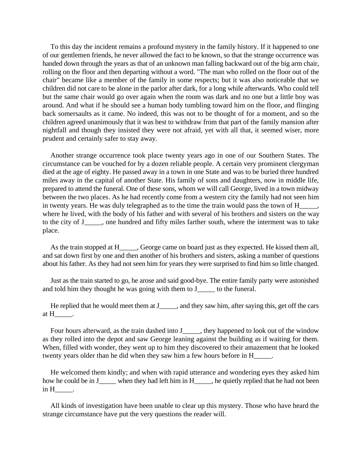To this day the incident remains a profound mystery in the family history. If it happened to one of our gentlemen friends, he never allowed the fact to be known, so that the strange occurrence was handed down through the years as that of an unknown man falling backward out of the big arm chair, rolling on the floor and then departing without a word. "The man who rolled on the floor out of the chair" became like a member of the family in some respects; but it was also noticeable that we children did not care to be alone in the parlor after dark, for a long while afterwards. Who could tell but the same chair would go over again when the room was dark and no one but a little boy was around. And what if he should see a human body tumbling toward him on the floor, and flinging back somersaults as it came. No indeed, this was not to be thought of for a moment, and so the children agreed unanimously that it was best to withdraw from that part of the family mansion after nightfall and though they insisted they were not afraid, yet with all that, it seemed wiser, more prudent and certainly safer to stay away.

Another strange occurrence took place twenty years ago in one of our Southern States. The circumstance can be vouched for by a dozen reliable people. A certain very prominent clergyman died at the age of eighty. He passed away in a town in one State and was to be buried three hundred miles away in the capital of another State. His family of sons and daughters, now in middle life, prepared to attend the funeral. One of these sons, whom we will call George, lived in a town midway between the two places. As he had recently come from a western city the family had not seen him in twenty years. He was duly telegraphed as to the time the train would pass the town of H\_\_\_\_\_, where he lived, with the body of his father and with several of his brothers and sisters on the way to the city of J\_\_\_\_\_, one hundred and fifty miles farther south, where the interment was to take place.

As the train stopped at H<sub>nd</sub>, George came on board just as they expected. He kissed them all, and sat down first by one and then another of his brothers and sisters, asking a number of questions about his father. As they had not seen him for years they were surprised to find him so little changed.

Just as the train started to go, he arose and said good-bye. The entire family party were astonished and told him they thought he was going with them to J\_\_\_\_\_ to the funeral.

He replied that he would meet them at  $J_\text{max}$ , and they saw him, after saying this, get off the cars at H\_\_\_\_\_.

Four hours afterward, as the train dashed into J\_\_\_\_\_, they happened to look out of the window as they rolled into the depot and saw George leaning against the building as if waiting for them. When, filled with wonder, they went up to him they discovered to their amazement that he looked twenty years older than he did when they saw him a few hours before in H\_\_\_\_\_.

He welcomed them kindly; and when with rapid utterance and wondering eyes they asked him how he could be in J\_\_\_\_\_ when they had left him in H\_\_\_\_\_, he quietly replied that he had not been in  $H$  \_\_\_\_\_\_.

All kinds of investigation have been unable to clear up this mystery. Those who have heard the strange circumstance have put the very questions the reader will.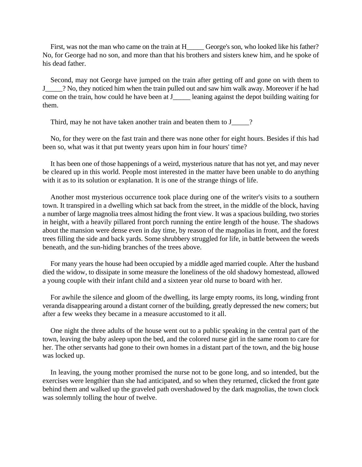First, was not the man who came on the train at H\_\_\_\_\_ George's son, who looked like his father? No, for George had no son, and more than that his brothers and sisters knew him, and he spoke of his dead father.

Second, may not George have jumped on the train after getting off and gone on with them to J\_\_\_\_\_? No, they noticed him when the train pulled out and saw him walk away. Moreover if he had come on the train, how could he have been at J\_\_\_\_\_ leaning against the depot building waiting for them.

Third, may he not have taken another train and beaten them to J\_\_\_\_?

No, for they were on the fast train and there was none other for eight hours. Besides if this had been so, what was it that put twenty years upon him in four hours' time?

It has been one of those happenings of a weird, mysterious nature that has not yet, and may never be cleared up in this world. People most interested in the matter have been unable to do anything with it as to its solution or explanation. It is one of the strange things of life.

Another most mysterious occurrence took place during one of the writer's visits to a southern town. It transpired in a dwelling which sat back from the street, in the middle of the block, having a number of large magnolia trees almost hiding the front view. It was a spacious building, two stories in height, with a heavily pillared front porch running the entire length of the house. The shadows about the mansion were dense even in day time, by reason of the magnolias in front, and the forest trees filling the side and back yards. Some shrubbery struggled for life, in battle between the weeds beneath, and the sun-hiding branches of the trees above.

For many years the house had been occupied by a middle aged married couple. After the husband died the widow, to dissipate in some measure the loneliness of the old shadowy homestead, allowed a young couple with their infant child and a sixteen year old nurse to board with her.

For awhile the silence and gloom of the dwelling, its large empty rooms, its long, winding front veranda disappearing around a distant corner of the building, greatly depressed the new comers; but after a few weeks they became in a measure accustomed to it all.

One night the three adults of the house went out to a public speaking in the central part of the town, leaving the baby asleep upon the bed, and the colored nurse girl in the same room to care for her. The other servants had gone to their own homes in a distant part of the town, and the big house was locked up.

In leaving, the young mother promised the nurse not to be gone long, and so intended, but the exercises were lengthier than she had anticipated, and so when they returned, clicked the front gate behind them and walked up the graveled path overshadowed by the dark magnolias, the town clock was solemnly tolling the hour of twelve.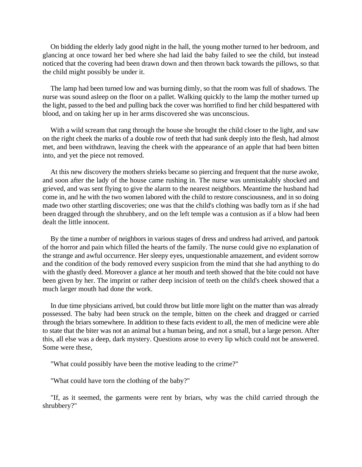On bidding the elderly lady good night in the hall, the young mother turned to her bedroom, and glancing at once toward her bed where she had laid the baby failed to see the child, but instead noticed that the covering had been drawn down and then thrown back towards the pillows, so that the child might possibly be under it.

The lamp had been turned low and was burning dimly, so that the room was full of shadows. The nurse was sound asleep on the floor on a pallet. Walking quickly to the lamp the mother turned up the light, passed to the bed and pulling back the cover was horrified to find her child bespattered with blood, and on taking her up in her arms discovered she was unconscious.

With a wild scream that rang through the house she brought the child closer to the light, and saw on the right cheek the marks of a double row of teeth that had sunk deeply into the flesh, had almost met, and been withdrawn, leaving the cheek with the appearance of an apple that had been bitten into, and yet the piece not removed.

At this new discovery the mothers shrieks became so piercing and frequent that the nurse awoke, and soon after the lady of the house came rushing in. The nurse was unmistakably shocked and grieved, and was sent flying to give the alarm to the nearest neighbors. Meantime the husband had come in, and he with the two women labored with the child to restore consciousness, and in so doing made two other startling discoveries; one was that the child's clothing was badly torn as if she had been dragged through the shrubbery, and on the left temple was a contusion as if a blow had been dealt the little innocent.

By the time a number of neighbors in various stages of dress and undress had arrived, and partook of the horror and pain which filled the hearts of the family. The nurse could give no explanation of the strange and awful occurrence. Her sleepy eyes, unquestionable amazement, and evident sorrow and the condition of the body removed every suspicion from the mind that she had anything to do with the ghastly deed. Moreover a glance at her mouth and teeth showed that the bite could not have been given by her. The imprint or rather deep incision of teeth on the child's cheek showed that a much larger mouth had done the work.

In due time physicians arrived, but could throw but little more light on the matter than was already possessed. The baby had been struck on the temple, bitten on the cheek and dragged or carried through the briars somewhere. In addition to these facts evident to all, the men of medicine were able to state that the biter was not an animal but a human being, and not a small, but a large person. After this, all else was a deep, dark mystery. Questions arose to every lip which could not be answered. Some were these,

"What could possibly have been the motive leading to the crime?"

"What could have torn the clothing of the baby?"

"If, as it seemed, the garments were rent by briars, why was the child carried through the shrubbery?"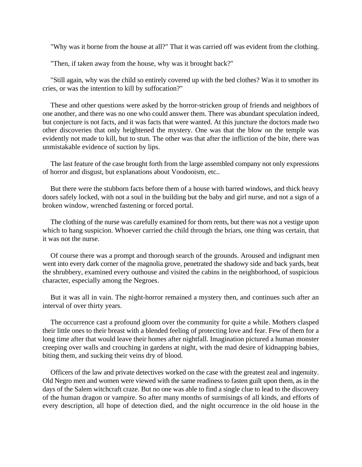"Why was it borne from the house at all?" That it was carried off was evident from the clothing.

"Then, if taken away from the house, why was it brought back?"

"Still again, why was the child so entirely covered up with the bed clothes? Was it to smother its cries, or was the intention to kill by suffocation?"

These and other questions were asked by the horror-stricken group of friends and neighbors of one another, and there was no one who could answer them. There was abundant speculation indeed, but conjecture is not facts, and it was facts that were wanted. At this juncture the doctors made two other discoveries that only heightened the mystery. One was that the blow on the temple was evidently not made to kill, but to stun. The other was that after the infliction of the bite, there was unmistakable evidence of suction by lips.

The last feature of the case brought forth from the large assembled company not only expressions of horror and disgust, but explanations about Voodooism, etc..

But there were the stubborn facts before them of a house with barred windows, and thick heavy doors safely locked, with not a soul in the building but the baby and girl nurse, and not a sign of a broken window, wrenched fastening or forced portal.

The clothing of the nurse was carefully examined for thorn rents, but there was not a vestige upon which to hang suspicion. Whoever carried the child through the briars, one thing was certain, that it was not the nurse.

Of course there was a prompt and thorough search of the grounds. Aroused and indignant men went into every dark corner of the magnolia grove, penetrated the shadowy side and back yards, beat the shrubbery, examined every outhouse and visited the cabins in the neighborhood, of suspicious character, especially among the Negroes.

But it was all in vain. The night-horror remained a mystery then, and continues such after an interval of over thirty years.

The occurrence cast a profound gloom over the community for quite a while. Mothers clasped their little ones to their breast with a blended feeling of protecting love and fear. Few of them for a long time after that would leave their homes after nightfall. Imagination pictured a human monster creeping over walls and crouching in gardens at night, with the mad desire of kidnapping babies, biting them, and sucking their veins dry of blood.

Officers of the law and private detectives worked on the case with the greatest zeal and ingenuity. Old Negro men and women were viewed with the same readiness to fasten guilt upon them, as in the days of the Salem witchcraft craze. But no one was able to find a single clue to lead to the discovery of the human dragon or vampire. So after many months of surmisings of all kinds, and efforts of every description, all hope of detection died, and the night occurrence in the old house in the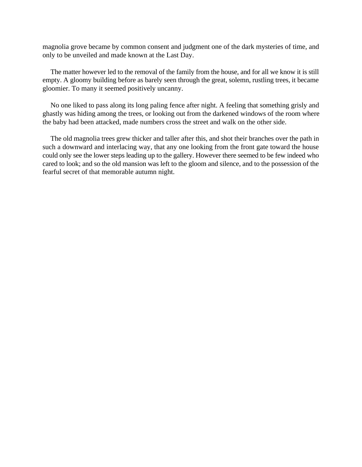magnolia grove became by common consent and judgment one of the dark mysteries of time, and only to be unveiled and made known at the Last Day.

The matter however led to the removal of the family from the house, and for all we know it is still empty. A gloomy building before as barely seen through the great, solemn, rustling trees, it became gloomier. To many it seemed positively uncanny.

No one liked to pass along its long paling fence after night. A feeling that something grisly and ghastly was hiding among the trees, or looking out from the darkened windows of the room where the baby had been attacked, made numbers cross the street and walk on the other side.

The old magnolia trees grew thicker and taller after this, and shot their branches over the path in such a downward and interlacing way, that any one looking from the front gate toward the house could only see the lower steps leading up to the gallery. However there seemed to be few indeed who cared to look; and so the old mansion was left to the gloom and silence, and to the possession of the fearful secret of that memorable autumn night.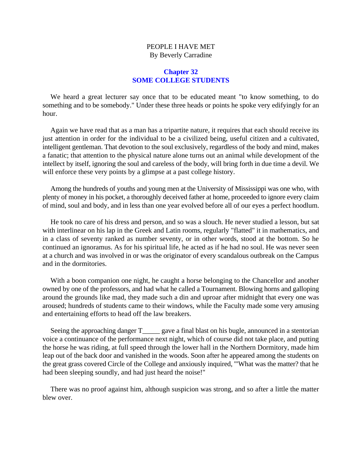# PEOPLE I HAVE MET By Beverly Carradine

## **Chapter 32 SOME COLLEGE STUDENTS**

We heard a great lecturer say once that to be educated meant "to know something, to do something and to be somebody." Under these three heads or points he spoke very edifyingly for an hour.

Again we have read that as a man has a tripartite nature, it requires that each should receive its just attention in order for the individual to be a civilized being, useful citizen and a cultivated, intelligent gentleman. That devotion to the soul exclusively, regardless of the body and mind, makes a fanatic; that attention to the physical nature alone turns out an animal while development of the intellect by itself, ignoring the soul and careless of the body, will bring forth in due time a devil. We will enforce these very points by a glimpse at a past college history.

Among the hundreds of youths and young men at the University of Mississippi was one who, with plenty of money in his pocket, a thoroughly deceived father at home, proceeded to ignore every claim of mind, soul and body, and in less than one year evolved before all of our eyes a perfect hoodlum.

He took no care of his dress and person, and so was a slouch. He never studied a lesson, but sat with interlinear on his lap in the Greek and Latin rooms, regularly "flatted" it in mathematics, and in a class of seventy ranked as number seventy, or in other words, stood at the bottom. So he continued an ignoramus. As for his spiritual life, he acted as if he had no soul. He was never seen at a church and was involved in or was the originator of every scandalous outbreak on the Campus and in the dormitories.

With a boon companion one night, he caught a horse belonging to the Chancellor and another owned by one of the professors, and had what he called a Tournament. Blowing horns and galloping around the grounds like mad, they made such a din and uproar after midnight that every one was aroused; hundreds of students came to their windows, while the Faculty made some very amusing and entertaining efforts to head off the law breakers.

Seeing the approaching danger T<sub>\_\_\_\_\_</sub> gave a final blast on his bugle, announced in a stentorian voice a continuance of the performance next night, which of course did not take place, and putting the horse he was riding, at full speed through the lower hall in the Northern Dormitory, made him leap out of the back door and vanished in the woods. Soon after he appeared among the students on the great grass covered Circle of the College and anxiously inquired, '"What was the matter? that he had been sleeping soundly, and had just heard the noise!"

There was no proof against him, although suspicion was strong, and so after a little the matter blew over.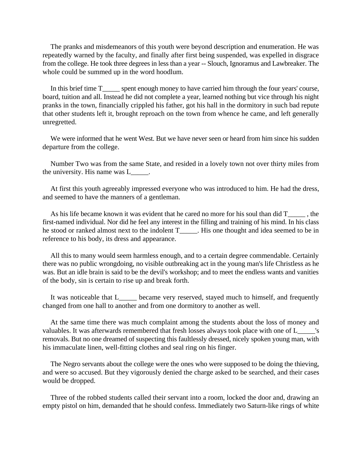The pranks and misdemeanors of this youth were beyond description and enumeration. He was repeatedly warned by the faculty, and finally after first being suspended, was expelled in disgrace from the college. He took three degrees in less than a year -- Slouch, Ignoramus and Lawbreaker. The whole could be summed up in the word hoodlum.

In this brief time T\_\_\_\_\_ spent enough money to have carried him through the four years' course, board, tuition and all. Instead he did not complete a year, learned nothing but vice through his night pranks in the town, financially crippled his father, got his hall in the dormitory in such bad repute that other students left it, brought reproach on the town from whence he came, and left generally unregretted.

We were informed that he went West. But we have never seen or heard from him since his sudden departure from the college.

Number Two was from the same State, and resided in a lovely town not over thirty miles from the university. His name was L\_\_\_\_\_.

At first this youth agreeably impressed everyone who was introduced to him. He had the dress, and seemed to have the manners of a gentleman.

As his life became known it was evident that he cared no more for his soul than did  $T_{\_\_\_\_}$ , the first-named individual. Nor did he feel any interest in the filling and training of his mind. In his class he stood or ranked almost next to the indolent T<sub>\_\_\_\_\_</sub>. His one thought and idea seemed to be in reference to his body, its dress and appearance.

All this to many would seem harmless enough, and to a certain degree commendable. Certainly there was no public wrongdoing, no visible outbreaking act in the young man's life Christless as he was. But an idle brain is said to be the devil's workshop; and to meet the endless wants and vanities of the body, sin is certain to rise up and break forth.

It was noticeable that L\_\_\_\_\_ became very reserved, stayed much to himself, and frequently changed from one hall to another and from one dormitory to another as well.

At the same time there was much complaint among the students about the loss of money and valuables. It was afterwards remembered that fresh losses always took place with one of L\_\_\_\_\_'s removals. But no one dreamed of suspecting this faultlessly dressed, nicely spoken young man, with his immaculate linen, well-fitting clothes and seal ring on his finger.

The Negro servants about the college were the ones who were supposed to be doing the thieving, and were so accused. But they vigorously denied the charge asked to be searched, and their cases would be dropped.

Three of the robbed students called their servant into a room, locked the door and, drawing an empty pistol on him, demanded that he should confess. Immediately two Saturn-like rings of white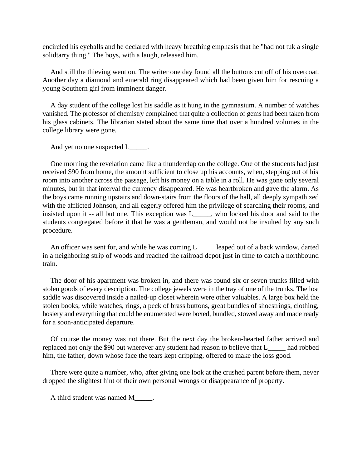encircled his eyeballs and he declared with heavy breathing emphasis that he "had not tuk a single solidtarry thing." The boys, with a laugh, released him.

And still the thieving went on. The writer one day found all the buttons cut off of his overcoat. Another day a diamond and emerald ring disappeared which had been given him for rescuing a young Southern girl from imminent danger.

A day student of the college lost his saddle as it hung in the gymnasium. A number of watches vanished. The professor of chemistry complained that quite a collection of gems had been taken from his glass cabinets. The librarian stated about the same time that over a hundred volumes in the college library were gone.

And yet no one suspected L\_\_\_\_\_\_.

One morning the revelation came like a thunderclap on the college. One of the students had just received \$90 from home, the amount sufficient to close up his accounts, when, stepping out of his room into another across the passage, left his money on a table in a roll. He was gone only several minutes, but in that interval the currency disappeared. He was heartbroken and gave the alarm. As the boys came running upstairs and down-stairs from the floors of the hall, all deeply sympathized with the afflicted Johnson, and all eagerly offered him the privilege of searching their rooms, and insisted upon it -- all but one. This exception was L\_\_\_\_\_, who locked his door and said to the students congregated before it that he was a gentleman, and would not be insulted by any such procedure.

An officer was sent for, and while he was coming L\_\_\_\_\_ leaped out of a back window, darted in a neighboring strip of woods and reached the railroad depot just in time to catch a northbound train.

The door of his apartment was broken in, and there was found six or seven trunks filled with stolen goods of every description. The college jewels were in the tray of one of the trunks. The lost saddle was discovered inside a nailed-up closet wherein were other valuables. A large box held the stolen books; while watches, rings, a peck of brass buttons, great bundles of shoestrings, clothing, hosiery and everything that could be enumerated were boxed, bundled, stowed away and made ready for a soon-anticipated departure.

Of course the money was not there. But the next day the broken-hearted father arrived and replaced not only the \$90 but wherever any student had reason to believe that L\_\_\_\_\_ had robbed him, the father, down whose face the tears kept dripping, offered to make the loss good.

There were quite a number, who, after giving one look at the crushed parent before them, never dropped the slightest hint of their own personal wrongs or disappearance of property.

A third student was named M\_\_\_\_\_.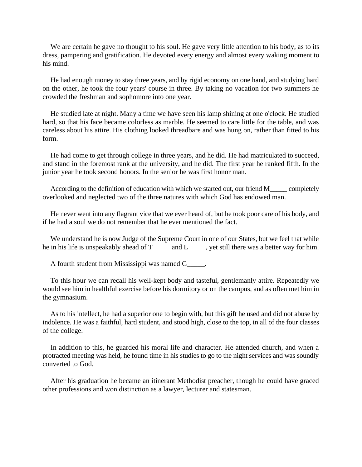We are certain he gave no thought to his soul. He gave very little attention to his body, as to its dress, pampering and gratification. He devoted every energy and almost every waking moment to his mind.

He had enough money to stay three years, and by rigid economy on one hand, and studying hard on the other, he took the four years' course in three. By taking no vacation for two summers he crowded the freshman and sophomore into one year.

He studied late at night. Many a time we have seen his lamp shining at one o'clock. He studied hard, so that his face became colorless as marble. He seemed to care little for the table, and was careless about his attire. His clothing looked threadbare and was hung on, rather than fitted to his form.

He had come to get through college in three years, and he did. He had matriculated to succeed, and stand in the foremost rank at the university, and he did. The first year he ranked fifth. In the junior year he took second honors. In the senior he was first honor man.

According to the definition of education with which we started out, our friend M\_\_\_\_\_ completely overlooked and neglected two of the three natures with which God has endowed man.

He never went into any flagrant vice that we ever heard of, but he took poor care of his body, and if he had a soul we do not remember that he ever mentioned the fact.

We understand he is now Judge of the Supreme Court in one of our States, but we feel that while he in his life is unspeakably ahead of T<sub>\_\_\_\_\_</sub> and L<sub>\_\_\_\_\_</sub>, yet still there was a better way for him.

A fourth student from Mississippi was named G\_\_\_\_\_.

To this hour we can recall his well-kept body and tasteful, gentlemanly attire. Repeatedly we would see him in healthful exercise before his dormitory or on the campus, and as often met him in the gymnasium.

As to his intellect, he had a superior one to begin with, but this gift he used and did not abuse by indolence. He was a faithful, hard student, and stood high, close to the top, in all of the four classes of the college.

In addition to this, he guarded his moral life and character. He attended church, and when a protracted meeting was held, he found time in his studies to go to the night services and was soundly converted to God.

After his graduation he became an itinerant Methodist preacher, though he could have graced other professions and won distinction as a lawyer, lecturer and statesman.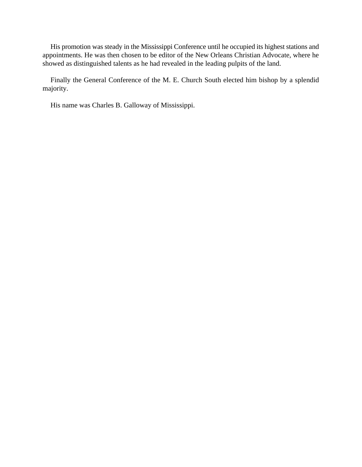His promotion was steady in the Mississippi Conference until he occupied its highest stations and appointments. He was then chosen to be editor of the New Orleans Christian Advocate, where he showed as distinguished talents as he had revealed in the leading pulpits of the land.

Finally the General Conference of the M. E. Church South elected him bishop by a splendid majority.

His name was Charles B. Galloway of Mississippi.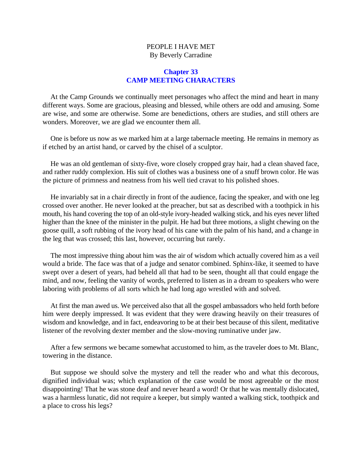# PEOPLE I HAVE MET By Beverly Carradine

## **Chapter 33 CAMP MEETING CHARACTERS**

At the Camp Grounds we continually meet personages who affect the mind and heart in many different ways. Some are gracious, pleasing and blessed, while others are odd and amusing. Some are wise, and some are otherwise. Some are benedictions, others are studies, and still others are wonders. Moreover, we are glad we encounter them all.

One is before us now as we marked him at a large tabernacle meeting. He remains in memory as if etched by an artist hand, or carved by the chisel of a sculptor.

He was an old gentleman of sixty-five, wore closely cropped gray hair, had a clean shaved face, and rather ruddy complexion. His suit of clothes was a business one of a snuff brown color. He was the picture of primness and neatness from his well tied cravat to his polished shoes.

He invariably sat in a chair directly in front of the audience, facing the speaker, and with one leg crossed over another. He never looked at the preacher, but sat as described with a toothpick in his mouth, his hand covering the top of an old-style ivory-headed walking stick, and his eyes never lifted higher than the knee of the minister in the pulpit. He had but three motions, a slight chewing on the goose quill, a soft rubbing of the ivory head of his cane with the palm of his hand, and a change in the leg that was crossed; this last, however, occurring but rarely.

The most impressive thing about him was the air of wisdom which actually covered him as a veil would a bride. The face was that of a judge and senator combined. Sphinx-like, it seemed to have swept over a desert of years, had beheld all that had to be seen, thought all that could engage the mind, and now, feeling the vanity of words, preferred to listen as in a dream to speakers who were laboring with problems of all sorts which he had long ago wrestled with and solved.

At first the man awed us. We perceived also that all the gospel ambassadors who held forth before him were deeply impressed. It was evident that they were drawing heavily on their treasures of wisdom and knowledge, and in fact, endeavoring to be at their best because of this silent, meditative listener of the revolving dexter member and the slow-moving ruminative under jaw.

After a few sermons we became somewhat accustomed to him, as the traveler does to Mt. Blanc, towering in the distance.

But suppose we should solve the mystery and tell the reader who and what this decorous, dignified individual was; which explanation of the case would be most agreeable or the most disappointing! That he was stone deaf and never heard a word! Or that he was mentally dislocated, was a harmless lunatic, did not require a keeper, but simply wanted a walking stick, toothpick and a place to cross his legs?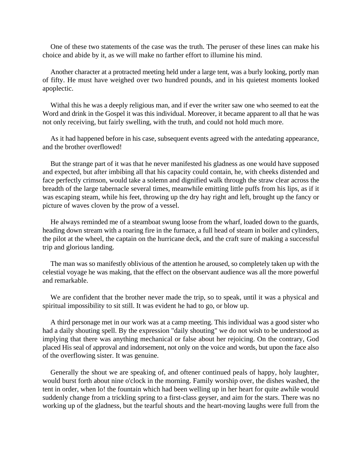One of these two statements of the case was the truth. The peruser of these lines can make his choice and abide by it, as we will make no farther effort to illumine his mind.

Another character at a protracted meeting held under a large tent, was a burly looking, portly man of fifty. He must have weighed over two hundred pounds, and in his quietest moments looked apoplectic.

Withal this he was a deeply religious man, and if ever the writer saw one who seemed to eat the Word and drink in the Gospel it was this individual. Moreover, it became apparent to all that he was not only receiving, but fairly swelling, with the truth, and could not hold much more.

As it had happened before in his case, subsequent events agreed with the antedating appearance, and the brother overflowed!

But the strange part of it was that he never manifested his gladness as one would have supposed and expected, but after imbibing all that his capacity could contain, he, with cheeks distended and face perfectly crimson, would take a solemn and dignified walk through the straw clear across the breadth of the large tabernacle several times, meanwhile emitting little puffs from his lips, as if it was escaping steam, while his feet, throwing up the dry hay right and left, brought up the fancy or picture of waves cloven by the prow of a vessel.

He always reminded me of a steamboat swung loose from the wharf, loaded down to the guards, heading down stream with a roaring fire in the furnace, a full head of steam in boiler and cylinders, the pilot at the wheel, the captain on the hurricane deck, and the craft sure of making a successful trip and glorious landing.

The man was so manifestly oblivious of the attention he aroused, so completely taken up with the celestial voyage he was making, that the effect on the observant audience was all the more powerful and remarkable.

We are confident that the brother never made the trip, so to speak, until it was a physical and spiritual impossibility to sit still. It was evident he had to go, or blow up.

A third personage met in our work was at a camp meeting. This individual was a good sister who had a daily shouting spell. By the expression "daily shouting" we do not wish to be understood as implying that there was anything mechanical or false about her rejoicing. On the contrary, God placed His seal of approval and indorsement, not only on the voice and words, but upon the face also of the overflowing sister. It was genuine.

Generally the shout we are speaking of, and oftener continued peals of happy, holy laughter, would burst forth about nine o'clock in the morning. Family worship over, the dishes washed, the tent in order, when lo! the fountain which had been welling up in her heart for quite awhile would suddenly change from a trickling spring to a first-class geyser, and aim for the stars. There was no working up of the gladness, but the tearful shouts and the heart-moving laughs were full from the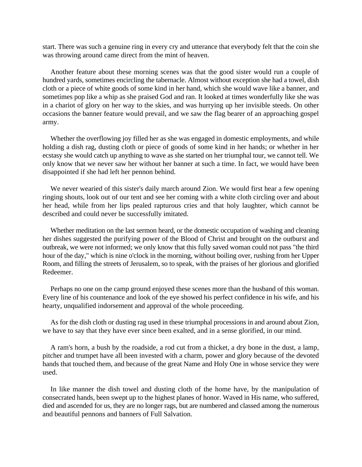start. There was such a genuine ring in every cry and utterance that everybody felt that the coin she was throwing around came direct from the mint of heaven.

Another feature about these morning scenes was that the good sister would run a couple of hundred yards, sometimes encircling the tabernacle. Almost without exception she had a towel, dish cloth or a piece of white goods of some kind in her hand, which she would wave like a banner, and sometimes pop like a whip as she praised God and ran. It looked at times wonderfully like she was in a chariot of glory on her way to the skies, and was hurrying up her invisible steeds. On other occasions the banner feature would prevail, and we saw the flag bearer of an approaching gospel army.

Whether the overflowing joy filled her as she was engaged in domestic employments, and while holding a dish rag, dusting cloth or piece of goods of some kind in her hands; or whether in her ecstasy she would catch up anything to wave as she started on her triumphal tour, we cannot tell. We only know that we never saw her without her banner at such a time. In fact, we would have been disappointed if she had left her pennon behind.

We never wearied of this sister's daily march around Zion. We would first hear a few opening ringing shouts, look out of our tent and see her coming with a white cloth circling over and about her head, while from her lips pealed rapturous cries and that holy laughter, which cannot be described and could never be successfully imitated.

Whether meditation on the last sermon heard, or the domestic occupation of washing and cleaning her dishes suggested the purifying power of the Blood of Christ and brought on the outburst and outbreak, we were not informed; we only know that this fully saved woman could not pass "the third hour of the day," which is nine o'clock in the morning, without boiling over, rushing from her Upper Room, and filling the streets of Jerusalem, so to speak, with the praises of her glorious and glorified Redeemer.

Perhaps no one on the camp ground enjoyed these scenes more than the husband of this woman. Every line of his countenance and look of the eye showed his perfect confidence in his wife, and his hearty, unqualified indorsement and approval of the whole proceeding.

As for the dish cloth or dusting rag used in these triumphal processions in and around about Zion, we have to say that they have ever since been exalted, and in a sense glorified, in our mind.

A ram's horn, a bush by the roadside, a rod cut from a thicket, a dry bone in the dust, a lamp, pitcher and trumpet have all been invested with a charm, power and glory because of the devoted hands that touched them, and because of the great Name and Holy One in whose service they were used.

In like manner the dish towel and dusting cloth of the home have, by the manipulation of consecrated hands, been swept up to the highest planes of honor. Waved in His name, who suffered, died and ascended for us, they are no longer rags, but are numbered and classed among the numerous and beautiful pennons and banners of Full Salvation.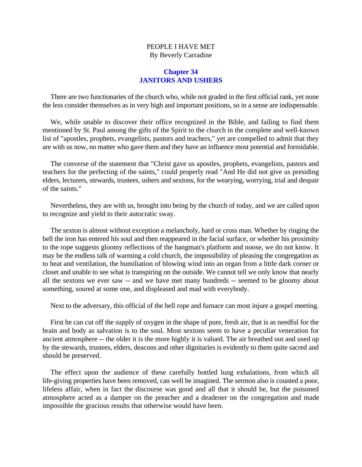# PEOPLE I HAVE MET By Beverly Carradine

### **Chapter 34 JANITORS AND USHERS**

There are two functionaries of the church who, while not graded in the first official rank, yet none the less consider themselves as in very high and important positions, so in a sense are indispensable.

We, while unable to discover their office recognized in the Bible, and failing to find them mentioned by St. Paul among the gifts of the Spirit to the church in the complete and well-known list of "apostles, prophets, evangelists, pastors and teachers," yet are compelled to admit that they are with us now, no matter who gave them and they have an influence most potential and formidable.

The converse of the statement that "Christ gave us apostles, prophets, evangelists, pastors and teachers for the perfecting of the saints," could properly read "And He did not give us presiding elders, lecturers, stewards, trustees, ushers and sextons, for the wearying, worrying, trial and despair of the saints."

Nevertheless, they are with us, brought into being by the church of today, and we are called upon to recognize and yield to their autocratic sway.

The sexton is almost without exception a melancholy, hard or cross man. Whether by ringing the bell the iron has entered his soul and then reappeared in the facial surface, or whether his proximity to the rope suggests gloomy reflections of the hangman's platform and noose, we do not know. It may be the endless talk of warming a cold church, the impossibility of pleasing the congregation as to heat and ventilation, the humiliation of blowing wind into an organ from a little dark corner or closet and unable to see what is transpiring on the outside. We cannot tell we only know that nearly all the sextons we ever saw -- and we have met many hundreds -- seemed to be gloomy about something, soured at some one, and displeased and mad with everybody.

Next to the adversary, this official of the bell rope and furnace can most injure a gospel meeting.

First he can cut off the supply of oxygen in the shape of pure, fresh air, that is as needful for the brain and body as salvation is to the soul. Most sextons seem to have a peculiar veneration for ancient atmosphere -- the older it is the more highly it is valued. The air breathed out and used up by the stewards, trustees, elders, deacons and other dignitaries is evidently to them quite sacred and should be preserved.

The effect upon the audience of these carefully bottled lung exhalations, from which all life-giving properties have been removed, can well be imagined. The sermon also is counted a poor, lifeless affair, when in fact the discourse was good and all that it should be, but the poisoned atmosphere acted as a damper on the preacher and a deadener on the congregation and made impossible the gracious results that otherwise would have been.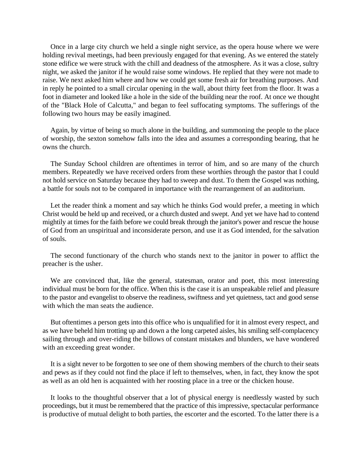Once in a large city church we held a single night service, as the opera house where we were holding revival meetings, had been previously engaged for that evening. As we entered the stately stone edifice we were struck with the chill and deadness of the atmosphere. As it was a close, sultry night, we asked the janitor if he would raise some windows. He replied that they were not made to raise. We next asked him where and how we could get some fresh air for breathing purposes. And in reply he pointed to a small circular opening in the wall, about thirty feet from the floor. It was a foot in diameter and looked like a hole in the side of the building near the roof. At once we thought of the "Black Hole of Calcutta," and began to feel suffocating symptoms. The sufferings of the following two hours may be easily imagined.

Again, by virtue of being so much alone in the building, and summoning the people to the place of worship, the sexton somehow falls into the idea and assumes a corresponding bearing, that he owns the church.

The Sunday School children are oftentimes in terror of him, and so are many of the church members. Repeatedly we have received orders from these worthies through the pastor that I could not hold service on Saturday because they had to sweep and dust. To them the Gospel was nothing, a battle for souls not to be compared in importance with the rearrangement of an auditorium.

Let the reader think a moment and say which he thinks God would prefer, a meeting in which Christ would be held up and received, or a church dusted and swept. And yet we have had to contend mightily at times for the faith before we could break through the janitor's power and rescue the house of God from an unspiritual and inconsiderate person, and use it as God intended, for the salvation of souls.

The second functionary of the church who stands next to the janitor in power to afflict the preacher is the usher.

We are convinced that, like the general, statesman, orator and poet, this most interesting individual must be born for the office. When this is the case it is an unspeakable relief and pleasure to the pastor and evangelist to observe the readiness, swiftness and yet quietness, tact and good sense with which the man seats the audience.

But oftentimes a person gets into this office who is unqualified for it in almost every respect, and as we have beheld him trotting up and down a the long carpeted aisles, his smiling self-complacency sailing through and over-riding the billows of constant mistakes and blunders, we have wondered with an exceeding great wonder.

It is a sight never to be forgotten to see one of them showing members of the church to their seats and pews as if they could not find the place if left to themselves, when, in fact, they know the spot as well as an old hen is acquainted with her roosting place in a tree or the chicken house.

It looks to the thoughtful observer that a lot of physical energy is needlessly wasted by such proceedings, but it must be remembered that the practice of this impressive, spectacular performance is productive of mutual delight to both parties, the escorter and the escorted. To the latter there is a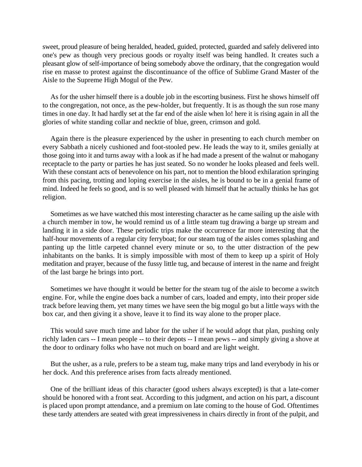sweet, proud pleasure of being heralded, headed, guided, protected, guarded and safely delivered into one's pew as though very precious goods or royalty itself was being handled. It creates such a pleasant glow of self-importance of being somebody above the ordinary, that the congregation would rise en masse to protest against the discontinuance of the office of Sublime Grand Master of the Aisle to the Supreme High Mogul of the Pew.

As for the usher himself there is a double job in the escorting business. First he shows himself off to the congregation, not once, as the pew-holder, but frequently. It is as though the sun rose many times in one day. It had hardly set at the far end of the aisle when lo! here it is rising again in all the glories of white standing collar and necktie of blue, green, crimson and gold.

Again there is the pleasure experienced by the usher in presenting to each church member on every Sabbath a nicely cushioned and foot-stooled pew. He leads the way to it, smiles genially at those going into it and turns away with a look as if he had made a present of the walnut or mahogany receptacle to the party or parties he has just seated. So no wonder he looks pleased and feels well. With these constant acts of benevolence on his part, not to mention the blood exhilaration springing from this pacing, trotting and loping exercise in the aisles, he is bound to be in a genial frame of mind. Indeed he feels so good, and is so well pleased with himself that he actually thinks he has got religion.

Sometimes as we have watched this most interesting character as he came sailing up the aisle with a church member in tow, he would remind us of a little steam tug drawing a barge up stream and landing it in a side door. These periodic trips make the occurrence far more interesting that the half-hour movements of a regular city ferryboat; for our steam tug of the aisles comes splashing and panting up the little carpeted channel every minute or so, to the utter distraction of the pew inhabitants on the banks. It is simply impossible with most of them to keep up a spirit of Holy meditation and prayer, because of the fussy little tug, and because of interest in the name and freight of the last barge he brings into port.

Sometimes we have thought it would be better for the steam tug of the aisle to become a switch engine. For, while the engine does back a number of cars, loaded and empty, into their proper side track before leaving them, yet many times we have seen the big mogul go but a little ways with the box car, and then giving it a shove, leave it to find its way alone to the proper place.

This would save much time and labor for the usher if he would adopt that plan, pushing only richly laden cars -- I mean people -- to their depots -- I mean pews -- and simply giving a shove at the door to ordinary folks who have not much on board and are light weight.

But the usher, as a rule, prefers to be a steam tug, make many trips and land everybody in his or her dock. And this preference arises from facts already mentioned.

One of the brilliant ideas of this character (good ushers always excepted) is that a late-comer should be honored with a front seat. According to this judgment, and action on his part, a discount is placed upon prompt attendance, and a premium on late coming to the house of God. Oftentimes these tardy attenders are seated with great impressiveness in chairs directly in front of the pulpit, and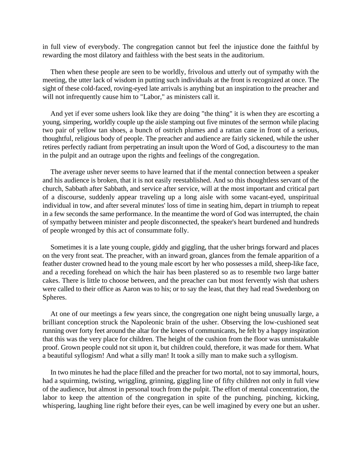in full view of everybody. The congregation cannot but feel the injustice done the faithful by rewarding the most dilatory and faithless with the best seats in the auditorium.

Then when these people are seen to be worldly, frivolous and utterly out of sympathy with the meeting, the utter lack of wisdom in putting such individuals at the front is recognized at once. The sight of these cold-faced, roving-eyed late arrivals is anything but an inspiration to the preacher and will not infrequently cause him to "Labor," as ministers call it.

And yet if ever some ushers look like they are doing "the thing" it is when they are escorting a young, simpering, worldly couple up the aisle stamping out five minutes of the sermon while placing two pair of yellow tan shoes, a bunch of ostrich plumes and a rattan cane in front of a serious, thoughtful, religious body of people. The preacher and audience are fairly sickened, while the usher retires perfectly radiant from perpetrating an insult upon the Word of God, a discourtesy to the man in the pulpit and an outrage upon the rights and feelings of the congregation.

The average usher never seems to have learned that if the mental connection between a speaker and his audience is broken, that it is not easily reestablished. And so this thoughtless servant of the church, Sabbath after Sabbath, and service after service, will at the most important and critical part of a discourse, suddenly appear traveling up a long aisle with some vacant-eyed, unspiritual individual in tow, and after several minutes' loss of time in seating him, depart in triumph to repeat in a few seconds the same performance. In the meantime the word of God was interrupted, the chain of sympathy between minister and people disconnected, the speaker's heart burdened and hundreds of people wronged by this act of consummate folly.

Sometimes it is a late young couple, giddy and giggling, that the usher brings forward and places on the very front seat. The preacher, with an inward groan, glances from the female apparition of a feather duster crowned head to the young male escort by her who possesses a mild, sheep-like face, and a receding forehead on which the hair has been plastered so as to resemble two large batter cakes. There is little to choose between, and the preacher can but most fervently wish that ushers were called to their office as Aaron was to his; or to say the least, that they had read Swedenborg on Spheres.

At one of our meetings a few years since, the congregation one night being unusually large, a brilliant conception struck the Napoleonic brain of the usher. Observing the low-cushioned seat running over forty feet around the altar for the knees of communicants, he felt by a happy inspiration that this was the very place for children. The height of the cushion from the floor was unmistakable proof. Grown people could not sit upon it, but children could, therefore, it was made for them. What a beautiful syllogism! And what a silly man! It took a silly man to make such a syllogism.

In two minutes he had the place filled and the preacher for two mortal, not to say immortal, hours, had a squirming, twisting, wriggling, grinning, giggling line of fifty children not only in full view of the audience, but almost in personal touch from the pulpit. The effort of mental concentration, the labor to keep the attention of the congregation in spite of the punching, pinching, kicking, whispering, laughing line right before their eyes, can be well imagined by every one but an usher.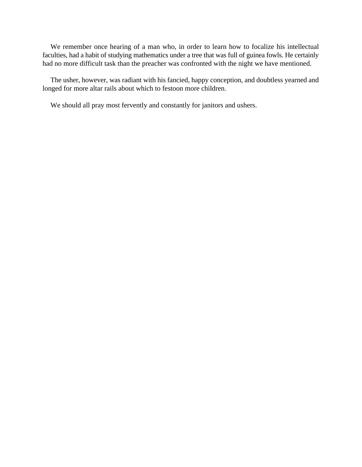We remember once hearing of a man who, in order to learn how to focalize his intellectual faculties, had a habit of studying mathematics under a tree that was full of guinea fowls. He certainly had no more difficult task than the preacher was confronted with the night we have mentioned.

The usher, however, was radiant with his fancied, happy conception, and doubtless yearned and longed for more altar rails about which to festoon more children.

We should all pray most fervently and constantly for janitors and ushers.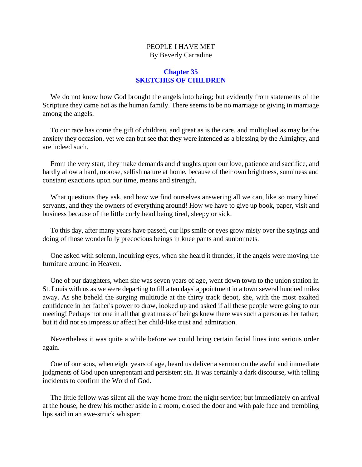# PEOPLE I HAVE MET By Beverly Carradine

### **Chapter 35 SKETCHES OF CHILDREN**

We do not know how God brought the angels into being; but evidently from statements of the Scripture they came not as the human family. There seems to be no marriage or giving in marriage among the angels.

To our race has come the gift of children, and great as is the care, and multiplied as may be the anxiety they occasion, yet we can but see that they were intended as a blessing by the Almighty, and are indeed such.

From the very start, they make demands and draughts upon our love, patience and sacrifice, and hardly allow a hard, morose, selfish nature at home, because of their own brightness, sunniness and constant exactions upon our time, means and strength.

What questions they ask, and how we find ourselves answering all we can, like so many hired servants, and they the owners of everything around! How we have to give up book, paper, visit and business because of the little curly head being tired, sleepy or sick.

To this day, after many years have passed, our lips smile or eyes grow misty over the sayings and doing of those wonderfully precocious beings in knee pants and sunbonnets.

One asked with solemn, inquiring eyes, when she heard it thunder, if the angels were moving the furniture around in Heaven.

One of our daughters, when she was seven years of age, went down town to the union station in St. Louis with us as we were departing to fill a ten days' appointment in a town several hundred miles away. As she beheld the surging multitude at the thirty track depot, she, with the most exalted confidence in her father's power to draw, looked up and asked if all these people were going to our meeting! Perhaps not one in all that great mass of beings knew there was such a person as her father; but it did not so impress or affect her child-like trust and admiration.

Nevertheless it was quite a while before we could bring certain facial lines into serious order again.

One of our sons, when eight years of age, heard us deliver a sermon on the awful and immediate judgments of God upon unrepentant and persistent sin. It was certainly a dark discourse, with telling incidents to confirm the Word of God.

The little fellow was silent all the way home from the night service; but immediately on arrival at the house, he drew his mother aside in a room, closed the door and with pale face and trembling lips said in an awe-struck whisper: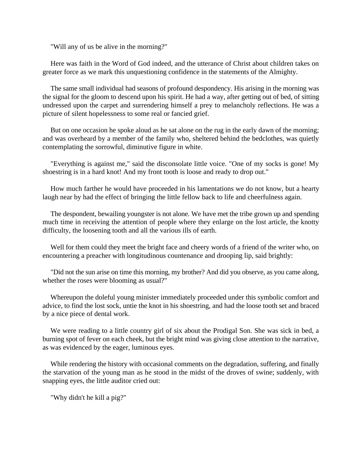"Will any of us be alive in the morning?"

Here was faith in the Word of God indeed, and the utterance of Christ about children takes on greater force as we mark this unquestioning confidence in the statements of the Almighty.

The same small individual had seasons of profound despondency. His arising in the morning was the signal for the gloom to descend upon his spirit. He had a way, after getting out of bed, of sitting undressed upon the carpet and surrendering himself a prey to melancholy reflections. He was a picture of silent hopelessness to some real or fancied grief.

But on one occasion he spoke aloud as he sat alone on the rug in the early dawn of the morning; and was overheard by a member of the family who, sheltered behind the bedclothes, was quietly contemplating the sorrowful, diminutive figure in white.

"Everything is against me," said the disconsolate little voice. "One of my socks is gone! My shoestring is in a hard knot! And my front tooth is loose and ready to drop out."

How much farther he would have proceeded in his lamentations we do not know, but a hearty laugh near by had the effect of bringing the little fellow back to life and cheerfulness again.

The despondent, bewailing youngster is not alone. We have met the tribe grown up and spending much time in receiving the attention of people where they enlarge on the lost article, the knotty difficulty, the loosening tooth and all the various ills of earth.

Well for them could they meet the bright face and cheery words of a friend of the writer who, on encountering a preacher with longitudinous countenance and drooping lip, said brightly:

"Did not the sun arise on time this morning, my brother? And did you observe, as you came along, whether the roses were blooming as usual?"

Whereupon the doleful young minister immediately proceeded under this symbolic comfort and advice, to find the lost sock, untie the knot in his shoestring, and had the loose tooth set and braced by a nice piece of dental work.

We were reading to a little country girl of six about the Prodigal Son. She was sick in bed, a burning spot of fever on each cheek, but the bright mind was giving close attention to the narrative, as was evidenced by the eager, luminous eyes.

While rendering the history with occasional comments on the degradation, suffering, and finally the starvation of the young man as he stood in the midst of the droves of swine; suddenly, with snapping eyes, the little auditor cried out:

"Why didn't he kill a pig?"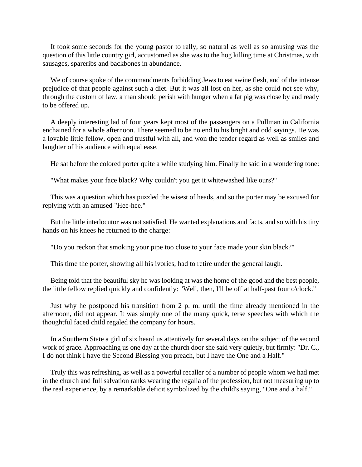It took some seconds for the young pastor to rally, so natural as well as so amusing was the question of this little country girl, accustomed as she was to the hog killing time at Christmas, with sausages, spareribs and backbones in abundance.

We of course spoke of the commandments forbidding Jews to eat swine flesh, and of the intense prejudice of that people against such a diet. But it was all lost on her, as she could not see why, through the custom of law, a man should perish with hunger when a fat pig was close by and ready to be offered up.

A deeply interesting lad of four years kept most of the passengers on a Pullman in California enchained for a whole afternoon. There seemed to be no end to his bright and odd sayings. He was a lovable little fellow, open and trustful with all, and won the tender regard as well as smiles and laughter of his audience with equal ease.

He sat before the colored porter quite a while studying him. Finally he said in a wondering tone:

"What makes your face black? Why couldn't you get it whitewashed like ours?"

This was a question which has puzzled the wisest of heads, and so the porter may be excused for replying with an amused "Hee-hee."

But the little interlocutor was not satisfied. He wanted explanations and facts, and so with his tiny hands on his knees he returned to the charge:

"Do you reckon that smoking your pipe too close to your face made your skin black?"

This time the porter, showing all his ivories, had to retire under the general laugh.

Being told that the beautiful sky he was looking at was the home of the good and the best people, the little fellow replied quickly and confidently: "Well, then, I'll be off at half-past four o'clock."

Just why he postponed his transition from 2 p. m. until the time already mentioned in the afternoon, did not appear. It was simply one of the many quick, terse speeches with which the thoughtful faced child regaled the company for hours.

In a Southern State a girl of six heard us attentively for several days on the subject of the second work of grace. Approaching us one day at the church door she said very quietly, but firmly: "Dr. C., I do not think I have the Second Blessing you preach, but I have the One and a Half."

Truly this was refreshing, as well as a powerful recaller of a number of people whom we had met in the church and full salvation ranks wearing the regalia of the profession, but not measuring up to the real experience, by a remarkable deficit symbolized by the child's saying, "One and a half."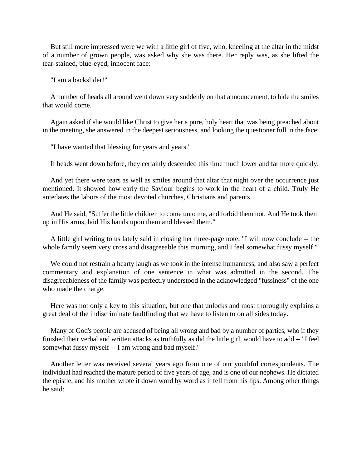But still more impressed were we with a little girl of five, who, kneeling at the altar in the midst of a number of grown people, was asked why she was there. Her reply was, as she lifted the tear-stained, blue-eyed, innocent face:

"I am a backslider!"

A number of heads all around went down very suddenly on that announcement, to hide the smiles that would come.

Again asked if she would like Christ to give her a pure, holy heart that was being preached about in the meeting, she answered in the deepest seriousness, and looking the questioner full in the face:

"I have wanted that blessing for years and years."

If heads went down before, they certainly descended this time much lower and far more quickly.

And yet there were tears as well as smiles around that altar that night over the occurrence just mentioned. It showed how early the Saviour begins to work in the heart of a child. Truly He antedates the labors of the most devoted churches, Christians and parents.

And He said, "Suffer the little children to come unto me, and forbid them not. And He took them up in His arms, laid His hands upon them and blessed them."

A little girl writing to us lately said in closing her three-page note, "I will now conclude -- the whole family seem very cross and disagreeable this morning, and I feel somewhat fussy myself."

We could not restrain a hearty laugh as we took in the intense humanness, and also saw a perfect commentary and explanation of one sentence in what was admitted in the second. The disagreeableness of the family was perfectly understood in the acknowledged "fussiness" of the one who made the charge.

Here was not only a key to this situation, but one that unlocks and most thoroughly explains a great deal of the indiscriminate faultfinding that we have to listen to on all sides today.

Many of God's people are accused of being all wrong and bad by a number of parties, who if they finished their verbal and written attacks as truthfully as did the little girl, would have to add -- "I feel somewhat fussy myself -- I am wrong and bad myself."

Another letter was received several years ago from one of our youthful correspondents. The individual had reached the mature period of five years of age, and is one of our nephews. He dictated the epistle, and his mother wrote it down word by word as it fell from his lips. Among other things he said: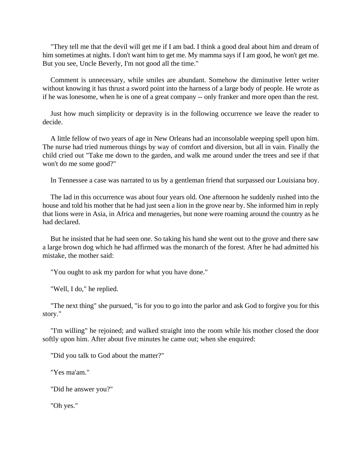"They tell me that the devil will get me if I am bad. I think a good deal about him and dream of him sometimes at nights. I don't want him to get me. My mamma says if I am good, he won't get me. But you see, Uncle Beverly, I'm not good all the time."

Comment is unnecessary, while smiles are abundant. Somehow the diminutive letter writer without knowing it has thrust a sword point into the harness of a large body of people. He wrote as if he was lonesome, when he is one of a great company -- only franker and more open than the rest.

Just how much simplicity or depravity is in the following occurrence we leave the reader to decide.

A little fellow of two years of age in New Orleans had an inconsolable weeping spell upon him. The nurse had tried numerous things by way of comfort and diversion, but all in vain. Finally the child cried out "Take me down to the garden, and walk me around under the trees and see if that won't do me some good?"

In Tennessee a case was narrated to us by a gentleman friend that surpassed our Louisiana boy.

The lad in this occurrence was about four years old. One afternoon he suddenly rushed into the house and told his mother that he had just seen a lion in the grove near by. She informed him in reply that lions were in Asia, in Africa and menageries, but none were roaming around the country as he had declared.

But he insisted that he had seen one. So taking his hand she went out to the grove and there saw a large brown dog which he had affirmed was the monarch of the forest. After he had admitted his mistake, the mother said:

"You ought to ask my pardon for what you have done."

"Well, I do," he replied.

"The next thing" she pursued, "is for you to go into the parlor and ask God to forgive you for this story."

"I'm willing" he rejoined; and walked straight into the room while his mother closed the door softly upon him. After about five minutes he came out; when she enquired:

"Did you talk to God about the matter?"

"Yes ma'am."

"Did he answer you?"

"Oh yes."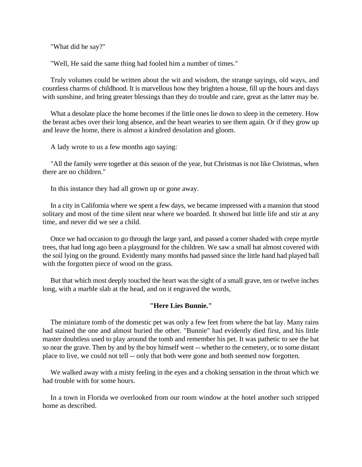"What did he say?"

"Well, He said the same thing had fooled him a number of times."

Truly volumes could be written about the wit and wisdom, the strange sayings, old ways, and countless charms of childhood. It is marvellous how they brighten a house, fill up the hours and days with sunshine, and bring greater blessings than they do trouble and care, great as the latter may be.

What a desolate place the home becomes if the little ones lie down to sleep in the cemetery. How the breast aches over their long absence, and the heart wearies to see them again. Or if they grow up and leave the home, there is almost a kindred desolation and gloom.

A lady wrote to us a few months ago saying:

"All the family were together at this season of the year, but Christmas is not like Christmas, when there are no children."

In this instance they had all grown up or gone away.

In a city in California where we spent a few days, we became impressed with a mansion that stood solitary and most of the time silent near where we boarded. It showed but little life and stir at any time, and never did we see a child.

Once we had occasion to go through the large yard, and passed a corner shaded with crepe myrtle trees, that had long ago been a playground for the children. We saw a small bat almost covered with the soil lying on the ground. Evidently many months had passed since the little hand had played ball with the forgotten piece of wood on the grass.

But that which most deeply touched the heart was the sight of a small grave, ten or twelve inches long, with a marble slab at the head, and on it engraved the words,

# **"Here Lies Bunnie."**

The miniature tomb of the domestic pet was only a few feet from where the bat lay. Many rains had stained the one and almost buried the other. "Bunnie" had evidently died first, and his little master doubtless used to play around the tomb and remember his pet. It was pathetic to see the bat so near the grave. Then by and by the boy himself went -- whether to the cemetery, or to some distant place to live, we could not tell -- only that both were gone and both seemed now forgotten.

We walked away with a misty feeling in the eyes and a choking sensation in the throat which we had trouble with for some hours.

In a town in Florida we overlooked from our room window at the hotel another such stripped home as described.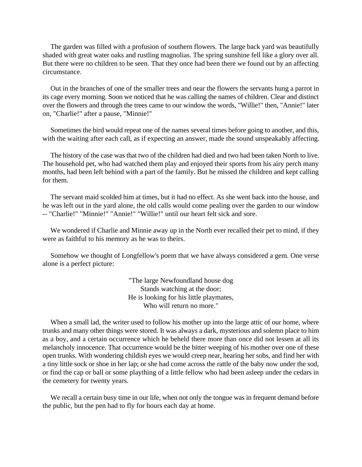The garden was filled with a profusion of southern flowers. The large back yard was beautifully shaded with great water oaks and rustling magnolias. The spring sunshine fell like a glory over all. But there were no children to be seen. That they once had been there we found out by an affecting circumstance.

Out in the branches of one of the smaller trees and near the flowers the servants hung a parrot in its cage every morning. Soon we noticed that he was calling the names of children. Clear and distinct over the flowers and through the trees came to our window the words, "Willie!" then, "Annie!" later on, "Charlie!" after a pause, "Minnie!"

Sometimes the bird would repeat one of the names several times before going to another, and this, with the waiting after each call, as if expecting an answer, made the sound unspeakably affecting.

The history of the case was that two of the children had died and two had been taken North to live. The household pet, who had watched them play and enjoyed their sports from his airy perch many months, had been left behind with a part of the family. But he missed the children and kept calling for them.

The servant maid scolded him at times, but it had no effect. As she went back into the house, and he was left out in the yard alone, the old calls would come pealing over the garden to our window -- "Charlie!" "Minnie!" "Annie!" "Willie!" until our heart felt sick and sore.

We wondered if Charlie and Minnie away up in the North ever recalled their pet to mind, if they were as faithful to his memory as he was to theirs.

Somehow we thought of Longfellow's poem that we have always considered a gem. One verse alone is a perfect picture:

> "The large Newfoundland house dog Stands watching at the door; He is looking for his little playmates, Who will return no more."

When a small lad, the writer used to follow his mother up into the large attic of our home, where trunks and many other things were stored. It was always a dark, mysterious and solemn place to him as a boy, and a certain occurrence which he beheld there more than once did not lessen at all its melancholy innocence. That occurrence would be the bitter weeping of his mother over one of these open trunks. With wondering childish eyes we would creep near, hearing her sobs, and find her with a tiny little sock or shoe in her lap; or she had come across the rattle of the baby now under the sod, or find the cap or ball or some plaything of a little fellow who had been asleep under the cedars in the cemetery for twenty years.

We recall a certain busy time in our life, when not only the tongue was in frequent demand before the public, but the pen had to fly for hours each day at home.